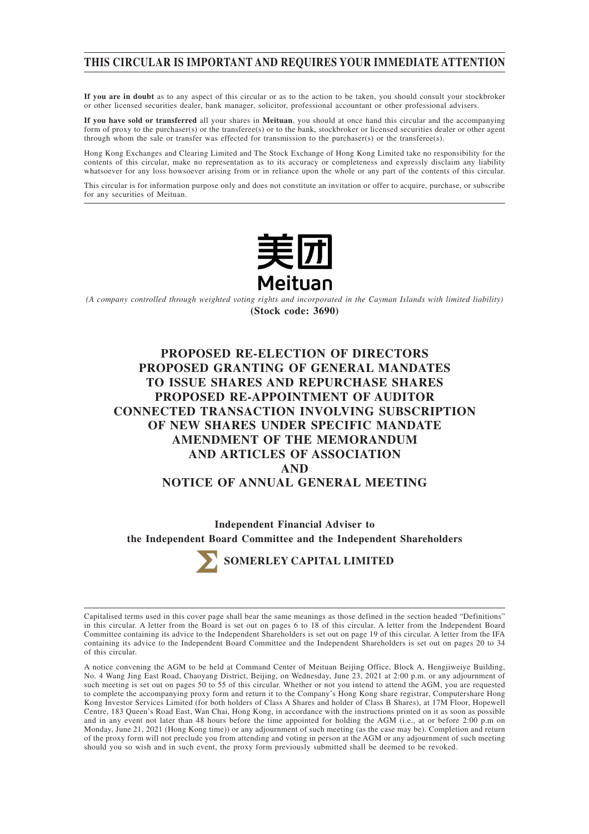## **THIS CIRCULAR IS IMPORTANT AND REQUIRES YOUR IMMEDIATE ATTENTION**

**If you are in doubt** as to any aspect of this circular or as to the action to be taken, you should consult your stockbroker or other licensed securities dealer, bank manager, solicitor, professional accountant or other professional advisers.

**If you have sold or transferred** all your shares in **Meituan**, you should at once hand this circular and the accompanying form of proxy to the purchaser(s) or the transferee(s) or to the bank, stockbroker or licensed securities dealer or other agent through whom the sale or transfer was effected for transmission to the purchaser(s) or the transferee(s).

Hong Kong Exchanges and Clearing Limited and The Stock Exchange of Hong Kong Limited take no responsibility for the contents of this circular, make no representation as to its accuracy or completeness and expressly disclaim any liability whatsoever for any loss howsoever arising from or in reliance upon the whole or any part of the contents of this circular.

This circular is for information purpose only and does not constitute an invitation or offer to acquire, purchase, or subscribe for any securities of Meituan.



*(A company controlled through weighted voting rights and incorporated in the Cayman Islands with limited liability)* **(Stock code: 3690)**

# **PROPOSED RE-ELECTION OF DIRECTORS PROPOSED GRANTING OF GENERAL MANDATES TO ISSUE SHARES AND REPURCHASE SHARES PROPOSED RE-APPOINTMENT OF AUDITOR CONNECTED TRANSACTION INVOLVING SUBSCRIPTION OF NEW SHARES UNDER SPECIFIC MANDATE AMENDMENT OF THE MEMORANDUM AND ARTICLES OF ASSOCIATION AND NOTICE OF ANNUAL GENERAL MEETING**

**Independent Financial Adviser to the Independent Board Committee and the Independent Shareholders**



Capitalised terms used in this cover page shall bear the same meanings as those defined in the section headed "Definitions" in this circular. A letter from the Board is set out on pages 6 to 18 of this circular. A letter from the Independent Board Committee containing its advice to the Independent Shareholders is set out on page 19 of this circular. A letter from the IFA containing its advice to the Independent Board Committee and the Independent Shareholders is set out on pages 20 to 34 of this circular.

A notice convening the AGM to be held at Command Center of Meituan Beijing Office, Block A, Hengjiweiye Building, No. 4 Wang Jing East Road, Chaoyang District, Beijing, on Wednesday, June 23, 2021 at 2:00 p.m. or any adjournment of such meeting is set out on pages 50 to 55 of this circular. Whether or not you intend to attend the AGM, you are requested to complete the accompanying proxy form and return it to the Company's Hong Kong share registrar, Computershare Hong Kong Investor Services Limited (for both holders of Class A Shares and holder of Class B Shares), at 17M Floor, Hopewell Centre, 183 Queen's Road East, Wan Chai, Hong Kong, in accordance with the instructions printed on it as soon as possible and in any event not later than 48 hours before the time appointed for holding the AGM (i.e., at or before 2:00 p.m on Monday, June 21, 2021 (Hong Kong time)) or any adjournment of such meeting (as the case may be). Completion and return of the proxy form will not preclude you from attending and voting in person at the AGM or any adjournment of such meeting should you so wish and in such event, the proxy form previously submitted shall be deemed to be revoked.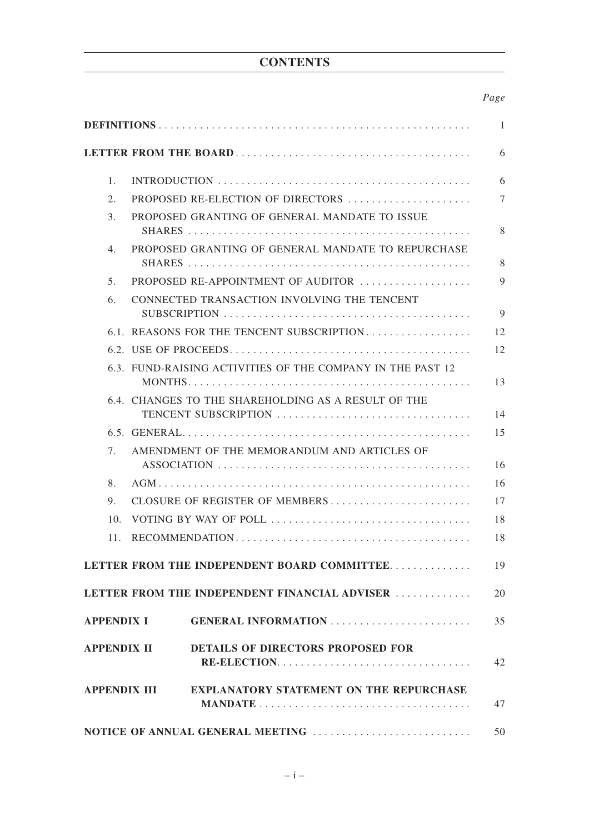# **CONTENTS**

## *Page*

|                   |                                                                | 1      |
|-------------------|----------------------------------------------------------------|--------|
|                   |                                                                | 6      |
| 1 <sub>1</sub>    |                                                                | 6      |
| 2.                | PROPOSED RE-ELECTION OF DIRECTORS                              | $\tau$ |
| 3.                | PROPOSED GRANTING OF GENERAL MANDATE TO ISSUE                  | 8      |
| 4.                | PROPOSED GRANTING OF GENERAL MANDATE TO REPURCHASE             | 8      |
| 5 <sub>1</sub>    | <b>PROPOSED RE-APPOINTMENT OF AUDITOR</b>                      | 9      |
| 6.                | CONNECTED TRANSACTION INVOLVING THE TENCENT                    | 9      |
|                   | 6.1. REASONS FOR THE TENCENT SUBSCRIPTION                      | 12     |
|                   |                                                                | 12     |
|                   | 6.3. FUND-RAISING ACTIVITIES OF THE COMPANY IN THE PAST 12     | 13     |
|                   | 6.4. CHANGES TO THE SHAREHOLDING AS A RESULT OF THE            | 14     |
|                   |                                                                | 15     |
| 7.                | AMENDMENT OF THE MEMORANDUM AND ARTICLES OF                    | 16     |
| 8.                |                                                                | 16     |
| 9.                | CLOSURE OF REGISTER OF MEMBERS                                 | 17     |
| 10 <sub>1</sub>   |                                                                | 18     |
| 11.               |                                                                | 18     |
|                   | LETTER FROM THE INDEPENDENT BOARD COMMITTEE                    | 19     |
|                   | LETTER FROM THE INDEPENDENT FINANCIAL ADVISER                  | 20     |
| <b>APPENDIX I</b> | <b>GENERAL INFORMATION</b>                                     | 35     |
|                   | DETAILS OF DIRECTORS PROPOSED FOR<br>APPENDIX II               | 42     |
|                   | <b>EXPLANATORY STATEMENT ON THE REPURCHASE</b><br>APPENDIX III | 47     |
|                   |                                                                | 50     |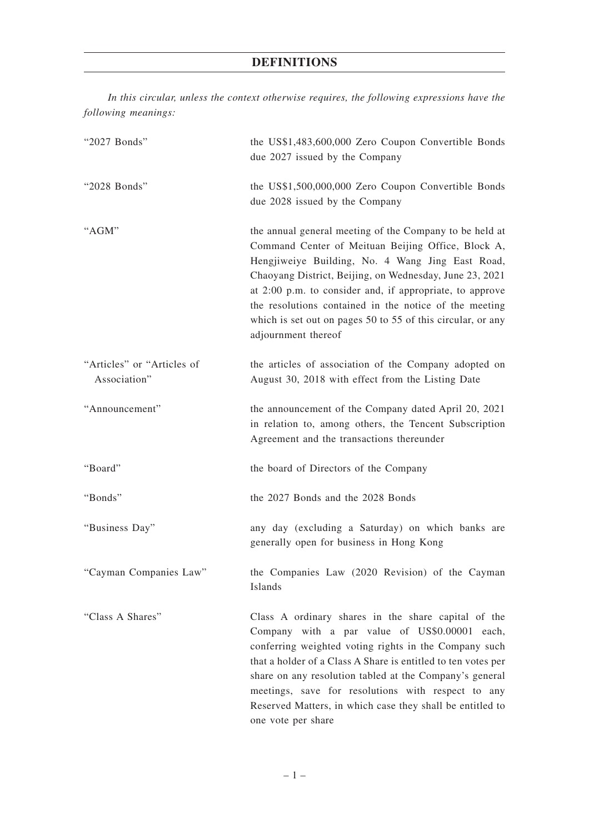*In this circular, unless the context otherwise requires, the following expressions have the following meanings:*

| "2027 Bonds"                               | the US\$1,483,600,000 Zero Coupon Convertible Bonds<br>due 2027 issued by the Company                                                                                                                                                                                                                                                                                                                                                    |
|--------------------------------------------|------------------------------------------------------------------------------------------------------------------------------------------------------------------------------------------------------------------------------------------------------------------------------------------------------------------------------------------------------------------------------------------------------------------------------------------|
| "2028 Bonds"                               | the US\$1,500,000,000 Zero Coupon Convertible Bonds<br>due 2028 issued by the Company                                                                                                                                                                                                                                                                                                                                                    |
| "AGM"                                      | the annual general meeting of the Company to be held at<br>Command Center of Meituan Beijing Office, Block A,<br>Hengjiweiye Building, No. 4 Wang Jing East Road,<br>Chaoyang District, Beijing, on Wednesday, June 23, 2021<br>at 2:00 p.m. to consider and, if appropriate, to approve<br>the resolutions contained in the notice of the meeting<br>which is set out on pages 50 to 55 of this circular, or any<br>adjournment thereof |
| "Articles" or "Articles of<br>Association" | the articles of association of the Company adopted on<br>August 30, 2018 with effect from the Listing Date                                                                                                                                                                                                                                                                                                                               |
| "Announcement"                             | the announcement of the Company dated April 20, 2021<br>in relation to, among others, the Tencent Subscription<br>Agreement and the transactions thereunder                                                                                                                                                                                                                                                                              |
| "Board"                                    | the board of Directors of the Company                                                                                                                                                                                                                                                                                                                                                                                                    |
| "Bonds"                                    | the 2027 Bonds and the 2028 Bonds                                                                                                                                                                                                                                                                                                                                                                                                        |
| "Business Day"                             | any day (excluding a Saturday) on which banks are<br>generally open for business in Hong Kong                                                                                                                                                                                                                                                                                                                                            |
| "Cayman Companies Law"                     | the Companies Law (2020 Revision) of the Cayman<br>Islands                                                                                                                                                                                                                                                                                                                                                                               |
| "Class A Shares"                           | Class A ordinary shares in the share capital of the<br>Company with a par value of US\$0.00001 each,<br>conferring weighted voting rights in the Company such<br>that a holder of a Class A Share is entitled to ten votes per<br>share on any resolution tabled at the Company's general<br>meetings, save for resolutions with respect to any<br>Reserved Matters, in which case they shall be entitled to<br>one vote per share       |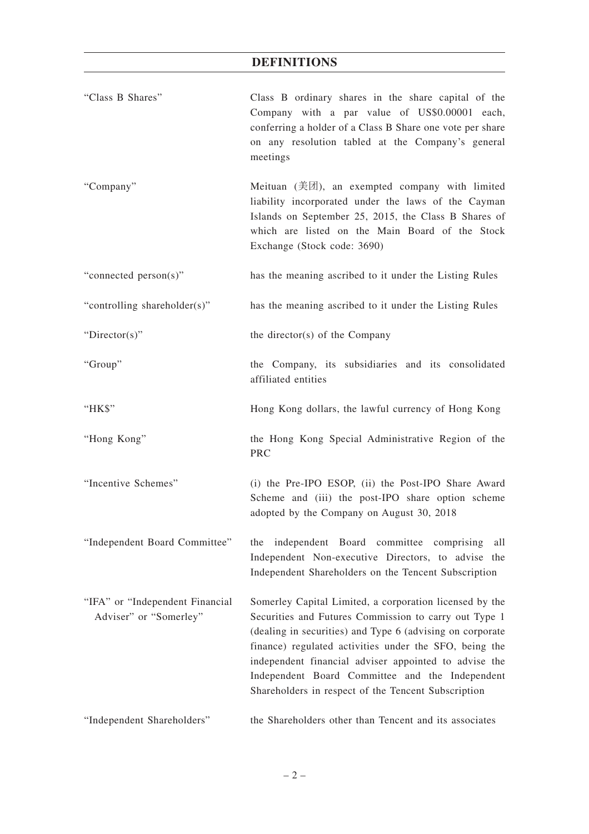| "Class B Shares"                                          | Class B ordinary shares in the share capital of the<br>Company with a par value of US\$0.00001 each,<br>conferring a holder of a Class B Share one vote per share<br>on any resolution tabled at the Company's general<br>meetings                                                                                                                                                                         |
|-----------------------------------------------------------|------------------------------------------------------------------------------------------------------------------------------------------------------------------------------------------------------------------------------------------------------------------------------------------------------------------------------------------------------------------------------------------------------------|
| "Company"                                                 | Meituan $(\check{\#}\mathbb{Z})$ , an exempted company with limited<br>liability incorporated under the laws of the Cayman<br>Islands on September 25, 2015, the Class B Shares of<br>which are listed on the Main Board of the Stock<br>Exchange (Stock code: 3690)                                                                                                                                       |
| "connected person(s)"                                     | has the meaning ascribed to it under the Listing Rules                                                                                                                                                                                                                                                                                                                                                     |
| "controlling shareholder(s)"                              | has the meaning ascribed to it under the Listing Rules                                                                                                                                                                                                                                                                                                                                                     |
| " $Directory$ "                                           | the director(s) of the Company                                                                                                                                                                                                                                                                                                                                                                             |
| "Group"                                                   | the Company, its subsidiaries and its consolidated<br>affiliated entities                                                                                                                                                                                                                                                                                                                                  |
| "HK\$"                                                    | Hong Kong dollars, the lawful currency of Hong Kong                                                                                                                                                                                                                                                                                                                                                        |
| "Hong Kong"                                               | the Hong Kong Special Administrative Region of the<br><b>PRC</b>                                                                                                                                                                                                                                                                                                                                           |
| "Incentive Schemes"                                       | (i) the Pre-IPO ESOP, (ii) the Post-IPO Share Award<br>Scheme and (iii) the post-IPO share option scheme<br>adopted by the Company on August 30, 2018                                                                                                                                                                                                                                                      |
| "Independent Board Committee"                             | independent Board committee comprising<br>all<br>the<br>Independent Non-executive Directors, to advise the<br>Independent Shareholders on the Tencent Subscription                                                                                                                                                                                                                                         |
| "IFA" or "Independent Financial<br>Adviser" or "Somerley" | Somerley Capital Limited, a corporation licensed by the<br>Securities and Futures Commission to carry out Type 1<br>(dealing in securities) and Type 6 (advising on corporate<br>finance) regulated activities under the SFO, being the<br>independent financial adviser appointed to advise the<br>Independent Board Committee and the Independent<br>Shareholders in respect of the Tencent Subscription |
| "Independent Shareholders"                                | the Shareholders other than Tencent and its associates                                                                                                                                                                                                                                                                                                                                                     |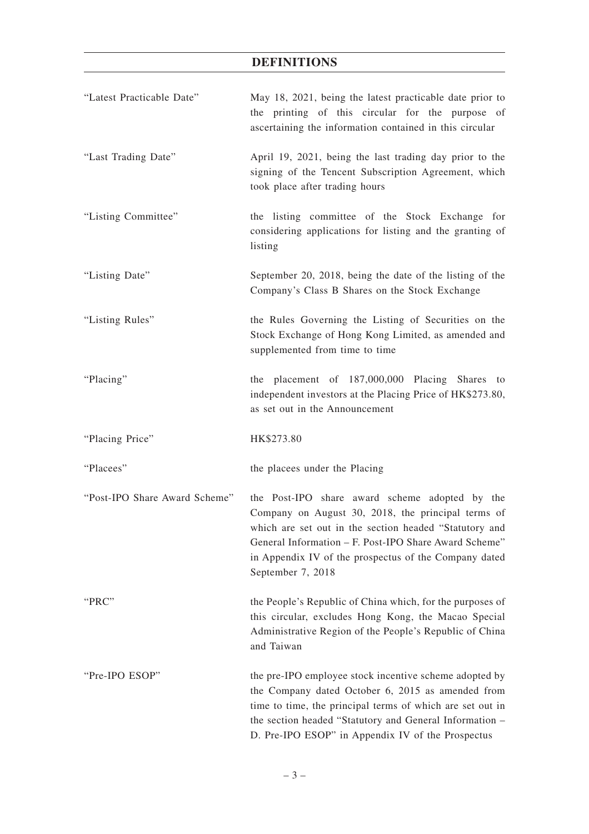| "Latest Practicable Date"     | May 18, 2021, being the latest practicable date prior to<br>the printing of this circular for the purpose of<br>ascertaining the information contained in this circular                                                                                                                               |
|-------------------------------|-------------------------------------------------------------------------------------------------------------------------------------------------------------------------------------------------------------------------------------------------------------------------------------------------------|
| "Last Trading Date"           | April 19, 2021, being the last trading day prior to the<br>signing of the Tencent Subscription Agreement, which<br>took place after trading hours                                                                                                                                                     |
| "Listing Committee"           | the listing committee of the Stock Exchange for<br>considering applications for listing and the granting of<br>listing                                                                                                                                                                                |
| "Listing Date"                | September 20, 2018, being the date of the listing of the<br>Company's Class B Shares on the Stock Exchange                                                                                                                                                                                            |
| "Listing Rules"               | the Rules Governing the Listing of Securities on the<br>Stock Exchange of Hong Kong Limited, as amended and<br>supplemented from time to time                                                                                                                                                         |
| "Placing"                     | the placement of 187,000,000 Placing Shares to<br>independent investors at the Placing Price of HK\$273.80,<br>as set out in the Announcement                                                                                                                                                         |
| "Placing Price"               | HK\$273.80                                                                                                                                                                                                                                                                                            |
| "Placees"                     | the placees under the Placing                                                                                                                                                                                                                                                                         |
| "Post-IPO Share Award Scheme" | the Post-IPO share award scheme adopted by the<br>Company on August 30, 2018, the principal terms of<br>which are set out in the section headed "Statutory and<br>General Information – F. Post-IPO Share Award Scheme"<br>in Appendix IV of the prospectus of the Company dated<br>September 7, 2018 |
| "PRC"                         | the People's Republic of China which, for the purposes of<br>this circular, excludes Hong Kong, the Macao Special<br>Administrative Region of the People's Republic of China<br>and Taiwan                                                                                                            |
| "Pre-IPO ESOP"                | the pre-IPO employee stock incentive scheme adopted by<br>the Company dated October 6, 2015 as amended from<br>time to time, the principal terms of which are set out in<br>the section headed "Statutory and General Information -<br>D. Pre-IPO ESOP" in Appendix IV of the Prospectus              |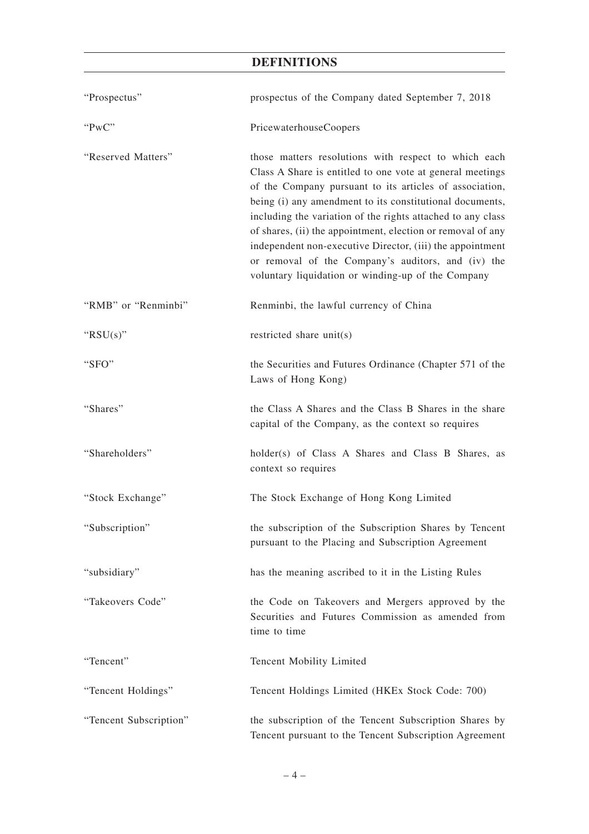| "Prospectus"           | prospectus of the Company dated September 7, 2018                                                                                                                                                                                                                                                                                                                                                                                                                                                                                               |
|------------------------|-------------------------------------------------------------------------------------------------------------------------------------------------------------------------------------------------------------------------------------------------------------------------------------------------------------------------------------------------------------------------------------------------------------------------------------------------------------------------------------------------------------------------------------------------|
| "PwC"                  | PricewaterhouseCoopers                                                                                                                                                                                                                                                                                                                                                                                                                                                                                                                          |
| "Reserved Matters"     | those matters resolutions with respect to which each<br>Class A Share is entitled to one vote at general meetings<br>of the Company pursuant to its articles of association,<br>being (i) any amendment to its constitutional documents,<br>including the variation of the rights attached to any class<br>of shares, (ii) the appointment, election or removal of any<br>independent non-executive Director, (iii) the appointment<br>or removal of the Company's auditors, and (iv) the<br>voluntary liquidation or winding-up of the Company |
| "RMB" or "Renminbi"    | Renminbi, the lawful currency of China                                                                                                                                                                                                                                                                                                                                                                                                                                                                                                          |
| " $RSU(s)$ "           | restricted share unit(s)                                                                                                                                                                                                                                                                                                                                                                                                                                                                                                                        |
| "SFO"                  | the Securities and Futures Ordinance (Chapter 571 of the<br>Laws of Hong Kong)                                                                                                                                                                                                                                                                                                                                                                                                                                                                  |
| "Shares"               | the Class A Shares and the Class B Shares in the share<br>capital of the Company, as the context so requires                                                                                                                                                                                                                                                                                                                                                                                                                                    |
| "Shareholders"         | holder(s) of Class A Shares and Class B Shares, as<br>context so requires                                                                                                                                                                                                                                                                                                                                                                                                                                                                       |
| "Stock Exchange"       | The Stock Exchange of Hong Kong Limited                                                                                                                                                                                                                                                                                                                                                                                                                                                                                                         |
| "Subscription"         | the subscription of the Subscription Shares by Tencent<br>pursuant to the Placing and Subscription Agreement                                                                                                                                                                                                                                                                                                                                                                                                                                    |
| "subsidiary"           | has the meaning ascribed to it in the Listing Rules                                                                                                                                                                                                                                                                                                                                                                                                                                                                                             |
| "Takeovers Code"       | the Code on Takeovers and Mergers approved by the<br>Securities and Futures Commission as amended from<br>time to time                                                                                                                                                                                                                                                                                                                                                                                                                          |
| "Tencent"              | Tencent Mobility Limited                                                                                                                                                                                                                                                                                                                                                                                                                                                                                                                        |
| "Tencent Holdings"     | Tencent Holdings Limited (HKEx Stock Code: 700)                                                                                                                                                                                                                                                                                                                                                                                                                                                                                                 |
| "Tencent Subscription" | the subscription of the Tencent Subscription Shares by<br>Tencent pursuant to the Tencent Subscription Agreement                                                                                                                                                                                                                                                                                                                                                                                                                                |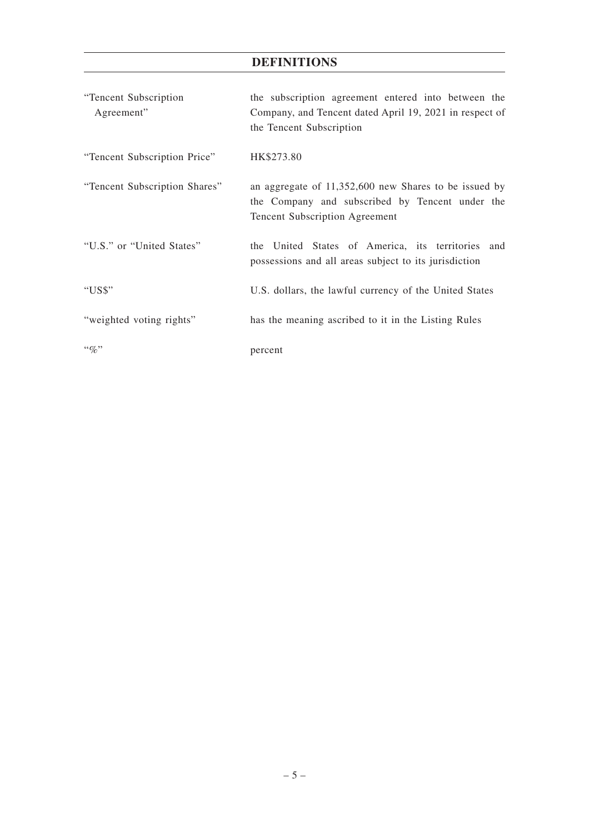| "Tencent Subscription<br>Agreement" | the subscription agreement entered into between the<br>Company, and Tencent dated April 19, 2021 in respect of<br>the Tencent Subscription        |
|-------------------------------------|---------------------------------------------------------------------------------------------------------------------------------------------------|
| "Tencent Subscription Price"        | HK\$273.80                                                                                                                                        |
| "Tencent Subscription Shares"       | an aggregate of 11,352,600 new Shares to be issued by<br>the Company and subscribed by Tencent under the<br><b>Tencent Subscription Agreement</b> |
| "U.S." or "United States"           | the United States of America, its territories and<br>possessions and all areas subject to its jurisdiction                                        |
| "US\$"                              | U.S. dollars, the lawful currency of the United States                                                                                            |
| "weighted voting rights"            | has the meaning ascribed to it in the Listing Rules                                                                                               |
| $\lq\lq q_0$ "                      | percent                                                                                                                                           |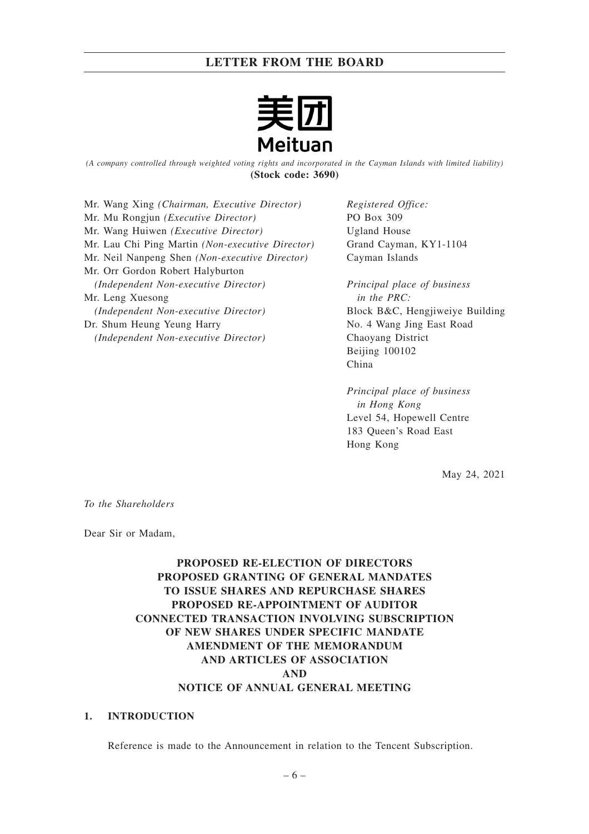

*(A company controlled through weighted voting rights and incorporated in the Cayman Islands with limited liability)* **(Stock code: 3690)**

Mr. Wang Xing *(Chairman, Executive Director)* Mr. Mu Rongjun *(Executive Director)* Mr. Wang Huiwen *(Executive Director)* Mr. Lau Chi Ping Martin *(Non-executive Director)* Mr. Neil Nanpeng Shen *(Non-executive Director)* Mr. Orr Gordon Robert Halyburton *(Independent Non-executive Director)* Mr. Leng Xuesong *(Independent Non-executive Director)* Dr. Shum Heung Yeung Harry *(Independent Non-executive Director)*

*Registered Office:* PO Box 309 Ugland House Grand Cayman, KY1-1104 Cayman Islands

*Principal place of business in the PRC:* Block B&C, Hengjiweiye Building No. 4 Wang Jing East Road Chaoyang District Beijing 100102 China

*Principal place of business in Hong Kong* Level 54, Hopewell Centre 183 Queen's Road East Hong Kong

May 24, 2021

*To the Shareholders*

Dear Sir or Madam,

## **PROPOSED RE-ELECTION OF DIRECTORS PROPOSED GRANTING OF GENERAL MANDATES TO ISSUE SHARES AND REPURCHASE SHARES PROPOSED RE-APPOINTMENT OF AUDITOR CONNECTED TRANSACTION INVOLVING SUBSCRIPTION OF NEW SHARES UNDER SPECIFIC MANDATE AMENDMENT OF THE MEMORANDUM AND ARTICLES OF ASSOCIATION AND NOTICE OF ANNUAL GENERAL MEETING**

## **1. INTRODUCTION**

Reference is made to the Announcement in relation to the Tencent Subscription.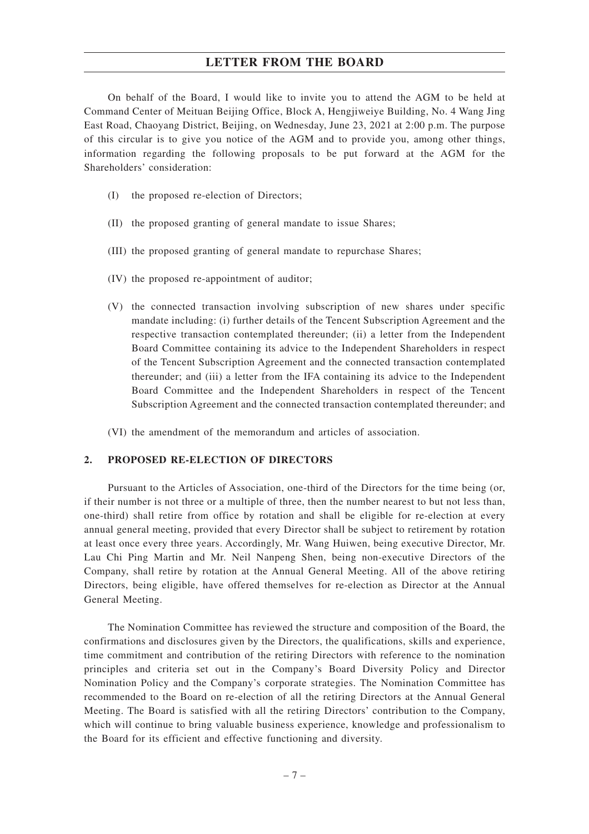On behalf of the Board, I would like to invite you to attend the AGM to be held at Command Center of Meituan Beijing Office, Block A, Hengjiweiye Building, No. 4 Wang Jing East Road, Chaoyang District, Beijing, on Wednesday, June 23, 2021 at 2:00 p.m. The purpose of this circular is to give you notice of the AGM and to provide you, among other things, information regarding the following proposals to be put forward at the AGM for the Shareholders' consideration:

- (I) the proposed re-election of Directors;
- (II) the proposed granting of general mandate to issue Shares;
- (III) the proposed granting of general mandate to repurchase Shares;
- (IV) the proposed re-appointment of auditor;
- (V) the connected transaction involving subscription of new shares under specific mandate including: (i) further details of the Tencent Subscription Agreement and the respective transaction contemplated thereunder; (ii) a letter from the Independent Board Committee containing its advice to the Independent Shareholders in respect of the Tencent Subscription Agreement and the connected transaction contemplated thereunder; and (iii) a letter from the IFA containing its advice to the Independent Board Committee and the Independent Shareholders in respect of the Tencent Subscription Agreement and the connected transaction contemplated thereunder; and

(VI) the amendment of the memorandum and articles of association.

## **2. PROPOSED RE-ELECTION OF DIRECTORS**

Pursuant to the Articles of Association, one-third of the Directors for the time being (or, if their number is not three or a multiple of three, then the number nearest to but not less than, one-third) shall retire from office by rotation and shall be eligible for re-election at every annual general meeting, provided that every Director shall be subject to retirement by rotation at least once every three years. Accordingly, Mr. Wang Huiwen, being executive Director, Mr. Lau Chi Ping Martin and Mr. Neil Nanpeng Shen, being non-executive Directors of the Company, shall retire by rotation at the Annual General Meeting. All of the above retiring Directors, being eligible, have offered themselves for re-election as Director at the Annual General Meeting.

The Nomination Committee has reviewed the structure and composition of the Board, the confirmations and disclosures given by the Directors, the qualifications, skills and experience, time commitment and contribution of the retiring Directors with reference to the nomination principles and criteria set out in the Company's Board Diversity Policy and Director Nomination Policy and the Company's corporate strategies. The Nomination Committee has recommended to the Board on re-election of all the retiring Directors at the Annual General Meeting. The Board is satisfied with all the retiring Directors' contribution to the Company, which will continue to bring valuable business experience, knowledge and professionalism to the Board for its efficient and effective functioning and diversity.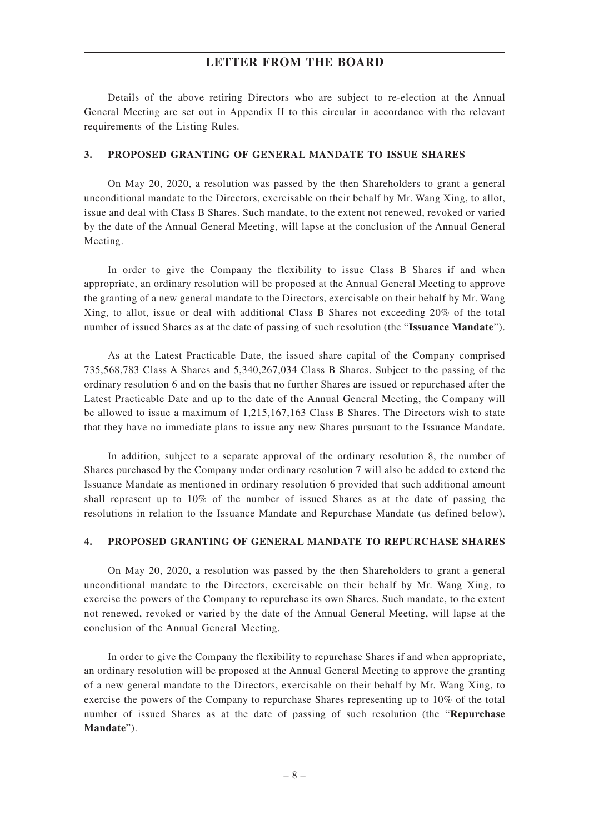Details of the above retiring Directors who are subject to re-election at the Annual General Meeting are set out in Appendix II to this circular in accordance with the relevant requirements of the Listing Rules.

## **3. PROPOSED GRANTING OF GENERAL MANDATE TO ISSUE SHARES**

On May 20, 2020, a resolution was passed by the then Shareholders to grant a general unconditional mandate to the Directors, exercisable on their behalf by Mr. Wang Xing, to allot, issue and deal with Class B Shares. Such mandate, to the extent not renewed, revoked or varied by the date of the Annual General Meeting, will lapse at the conclusion of the Annual General Meeting.

In order to give the Company the flexibility to issue Class B Shares if and when appropriate, an ordinary resolution will be proposed at the Annual General Meeting to approve the granting of a new general mandate to the Directors, exercisable on their behalf by Mr. Wang Xing, to allot, issue or deal with additional Class B Shares not exceeding 20% of the total number of issued Shares as at the date of passing of such resolution (the "**Issuance Mandate**").

As at the Latest Practicable Date, the issued share capital of the Company comprised 735,568,783 Class A Shares and 5,340,267,034 Class B Shares. Subject to the passing of the ordinary resolution 6 and on the basis that no further Shares are issued or repurchased after the Latest Practicable Date and up to the date of the Annual General Meeting, the Company will be allowed to issue a maximum of 1,215,167,163 Class B Shares. The Directors wish to state that they have no immediate plans to issue any new Shares pursuant to the Issuance Mandate.

In addition, subject to a separate approval of the ordinary resolution 8, the number of Shares purchased by the Company under ordinary resolution 7 will also be added to extend the Issuance Mandate as mentioned in ordinary resolution 6 provided that such additional amount shall represent up to 10% of the number of issued Shares as at the date of passing the resolutions in relation to the Issuance Mandate and Repurchase Mandate (as defined below).

### **4. PROPOSED GRANTING OF GENERAL MANDATE TO REPURCHASE SHARES**

On May 20, 2020, a resolution was passed by the then Shareholders to grant a general unconditional mandate to the Directors, exercisable on their behalf by Mr. Wang Xing, to exercise the powers of the Company to repurchase its own Shares. Such mandate, to the extent not renewed, revoked or varied by the date of the Annual General Meeting, will lapse at the conclusion of the Annual General Meeting.

In order to give the Company the flexibility to repurchase Shares if and when appropriate, an ordinary resolution will be proposed at the Annual General Meeting to approve the granting of a new general mandate to the Directors, exercisable on their behalf by Mr. Wang Xing, to exercise the powers of the Company to repurchase Shares representing up to 10% of the total number of issued Shares as at the date of passing of such resolution (the "**Repurchase Mandate**").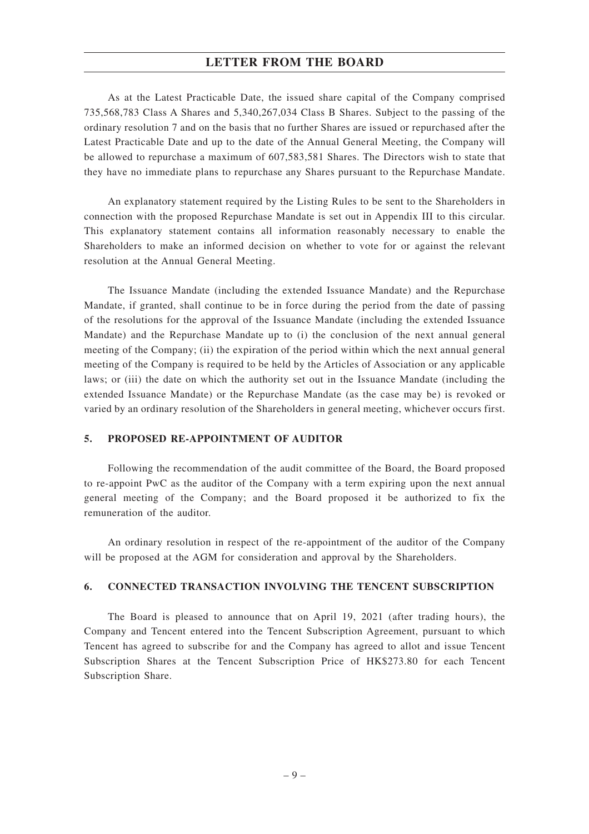As at the Latest Practicable Date, the issued share capital of the Company comprised 735,568,783 Class A Shares and 5,340,267,034 Class B Shares. Subject to the passing of the ordinary resolution 7 and on the basis that no further Shares are issued or repurchased after the Latest Practicable Date and up to the date of the Annual General Meeting, the Company will be allowed to repurchase a maximum of 607,583,581 Shares. The Directors wish to state that they have no immediate plans to repurchase any Shares pursuant to the Repurchase Mandate.

An explanatory statement required by the Listing Rules to be sent to the Shareholders in connection with the proposed Repurchase Mandate is set out in Appendix III to this circular. This explanatory statement contains all information reasonably necessary to enable the Shareholders to make an informed decision on whether to vote for or against the relevant resolution at the Annual General Meeting.

The Issuance Mandate (including the extended Issuance Mandate) and the Repurchase Mandate, if granted, shall continue to be in force during the period from the date of passing of the resolutions for the approval of the Issuance Mandate (including the extended Issuance Mandate) and the Repurchase Mandate up to (i) the conclusion of the next annual general meeting of the Company; (ii) the expiration of the period within which the next annual general meeting of the Company is required to be held by the Articles of Association or any applicable laws; or (iii) the date on which the authority set out in the Issuance Mandate (including the extended Issuance Mandate) or the Repurchase Mandate (as the case may be) is revoked or varied by an ordinary resolution of the Shareholders in general meeting, whichever occurs first.

#### **5. PROPOSED RE-APPOINTMENT OF AUDITOR**

Following the recommendation of the audit committee of the Board, the Board proposed to re-appoint PwC as the auditor of the Company with a term expiring upon the next annual general meeting of the Company; and the Board proposed it be authorized to fix the remuneration of the auditor.

An ordinary resolution in respect of the re-appointment of the auditor of the Company will be proposed at the AGM for consideration and approval by the Shareholders.

### **6. CONNECTED TRANSACTION INVOLVING THE TENCENT SUBSCRIPTION**

The Board is pleased to announce that on April 19, 2021 (after trading hours), the Company and Tencent entered into the Tencent Subscription Agreement, pursuant to which Tencent has agreed to subscribe for and the Company has agreed to allot and issue Tencent Subscription Shares at the Tencent Subscription Price of HK\$273.80 for each Tencent Subscription Share.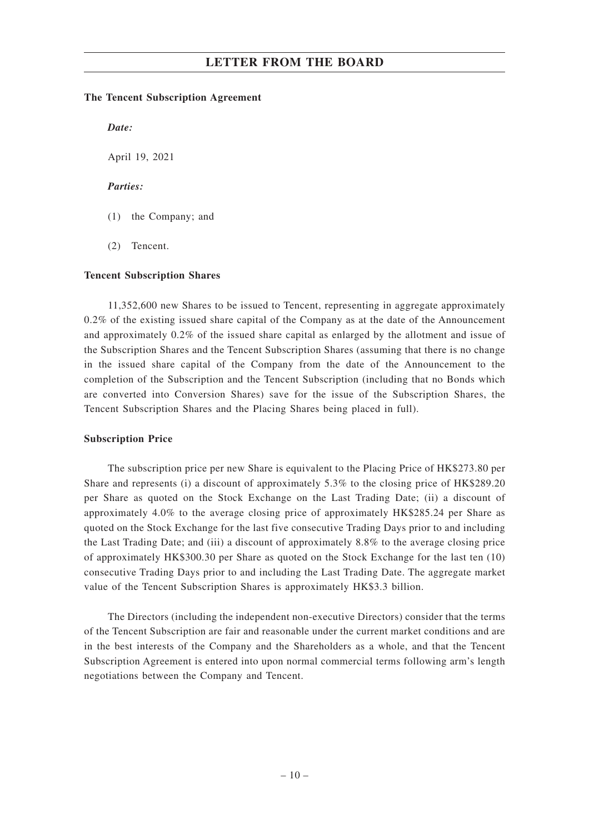#### **The Tencent Subscription Agreement**

*Date:*

April 19, 2021

#### *Parties:*

- (1) the Company; and
- (2) Tencent.

#### **Tencent Subscription Shares**

11,352,600 new Shares to be issued to Tencent, representing in aggregate approximately 0.2% of the existing issued share capital of the Company as at the date of the Announcement and approximately 0.2% of the issued share capital as enlarged by the allotment and issue of the Subscription Shares and the Tencent Subscription Shares (assuming that there is no change in the issued share capital of the Company from the date of the Announcement to the completion of the Subscription and the Tencent Subscription (including that no Bonds which are converted into Conversion Shares) save for the issue of the Subscription Shares, the Tencent Subscription Shares and the Placing Shares being placed in full).

#### **Subscription Price**

The subscription price per new Share is equivalent to the Placing Price of HK\$273.80 per Share and represents (i) a discount of approximately 5.3% to the closing price of HK\$289.20 per Share as quoted on the Stock Exchange on the Last Trading Date; (ii) a discount of approximately 4.0% to the average closing price of approximately HK\$285.24 per Share as quoted on the Stock Exchange for the last five consecutive Trading Days prior to and including the Last Trading Date; and (iii) a discount of approximately 8.8% to the average closing price of approximately HK\$300.30 per Share as quoted on the Stock Exchange for the last ten (10) consecutive Trading Days prior to and including the Last Trading Date. The aggregate market value of the Tencent Subscription Shares is approximately HK\$3.3 billion.

The Directors (including the independent non-executive Directors) consider that the terms of the Tencent Subscription are fair and reasonable under the current market conditions and are in the best interests of the Company and the Shareholders as a whole, and that the Tencent Subscription Agreement is entered into upon normal commercial terms following arm's length negotiations between the Company and Tencent.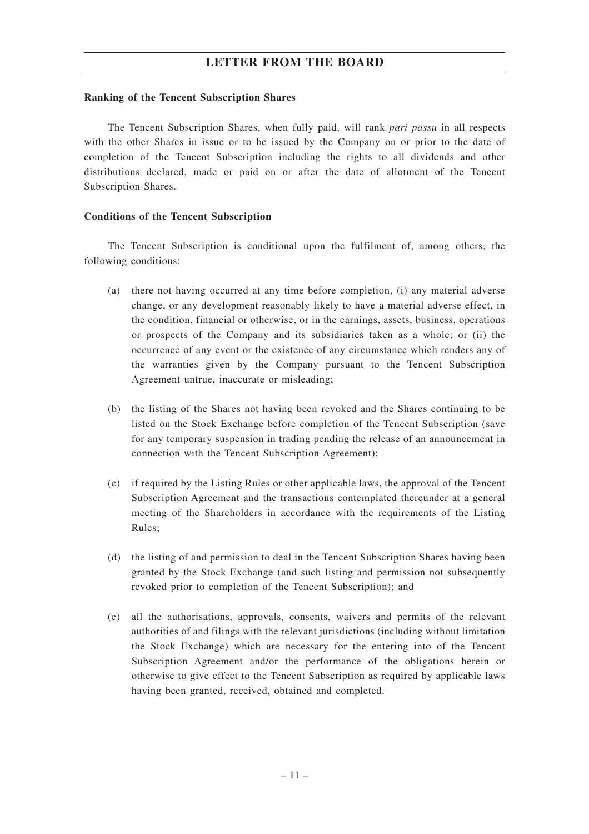#### **Ranking of the Tencent Subscription Shares**

The Tencent Subscription Shares, when fully paid, will rank *pari passu* in all respects with the other Shares in issue or to be issued by the Company on or prior to the date of completion of the Tencent Subscription including the rights to all dividends and other distributions declared, made or paid on or after the date of allotment of the Tencent Subscription Shares.

#### **Conditions of the Tencent Subscription**

The Tencent Subscription is conditional upon the fulfilment of, among others, the following conditions:

- (a) there not having occurred at any time before completion, (i) any material adverse change, or any development reasonably likely to have a material adverse effect, in the condition, financial or otherwise, or in the earnings, assets, business, operations or prospects of the Company and its subsidiaries taken as a whole; or (ii) the occurrence of any event or the existence of any circumstance which renders any of the warranties given by the Company pursuant to the Tencent Subscription Agreement untrue, inaccurate or misleading;
- (b) the listing of the Shares not having been revoked and the Shares continuing to be listed on the Stock Exchange before completion of the Tencent Subscription (save for any temporary suspension in trading pending the release of an announcement in connection with the Tencent Subscription Agreement);
- (c) if required by the Listing Rules or other applicable laws, the approval of the Tencent Subscription Agreement and the transactions contemplated thereunder at a general meeting of the Shareholders in accordance with the requirements of the Listing Rules;
- (d) the listing of and permission to deal in the Tencent Subscription Shares having been granted by the Stock Exchange (and such listing and permission not subsequently revoked prior to completion of the Tencent Subscription); and
- (e) all the authorisations, approvals, consents, waivers and permits of the relevant authorities of and filings with the relevant jurisdictions (including without limitation the Stock Exchange) which are necessary for the entering into of the Tencent Subscription Agreement and/or the performance of the obligations herein or otherwise to give effect to the Tencent Subscription as required by applicable laws having been granted, received, obtained and completed.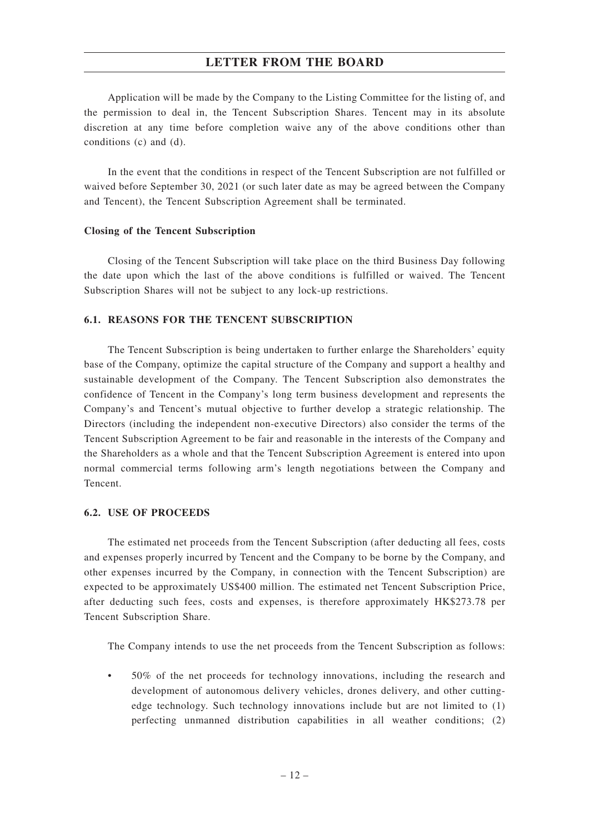Application will be made by the Company to the Listing Committee for the listing of, and the permission to deal in, the Tencent Subscription Shares. Tencent may in its absolute discretion at any time before completion waive any of the above conditions other than conditions (c) and (d).

In the event that the conditions in respect of the Tencent Subscription are not fulfilled or waived before September 30, 2021 (or such later date as may be agreed between the Company and Tencent), the Tencent Subscription Agreement shall be terminated.

#### **Closing of the Tencent Subscription**

Closing of the Tencent Subscription will take place on the third Business Day following the date upon which the last of the above conditions is fulfilled or waived. The Tencent Subscription Shares will not be subject to any lock-up restrictions.

#### **6.1. REASONS FOR THE TENCENT SUBSCRIPTION**

The Tencent Subscription is being undertaken to further enlarge the Shareholders' equity base of the Company, optimize the capital structure of the Company and support a healthy and sustainable development of the Company. The Tencent Subscription also demonstrates the confidence of Tencent in the Company's long term business development and represents the Company's and Tencent's mutual objective to further develop a strategic relationship. The Directors (including the independent non-executive Directors) also consider the terms of the Tencent Subscription Agreement to be fair and reasonable in the interests of the Company and the Shareholders as a whole and that the Tencent Subscription Agreement is entered into upon normal commercial terms following arm's length negotiations between the Company and Tencent.

#### **6.2. USE OF PROCEEDS**

The estimated net proceeds from the Tencent Subscription (after deducting all fees, costs and expenses properly incurred by Tencent and the Company to be borne by the Company, and other expenses incurred by the Company, in connection with the Tencent Subscription) are expected to be approximately US\$400 million. The estimated net Tencent Subscription Price, after deducting such fees, costs and expenses, is therefore approximately HK\$273.78 per Tencent Subscription Share.

The Company intends to use the net proceeds from the Tencent Subscription as follows:

• 50% of the net proceeds for technology innovations, including the research and development of autonomous delivery vehicles, drones delivery, and other cuttingedge technology. Such technology innovations include but are not limited to (1) perfecting unmanned distribution capabilities in all weather conditions; (2)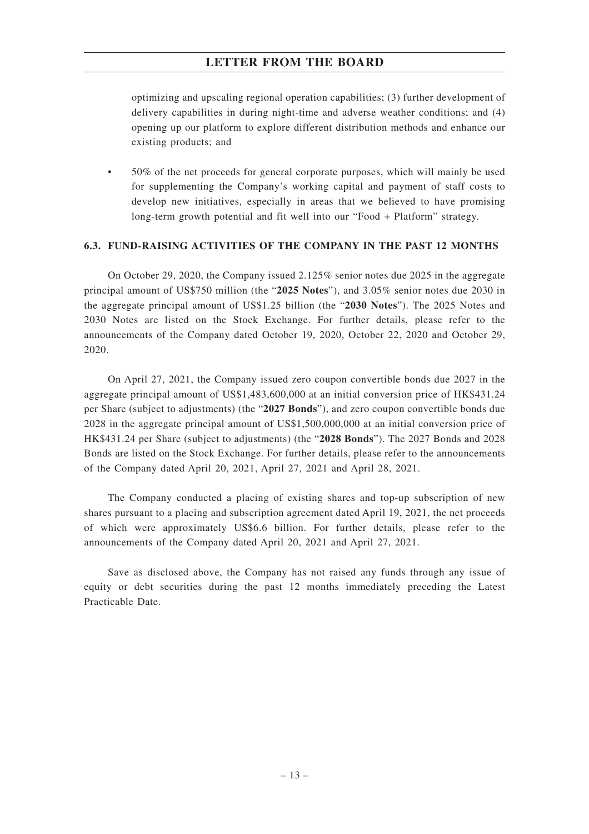optimizing and upscaling regional operation capabilities; (3) further development of delivery capabilities in during night-time and adverse weather conditions; and (4) opening up our platform to explore different distribution methods and enhance our existing products; and

• 50% of the net proceeds for general corporate purposes, which will mainly be used for supplementing the Company's working capital and payment of staff costs to develop new initiatives, especially in areas that we believed to have promising long-term growth potential and fit well into our "Food + Platform" strategy.

## **6.3. FUND-RAISING ACTIVITIES OF THE COMPANY IN THE PAST 12 MONTHS**

On October 29, 2020, the Company issued 2.125% senior notes due 2025 in the aggregate principal amount of US\$750 million (the "**2025 Notes**"), and 3.05% senior notes due 2030 in the aggregate principal amount of US\$1.25 billion (the "**2030 Notes**"). The 2025 Notes and 2030 Notes are listed on the Stock Exchange. For further details, please refer to the announcements of the Company dated October 19, 2020, October 22, 2020 and October 29, 2020.

On April 27, 2021, the Company issued zero coupon convertible bonds due 2027 in the aggregate principal amount of US\$1,483,600,000 at an initial conversion price of HK\$431.24 per Share (subject to adjustments) (the "**2027 Bonds**"), and zero coupon convertible bonds due 2028 in the aggregate principal amount of US\$1,500,000,000 at an initial conversion price of HK\$431.24 per Share (subject to adjustments) (the "**2028 Bonds**"). The 2027 Bonds and 2028 Bonds are listed on the Stock Exchange. For further details, please refer to the announcements of the Company dated April 20, 2021, April 27, 2021 and April 28, 2021.

The Company conducted a placing of existing shares and top-up subscription of new shares pursuant to a placing and subscription agreement dated April 19, 2021, the net proceeds of which were approximately US\$6.6 billion. For further details, please refer to the announcements of the Company dated April 20, 2021 and April 27, 2021.

Save as disclosed above, the Company has not raised any funds through any issue of equity or debt securities during the past 12 months immediately preceding the Latest Practicable Date.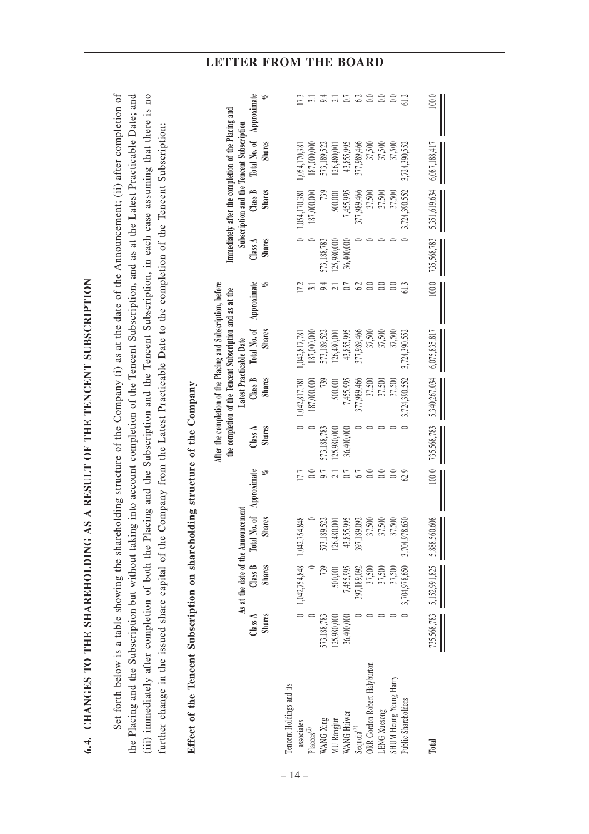| 6.4. CHANGES TO THE SHAREHOLDING                                                                                                                                                                                                                                                                                                                                                                                                                                                                                                                                                                      |                          |                                 |                                                                                 |      |                          | AS A RESULT OF THE TENCENT SUBSCRIPTION                                                                                  |                                          |                               |                                  |                          |                                                                                        |                         |
|-------------------------------------------------------------------------------------------------------------------------------------------------------------------------------------------------------------------------------------------------------------------------------------------------------------------------------------------------------------------------------------------------------------------------------------------------------------------------------------------------------------------------------------------------------------------------------------------------------|--------------------------|---------------------------------|---------------------------------------------------------------------------------|------|--------------------------|--------------------------------------------------------------------------------------------------------------------------|------------------------------------------|-------------------------------|----------------------------------|--------------------------|----------------------------------------------------------------------------------------|-------------------------|
| Set forth below is a table showing the shareholding structure of the Company (i) as at the date of the Announcement; (ii) after completion of<br>(iii) immediately after completion of both the Placing and the Subscription and the Tencent Subscription, in each case assuming that there is no<br>the Placing and the Subscription but without taking into account completion of the Tencent Subscription, and as at the Latest Practicable Date; and<br>further change in the issued share capital of the Company from the Latest Practicable Date to the completion of the Tencent Subscription: |                          |                                 |                                                                                 |      |                          |                                                                                                                          |                                          |                               |                                  |                          |                                                                                        |                         |
| Effect of the Tencent Subscription on shareholding structure of the Company                                                                                                                                                                                                                                                                                                                                                                                                                                                                                                                           |                          |                                 |                                                                                 |      |                          |                                                                                                                          |                                          |                               |                                  |                          |                                                                                        |                         |
|                                                                                                                                                                                                                                                                                                                                                                                                                                                                                                                                                                                                       |                          |                                 |                                                                                 |      |                          | After the completion of the Placing and Subscription, before<br>the completion of the Tencent Subscription and as at the |                                          |                               |                                  |                          | Immediately after the completion of the Placing and                                    |                         |
|                                                                                                                                                                                                                                                                                                                                                                                                                                                                                                                                                                                                       | <b>Shares</b><br>Class A | Class B<br><b>Shares</b>        | Total No. of Approximate<br>As at the date of the Announcement<br><b>Shares</b> | PS.  | <b>Shares</b><br>Class A | Class B<br><b>Shares</b>                                                                                                 | <b>Shares</b><br>Latest Practicable Date | Total No. of Approximate<br>o | <b>Shares</b><br>Class $\Lambda$ | Class B<br><b>Shares</b> | Total No. of Approximate<br>Subscription and the Tencent Subscription<br><b>Shares</b> | e<br>S                  |
| Tencent Holdings and its                                                                                                                                                                                                                                                                                                                                                                                                                                                                                                                                                                              |                          |                                 |                                                                                 |      |                          |                                                                                                                          |                                          |                               |                                  |                          |                                                                                        |                         |
| associates                                                                                                                                                                                                                                                                                                                                                                                                                                                                                                                                                                                            |                          | $0$ 1,042,754,848 1,042,754,848 |                                                                                 | 17.7 |                          | 1,042,817,781                                                                                                            | 1,042,817,781                            | 17.2                          |                                  | 1,054,170,381            | 1.054.170.381                                                                          | 17.3                    |
| Placees $(2)$                                                                                                                                                                                                                                                                                                                                                                                                                                                                                                                                                                                         |                          |                                 |                                                                                 | 0.0  |                          | 187,000,000                                                                                                              | 187,000,000                              |                               |                                  | 187,000,000              | 187,000,000                                                                            | 3.1                     |
| WANG Xing                                                                                                                                                                                                                                                                                                                                                                                                                                                                                                                                                                                             | 573,188,783              | 739                             | 573,189,522                                                                     | 9.7  | 573,188,783              | 739                                                                                                                      | 573,189,522                              | 9.4                           | 573,188,783                      | 739                      | 573,189,522                                                                            | $9.1$<br>$2.1$<br>$0.2$ |
| MU Rongjun                                                                                                                                                                                                                                                                                                                                                                                                                                                                                                                                                                                            | 125.980.000              | 500,001                         | 126,480,001                                                                     |      | 25,980,000               | 500,001                                                                                                                  | 26,480,001                               |                               | 125,980,000                      | 500,001                  | 126,480,001                                                                            |                         |
| WANG Huiwen                                                                                                                                                                                                                                                                                                                                                                                                                                                                                                                                                                                           | 36,400,000               | 7,455,995                       | 43,855,995                                                                      | 0.7  | 36,400,000               | 7,455,995                                                                                                                | 43,855,995                               |                               | 36,400,000                       | 7,455,995                | 43,855,995                                                                             |                         |
| Sequoia $^{(3)}$                                                                                                                                                                                                                                                                                                                                                                                                                                                                                                                                                                                      |                          | 397,189,092                     | 189,092<br>397,1                                                                | 6.7  |                          | 377,989,466                                                                                                              | 377,989,466                              | 6.2                           |                                  | 377,989,466              | 377,989,466                                                                            |                         |
| ORR Gordon Robert Halyburton                                                                                                                                                                                                                                                                                                                                                                                                                                                                                                                                                                          |                          | 37,500                          | 37,500                                                                          | 0.0  |                          | 37,500                                                                                                                   | 37,500                                   | $\overline{0.0}$              |                                  | 37,500                   | 37,500                                                                                 | 0.0                     |

|                               |               |                                    |                                                         |                    |               |               | and the contract of the contract of the contract of the contract of the contract of the contract of the contract of the contract of the contract of the contract of the contract of the contract of the contract of the contra |             |               |               | num Suram + am no mondum + ann faammann   |     |
|-------------------------------|---------------|------------------------------------|---------------------------------------------------------|--------------------|---------------|---------------|--------------------------------------------------------------------------------------------------------------------------------------------------------------------------------------------------------------------------------|-------------|---------------|---------------|-------------------------------------------|-----|
|                               |               | As at the date of the Announcement |                                                         |                    |               |               | Latest Practicable Date                                                                                                                                                                                                        |             |               |               | Subscription and the Tencent Subscription |     |
|                               | Class A       | Class B Total                      |                                                         | No. of Approximate | Class A       | Class B       | Total No. of                                                                                                                                                                                                                   | Approximate | Class $A$     | Class B       | Total No. of Approximate                  |     |
|                               | <b>Shares</b> | <b>Shares</b>                      | <b>Shares</b>                                           |                    | <b>Shares</b> | <b>Shares</b> | <b>Shares</b>                                                                                                                                                                                                                  |             | <b>Shares</b> | <b>Shares</b> | <b>Shares</b>                             |     |
| Tencent Holdings and its      |               |                                    |                                                         |                    |               |               |                                                                                                                                                                                                                                |             |               |               |                                           |     |
| associates                    |               | 0 1,042,754,848 1,042,754,848      |                                                         |                    |               | 1,042,817,781 | 1,042,817,781                                                                                                                                                                                                                  |             |               | 1,054,170,381 | ,054,170,381                              |     |
| $Places^{(2)}$                |               |                                    |                                                         |                    |               | 187,000,000   | 187,000,000                                                                                                                                                                                                                    |             |               | 87,000,000    | 187,000,000                               |     |
| <b>NANG Xing</b>              | 573,188,783   | 739                                |                                                         |                    | 73,188,78     |               | 573,189,522                                                                                                                                                                                                                    |             | 73,188,783    |               | 573,189,522                               |     |
| AU Rongjun                    | 25,980,000    | 500,001                            |                                                         |                    | 25,980,000    | 500,001       | 26,480,001                                                                                                                                                                                                                     |             | 25,980,000    | 500,001       | 126,480,001                               |     |
| VANG Huiwen                   | 36,400,000    | 7,455,995                          | 573,189,522<br>126,480,001<br>43,855,995<br>397,189,092 |                    | 6,400,000     | 7,455,995     | 43,855,995                                                                                                                                                                                                                     |             | 36,400,000    | 7,455,995     | 43,855,995                                |     |
| Sequoia <sup>(3)</sup>        |               | 397,189,092                        |                                                         |                    |               | 377,989,466   | 377,989,466                                                                                                                                                                                                                    |             |               | 77,989,466    | 177,989,466                               | 62  |
| JRR Gordon Robert Halyburton  |               | 37,500                             | 37,500                                                  |                    |               | 37,500        | 37,500                                                                                                                                                                                                                         |             |               | 37,500        | 37,500                                    | 0.0 |
| <b>ENG Xuesong</b>            |               | 37,500                             | 37,500                                                  |                    |               | 37,500        | 37,500                                                                                                                                                                                                                         |             |               | 37,500        | 37,500                                    | 0.0 |
| <b>SHUM Heung Yeung Harry</b> |               | 37,500                             | 37,500                                                  |                    |               | 37,500        |                                                                                                                                                                                                                                |             |               | 37,500        |                                           |     |
| Public Shareholders           |               | 3,704,978,650                      | 3,704,978,650                                           |                    |               | ,724,390,552  | ,724,390,552                                                                                                                                                                                                                   |             |               | 3,724,390,552 | 3,724,390,551                             |     |
| <b>Total</b>                  | 735,568,783   | 5,152,991,825 5,888,560,608        |                                                         | 100.0              | 735,568,783   | 5,340,267,034 | 6,075,835,817                                                                                                                                                                                                                  | 100.0       | 735,568,783   | 5,351,619,634 | 6,087,188,41                              |     |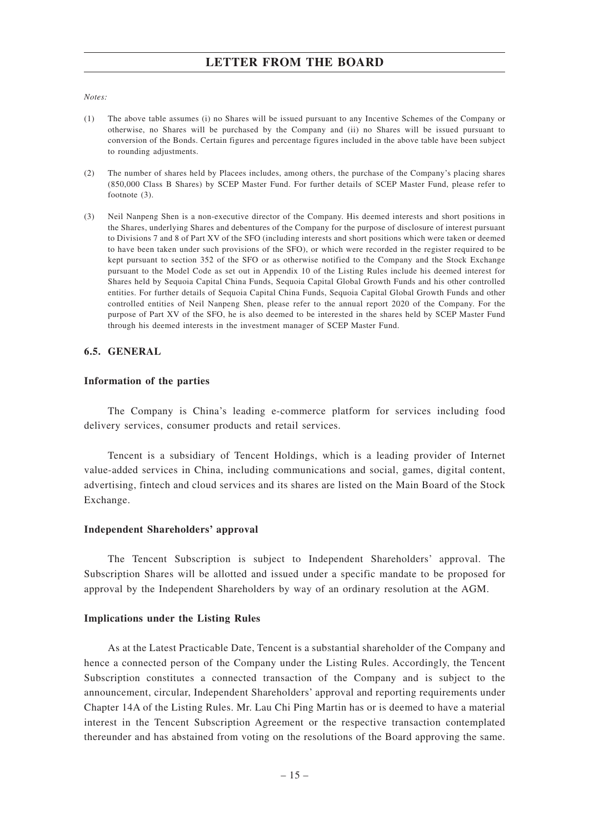#### *Notes:*

- (1) The above table assumes (i) no Shares will be issued pursuant to any Incentive Schemes of the Company or otherwise, no Shares will be purchased by the Company and (ii) no Shares will be issued pursuant to conversion of the Bonds. Certain figures and percentage figures included in the above table have been subject to rounding adjustments.
- (2) The number of shares held by Placees includes, among others, the purchase of the Company's placing shares (850,000 Class B Shares) by SCEP Master Fund. For further details of SCEP Master Fund, please refer to footnote (3).
- (3) Neil Nanpeng Shen is a non-executive director of the Company. His deemed interests and short positions in the Shares, underlying Shares and debentures of the Company for the purpose of disclosure of interest pursuant to Divisions 7 and 8 of Part XV of the SFO (including interests and short positions which were taken or deemed to have been taken under such provisions of the SFO), or which were recorded in the register required to be kept pursuant to section 352 of the SFO or as otherwise notified to the Company and the Stock Exchange pursuant to the Model Code as set out in Appendix 10 of the Listing Rules include his deemed interest for Shares held by Sequoia Capital China Funds, Sequoia Capital Global Growth Funds and his other controlled entities. For further details of Sequoia Capital China Funds, Sequoia Capital Global Growth Funds and other controlled entities of Neil Nanpeng Shen, please refer to the annual report 2020 of the Company. For the purpose of Part XV of the SFO, he is also deemed to be interested in the shares held by SCEP Master Fund through his deemed interests in the investment manager of SCEP Master Fund.

#### **6.5. GENERAL**

#### **Information of the parties**

The Company is China's leading e-commerce platform for services including food delivery services, consumer products and retail services.

Tencent is a subsidiary of Tencent Holdings, which is a leading provider of Internet value-added services in China, including communications and social, games, digital content, advertising, fintech and cloud services and its shares are listed on the Main Board of the Stock Exchange.

#### **Independent Shareholders' approval**

The Tencent Subscription is subject to Independent Shareholders' approval. The Subscription Shares will be allotted and issued under a specific mandate to be proposed for approval by the Independent Shareholders by way of an ordinary resolution at the AGM.

#### **Implications under the Listing Rules**

As at the Latest Practicable Date, Tencent is a substantial shareholder of the Company and hence a connected person of the Company under the Listing Rules. Accordingly, the Tencent Subscription constitutes a connected transaction of the Company and is subject to the announcement, circular, Independent Shareholders' approval and reporting requirements under Chapter 14A of the Listing Rules. Mr. Lau Chi Ping Martin has or is deemed to have a material interest in the Tencent Subscription Agreement or the respective transaction contemplated thereunder and has abstained from voting on the resolutions of the Board approving the same.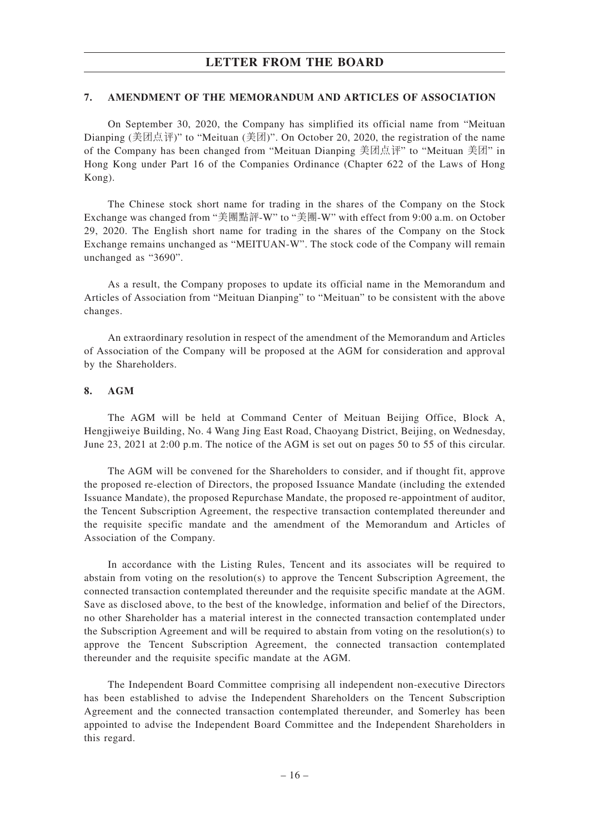#### **7. AMENDMENT OF THE MEMORANDUM AND ARTICLES OF ASSOCIATION**

On September 30, 2020, the Company has simplified its official name from "Meituan Dianping (美团点评)" to "Meituan (美团)". On October 20, 2020, the registration of the name of the Company has been changed from "Meituan Dianping 美團點評" to "Meituan 美團" in Hong Kong under Part 16 of the Companies Ordinance (Chapter 622 of the Laws of Hong Kong).

The Chinese stock short name for trading in the shares of the Company on the Stock Exchange was changed from "美團點評-W" to "美團-W" with effect from 9:00 a.m. on October 29, 2020. The English short name for trading in the shares of the Company on the Stock Exchange remains unchanged as "MEITUAN-W". The stock code of the Company will remain unchanged as "3690".

As a result, the Company proposes to update its official name in the Memorandum and Articles of Association from "Meituan Dianping" to "Meituan" to be consistent with the above changes.

An extraordinary resolution in respect of the amendment of the Memorandum and Articles of Association of the Company will be proposed at the AGM for consideration and approval by the Shareholders.

## **8. AGM**

The AGM will be held at Command Center of Meituan Beijing Office, Block A, Hengjiweiye Building, No. 4 Wang Jing East Road, Chaoyang District, Beijing, on Wednesday, June 23, 2021 at 2:00 p.m. The notice of the AGM is set out on pages 50 to 55 of this circular.

The AGM will be convened for the Shareholders to consider, and if thought fit, approve the proposed re-election of Directors, the proposed Issuance Mandate (including the extended Issuance Mandate), the proposed Repurchase Mandate, the proposed re-appointment of auditor, the Tencent Subscription Agreement, the respective transaction contemplated thereunder and the requisite specific mandate and the amendment of the Memorandum and Articles of Association of the Company.

In accordance with the Listing Rules, Tencent and its associates will be required to abstain from voting on the resolution(s) to approve the Tencent Subscription Agreement, the connected transaction contemplated thereunder and the requisite specific mandate at the AGM. Save as disclosed above, to the best of the knowledge, information and belief of the Directors, no other Shareholder has a material interest in the connected transaction contemplated under the Subscription Agreement and will be required to abstain from voting on the resolution(s) to approve the Tencent Subscription Agreement, the connected transaction contemplated thereunder and the requisite specific mandate at the AGM.

The Independent Board Committee comprising all independent non-executive Directors has been established to advise the Independent Shareholders on the Tencent Subscription Agreement and the connected transaction contemplated thereunder, and Somerley has been appointed to advise the Independent Board Committee and the Independent Shareholders in this regard.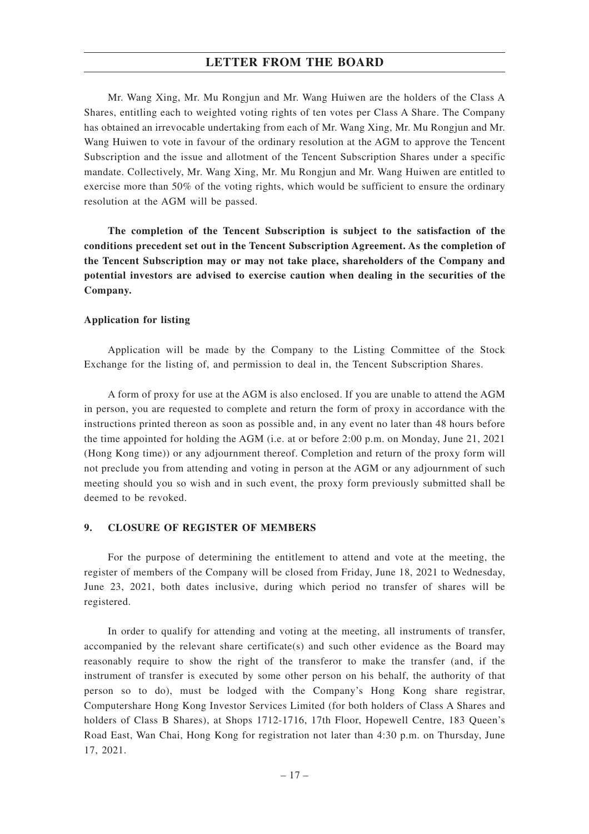Mr. Wang Xing, Mr. Mu Rongjun and Mr. Wang Huiwen are the holders of the Class A Shares, entitling each to weighted voting rights of ten votes per Class A Share. The Company has obtained an irrevocable undertaking from each of Mr. Wang Xing, Mr. Mu Rongjun and Mr. Wang Huiwen to vote in favour of the ordinary resolution at the AGM to approve the Tencent Subscription and the issue and allotment of the Tencent Subscription Shares under a specific mandate. Collectively, Mr. Wang Xing, Mr. Mu Rongjun and Mr. Wang Huiwen are entitled to exercise more than 50% of the voting rights, which would be sufficient to ensure the ordinary resolution at the AGM will be passed.

**The completion of the Tencent Subscription is subject to the satisfaction of the conditions precedent set out in the Tencent Subscription Agreement. As the completion of the Tencent Subscription may or may not take place, shareholders of the Company and potential investors are advised to exercise caution when dealing in the securities of the Company.**

#### **Application for listing**

Application will be made by the Company to the Listing Committee of the Stock Exchange for the listing of, and permission to deal in, the Tencent Subscription Shares.

A form of proxy for use at the AGM is also enclosed. If you are unable to attend the AGM in person, you are requested to complete and return the form of proxy in accordance with the instructions printed thereon as soon as possible and, in any event no later than 48 hours before the time appointed for holding the AGM (i.e. at or before 2:00 p.m. on Monday, June 21, 2021 (Hong Kong time)) or any adjournment thereof. Completion and return of the proxy form will not preclude you from attending and voting in person at the AGM or any adjournment of such meeting should you so wish and in such event, the proxy form previously submitted shall be deemed to be revoked.

#### **9. CLOSURE OF REGISTER OF MEMBERS**

For the purpose of determining the entitlement to attend and vote at the meeting, the register of members of the Company will be closed from Friday, June 18, 2021 to Wednesday, June 23, 2021, both dates inclusive, during which period no transfer of shares will be registered.

In order to qualify for attending and voting at the meeting, all instruments of transfer, accompanied by the relevant share certificate(s) and such other evidence as the Board may reasonably require to show the right of the transferor to make the transfer (and, if the instrument of transfer is executed by some other person on his behalf, the authority of that person so to do), must be lodged with the Company's Hong Kong share registrar, Computershare Hong Kong Investor Services Limited (for both holders of Class A Shares and holders of Class B Shares), at Shops 1712-1716, 17th Floor, Hopewell Centre, 183 Queen's Road East, Wan Chai, Hong Kong for registration not later than 4:30 p.m. on Thursday, June 17, 2021.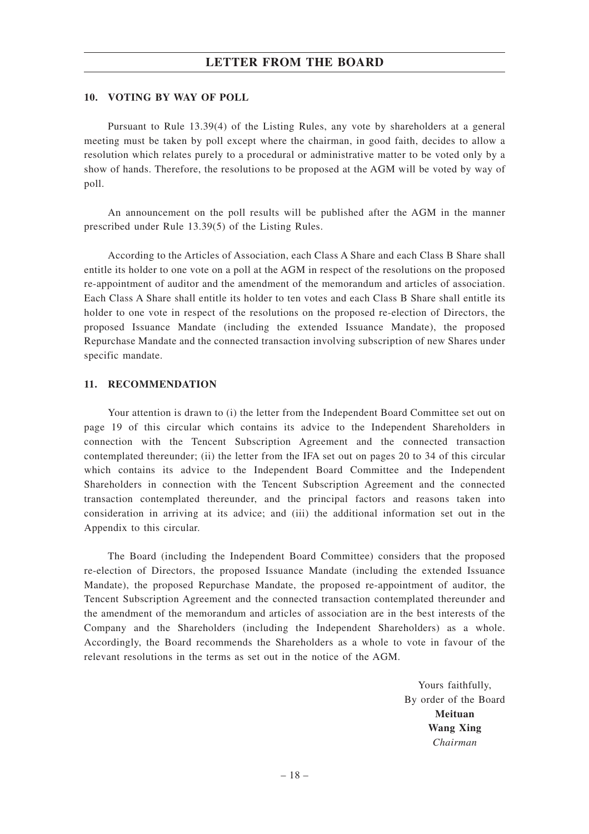#### **10. VOTING BY WAY OF POLL**

Pursuant to Rule 13.39(4) of the Listing Rules, any vote by shareholders at a general meeting must be taken by poll except where the chairman, in good faith, decides to allow a resolution which relates purely to a procedural or administrative matter to be voted only by a show of hands. Therefore, the resolutions to be proposed at the AGM will be voted by way of poll.

An announcement on the poll results will be published after the AGM in the manner prescribed under Rule 13.39(5) of the Listing Rules.

According to the Articles of Association, each Class A Share and each Class B Share shall entitle its holder to one vote on a poll at the AGM in respect of the resolutions on the proposed re-appointment of auditor and the amendment of the memorandum and articles of association. Each Class A Share shall entitle its holder to ten votes and each Class B Share shall entitle its holder to one vote in respect of the resolutions on the proposed re-election of Directors, the proposed Issuance Mandate (including the extended Issuance Mandate), the proposed Repurchase Mandate and the connected transaction involving subscription of new Shares under specific mandate.

#### **11. RECOMMENDATION**

Your attention is drawn to (i) the letter from the Independent Board Committee set out on page 19 of this circular which contains its advice to the Independent Shareholders in connection with the Tencent Subscription Agreement and the connected transaction contemplated thereunder; (ii) the letter from the IFA set out on pages 20 to 34 of this circular which contains its advice to the Independent Board Committee and the Independent Shareholders in connection with the Tencent Subscription Agreement and the connected transaction contemplated thereunder, and the principal factors and reasons taken into consideration in arriving at its advice; and (iii) the additional information set out in the Appendix to this circular.

The Board (including the Independent Board Committee) considers that the proposed re-election of Directors, the proposed Issuance Mandate (including the extended Issuance Mandate), the proposed Repurchase Mandate, the proposed re-appointment of auditor, the Tencent Subscription Agreement and the connected transaction contemplated thereunder and the amendment of the memorandum and articles of association are in the best interests of the Company and the Shareholders (including the Independent Shareholders) as a whole. Accordingly, the Board recommends the Shareholders as a whole to vote in favour of the relevant resolutions in the terms as set out in the notice of the AGM.

> Yours faithfully, By order of the Board **Meituan Wang Xing** *Chairman*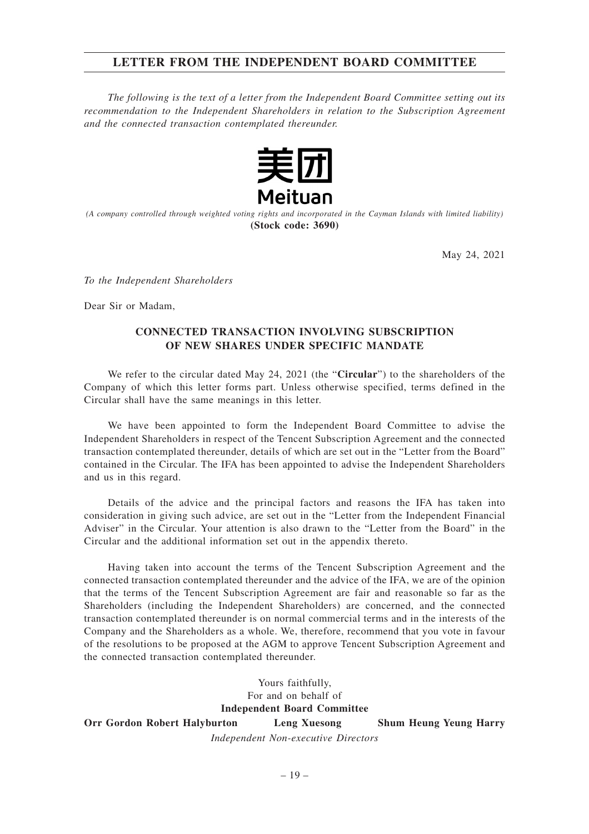## **LETTER FROM THE INDEPENDENT BOARD COMMITTEE**

*The following is the text of a letter from the Independent Board Committee setting out its recommendation to the Independent Shareholders in relation to the Subscription Agreement and the connected transaction contemplated thereunder.*



*(A company controlled through weighted voting rights and incorporated in the Cayman Islands with limited liability)* **(Stock code: 3690)**

May 24, 2021

*To the Independent Shareholders*

Dear Sir or Madam,

## **CONNECTED TRANSACTION INVOLVING SUBSCRIPTION OF NEW SHARES UNDER SPECIFIC MANDATE**

We refer to the circular dated May 24, 2021 (the "**Circular**") to the shareholders of the Company of which this letter forms part. Unless otherwise specified, terms defined in the Circular shall have the same meanings in this letter.

We have been appointed to form the Independent Board Committee to advise the Independent Shareholders in respect of the Tencent Subscription Agreement and the connected transaction contemplated thereunder, details of which are set out in the "Letter from the Board" contained in the Circular. The IFA has been appointed to advise the Independent Shareholders and us in this regard.

Details of the advice and the principal factors and reasons the IFA has taken into consideration in giving such advice, are set out in the "Letter from the Independent Financial Adviser" in the Circular. Your attention is also drawn to the "Letter from the Board" in the Circular and the additional information set out in the appendix thereto.

Having taken into account the terms of the Tencent Subscription Agreement and the connected transaction contemplated thereunder and the advice of the IFA, we are of the opinion that the terms of the Tencent Subscription Agreement are fair and reasonable so far as the Shareholders (including the Independent Shareholders) are concerned, and the connected transaction contemplated thereunder is on normal commercial terms and in the interests of the Company and the Shareholders as a whole. We, therefore, recommend that you vote in favour of the resolutions to be proposed at the AGM to approve Tencent Subscription Agreement and the connected transaction contemplated thereunder.

> Yours faithfully, For and on behalf of **Independent Board Committee**

**Orr Gordon Robert Halyburton Leng Xuesong Shum Heung Yeung Harry**

*Independent Non-executive Directors*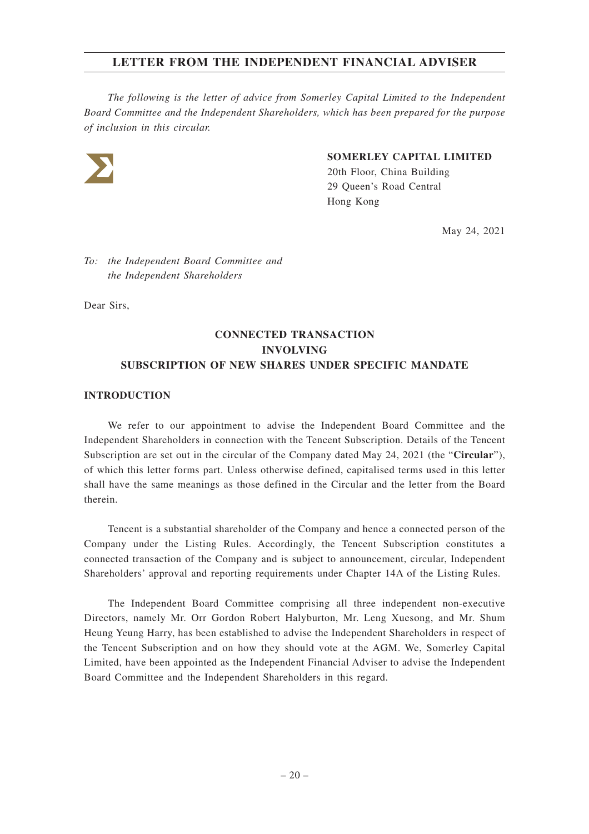*The following is the letter of advice from Somerley Capital Limited to the Independent Board Committee and the Independent Shareholders, which has been prepared for the purpose of inclusion in this circular.*



## **SOMERLEY CAPITAL LIMITED**

20th Floor, China Building 29 Queen's Road Central Hong Kong

May 24, 2021

*To: the Independent Board Committee and the Independent Shareholders*

Dear Sirs,

# **CONNECTED TRANSACTION INVOLVING SUBSCRIPTION OF NEW SHARES UNDER SPECIFIC MANDATE**

## **INTRODUCTION**

We refer to our appointment to advise the Independent Board Committee and the Independent Shareholders in connection with the Tencent Subscription. Details of the Tencent Subscription are set out in the circular of the Company dated May 24, 2021 (the "**Circular**"), of which this letter forms part. Unless otherwise defined, capitalised terms used in this letter shall have the same meanings as those defined in the Circular and the letter from the Board therein.

Tencent is a substantial shareholder of the Company and hence a connected person of the Company under the Listing Rules. Accordingly, the Tencent Subscription constitutes a connected transaction of the Company and is subject to announcement, circular, Independent Shareholders' approval and reporting requirements under Chapter 14A of the Listing Rules.

The Independent Board Committee comprising all three independent non-executive Directors, namely Mr. Orr Gordon Robert Halyburton, Mr. Leng Xuesong, and Mr. Shum Heung Yeung Harry, has been established to advise the Independent Shareholders in respect of the Tencent Subscription and on how they should vote at the AGM. We, Somerley Capital Limited, have been appointed as the Independent Financial Adviser to advise the Independent Board Committee and the Independent Shareholders in this regard.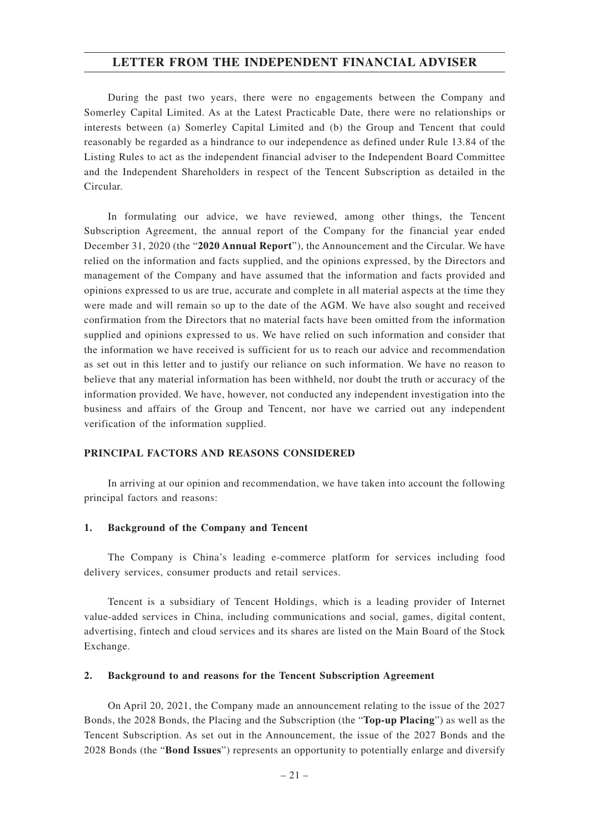During the past two years, there were no engagements between the Company and Somerley Capital Limited. As at the Latest Practicable Date, there were no relationships or interests between (a) Somerley Capital Limited and (b) the Group and Tencent that could reasonably be regarded as a hindrance to our independence as defined under Rule 13.84 of the Listing Rules to act as the independent financial adviser to the Independent Board Committee and the Independent Shareholders in respect of the Tencent Subscription as detailed in the Circular.

In formulating our advice, we have reviewed, among other things, the Tencent Subscription Agreement, the annual report of the Company for the financial year ended December 31, 2020 (the "**2020 Annual Report**"), the Announcement and the Circular. We have relied on the information and facts supplied, and the opinions expressed, by the Directors and management of the Company and have assumed that the information and facts provided and opinions expressed to us are true, accurate and complete in all material aspects at the time they were made and will remain so up to the date of the AGM. We have also sought and received confirmation from the Directors that no material facts have been omitted from the information supplied and opinions expressed to us. We have relied on such information and consider that the information we have received is sufficient for us to reach our advice and recommendation as set out in this letter and to justify our reliance on such information. We have no reason to believe that any material information has been withheld, nor doubt the truth or accuracy of the information provided. We have, however, not conducted any independent investigation into the business and affairs of the Group and Tencent, nor have we carried out any independent verification of the information supplied.

## **PRINCIPAL FACTORS AND REASONS CONSIDERED**

In arriving at our opinion and recommendation, we have taken into account the following principal factors and reasons:

#### **1. Background of the Company and Tencent**

The Company is China's leading e-commerce platform for services including food delivery services, consumer products and retail services.

Tencent is a subsidiary of Tencent Holdings, which is a leading provider of Internet value-added services in China, including communications and social, games, digital content, advertising, fintech and cloud services and its shares are listed on the Main Board of the Stock Exchange.

#### **2. Background to and reasons for the Tencent Subscription Agreement**

On April 20, 2021, the Company made an announcement relating to the issue of the 2027 Bonds, the 2028 Bonds, the Placing and the Subscription (the "**Top-up Placing**") as well as the Tencent Subscription. As set out in the Announcement, the issue of the 2027 Bonds and the 2028 Bonds (the "**Bond Issues**") represents an opportunity to potentially enlarge and diversify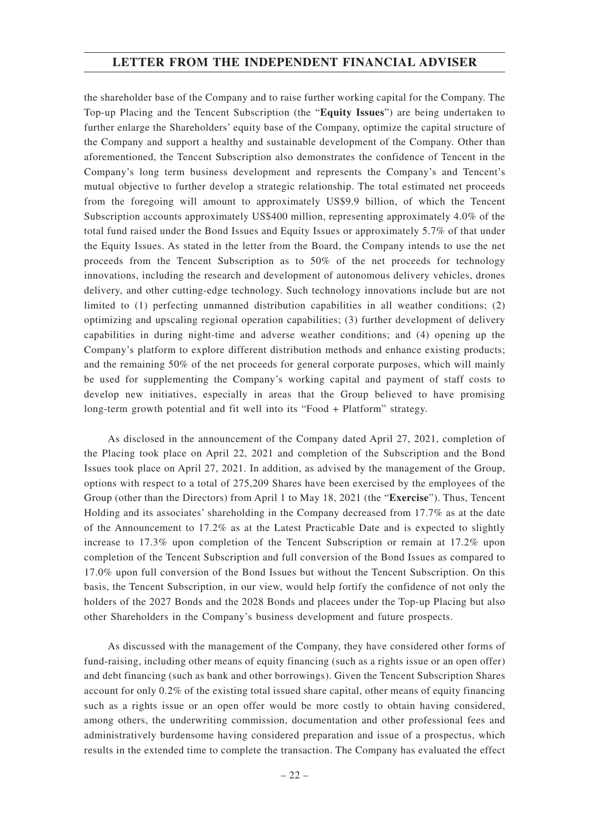the shareholder base of the Company and to raise further working capital for the Company. The Top-up Placing and the Tencent Subscription (the "**Equity Issues**") are being undertaken to further enlarge the Shareholders' equity base of the Company, optimize the capital structure of the Company and support a healthy and sustainable development of the Company. Other than aforementioned, the Tencent Subscription also demonstrates the confidence of Tencent in the Company's long term business development and represents the Company's and Tencent's mutual objective to further develop a strategic relationship. The total estimated net proceeds from the foregoing will amount to approximately US\$9.9 billion, of which the Tencent Subscription accounts approximately US\$400 million, representing approximately 4.0% of the total fund raised under the Bond Issues and Equity Issues or approximately 5.7% of that under the Equity Issues. As stated in the letter from the Board, the Company intends to use the net proceeds from the Tencent Subscription as to 50% of the net proceeds for technology innovations, including the research and development of autonomous delivery vehicles, drones delivery, and other cutting-edge technology. Such technology innovations include but are not limited to (1) perfecting unmanned distribution capabilities in all weather conditions; (2) optimizing and upscaling regional operation capabilities; (3) further development of delivery capabilities in during night-time and adverse weather conditions; and (4) opening up the Company's platform to explore different distribution methods and enhance existing products; and the remaining 50% of the net proceeds for general corporate purposes, which will mainly be used for supplementing the Company's working capital and payment of staff costs to develop new initiatives, especially in areas that the Group believed to have promising long-term growth potential and fit well into its "Food + Platform" strategy.

As disclosed in the announcement of the Company dated April 27, 2021, completion of the Placing took place on April 22, 2021 and completion of the Subscription and the Bond Issues took place on April 27, 2021. In addition, as advised by the management of the Group, options with respect to a total of 275,209 Shares have been exercised by the employees of the Group (other than the Directors) from April 1 to May 18, 2021 (the "**Exercise**"). Thus, Tencent Holding and its associates' shareholding in the Company decreased from 17.7% as at the date of the Announcement to 17.2% as at the Latest Practicable Date and is expected to slightly increase to 17.3% upon completion of the Tencent Subscription or remain at 17.2% upon completion of the Tencent Subscription and full conversion of the Bond Issues as compared to 17.0% upon full conversion of the Bond Issues but without the Tencent Subscription. On this basis, the Tencent Subscription, in our view, would help fortify the confidence of not only the holders of the 2027 Bonds and the 2028 Bonds and placees under the Top-up Placing but also other Shareholders in the Company's business development and future prospects.

As discussed with the management of the Company, they have considered other forms of fund-raising, including other means of equity financing (such as a rights issue or an open offer) and debt financing (such as bank and other borrowings). Given the Tencent Subscription Shares account for only 0.2% of the existing total issued share capital, other means of equity financing such as a rights issue or an open offer would be more costly to obtain having considered, among others, the underwriting commission, documentation and other professional fees and administratively burdensome having considered preparation and issue of a prospectus, which results in the extended time to complete the transaction. The Company has evaluated the effect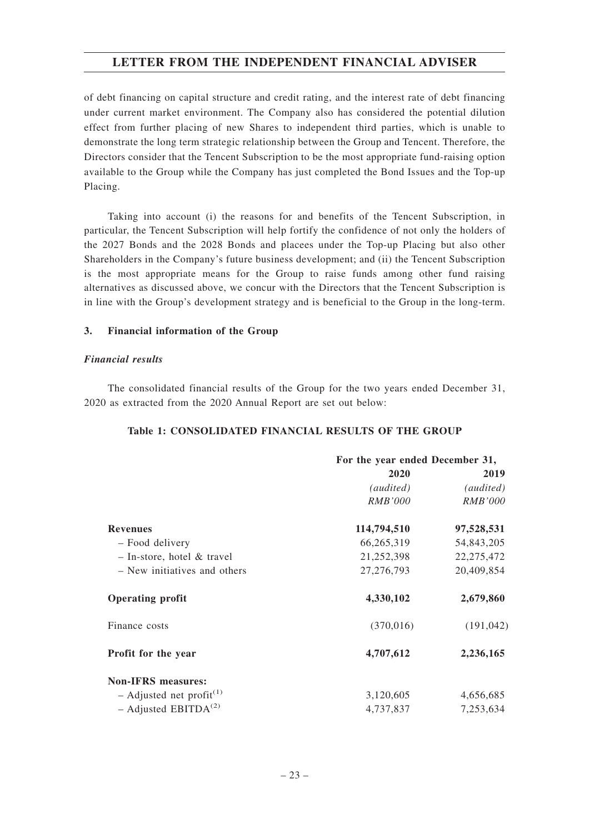of debt financing on capital structure and credit rating, and the interest rate of debt financing under current market environment. The Company also has considered the potential dilution effect from further placing of new Shares to independent third parties, which is unable to demonstrate the long term strategic relationship between the Group and Tencent. Therefore, the Directors consider that the Tencent Subscription to be the most appropriate fund-raising option available to the Group while the Company has just completed the Bond Issues and the Top-up Placing.

Taking into account (i) the reasons for and benefits of the Tencent Subscription, in particular, the Tencent Subscription will help fortify the confidence of not only the holders of the 2027 Bonds and the 2028 Bonds and placees under the Top-up Placing but also other Shareholders in the Company's future business development; and (ii) the Tencent Subscription is the most appropriate means for the Group to raise funds among other fund raising alternatives as discussed above, we concur with the Directors that the Tencent Subscription is in line with the Group's development strategy and is beneficial to the Group in the long-term.

## **3. Financial information of the Group**

## *Financial results*

The consolidated financial results of the Group for the two years ended December 31, 2020 as extracted from the 2020 Annual Report are set out below:

## **Table 1: CONSOLIDATED FINANCIAL RESULTS OF THE GROUP**

|                                      | For the year ended December 31, |                |  |  |  |
|--------------------------------------|---------------------------------|----------------|--|--|--|
|                                      | 2020                            | 2019           |  |  |  |
|                                      | (audited)                       | (audited)      |  |  |  |
|                                      | RMB'000                         | <i>RMB'000</i> |  |  |  |
| <b>Revenues</b>                      | 114,794,510                     | 97,528,531     |  |  |  |
| - Food delivery                      | 66,265,319                      | 54,843,205     |  |  |  |
| $-$ In-store, hotel & travel         | 21,252,398                      | 22, 275, 472   |  |  |  |
| - New initiatives and others         | 27, 276, 793                    | 20,409,854     |  |  |  |
| <b>Operating profit</b>              | 4,330,102                       | 2,679,860      |  |  |  |
| Finance costs                        | (370,016)                       | (191, 042)     |  |  |  |
| Profit for the year                  | 4,707,612                       | 2,236,165      |  |  |  |
| <b>Non-IFRS</b> measures:            |                                 |                |  |  |  |
| - Adjusted net profit <sup>(1)</sup> | 3,120,605                       | 4,656,685      |  |  |  |
| - Adjusted EBITDA <sup>(2)</sup>     | 4,737,837                       | 7,253,634      |  |  |  |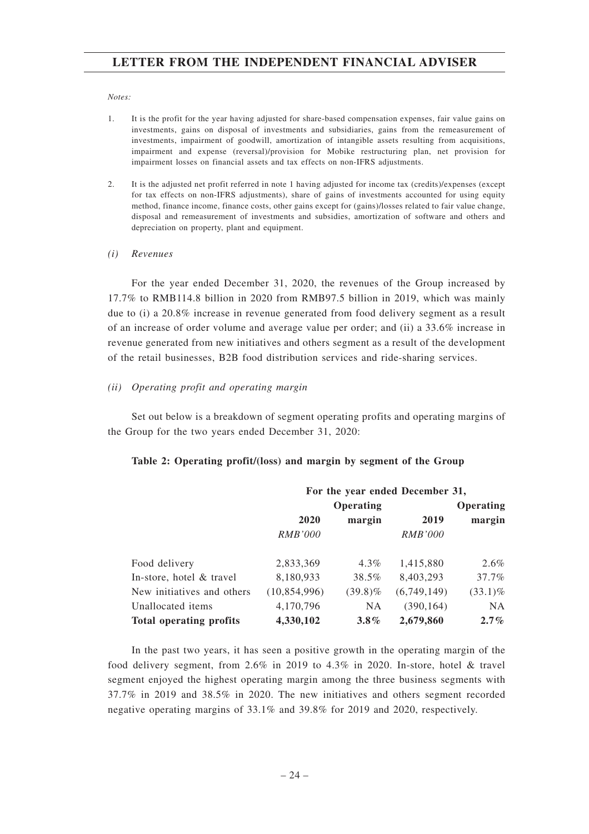#### *Notes:*

- 1. It is the profit for the year having adjusted for share-based compensation expenses, fair value gains on investments, gains on disposal of investments and subsidiaries, gains from the remeasurement of investments, impairment of goodwill, amortization of intangible assets resulting from acquisitions, impairment and expense (reversal)/provision for Mobike restructuring plan, net provision for impairment losses on financial assets and tax effects on non-IFRS adjustments.
- 2. It is the adjusted net profit referred in note 1 having adjusted for income tax (credits)/expenses (except for tax effects on non-IFRS adjustments), share of gains of investments accounted for using equity method, finance income, finance costs, other gains except for (gains)/losses related to fair value change, disposal and remeasurement of investments and subsidies, amortization of software and others and depreciation on property, plant and equipment.
- *(i) Revenues*

For the year ended December 31, 2020, the revenues of the Group increased by 17.7% to RMB114.8 billion in 2020 from RMB97.5 billion in 2019, which was mainly due to (i) a 20.8% increase in revenue generated from food delivery segment as a result of an increase of order volume and average value per order; and (ii) a 33.6% increase in revenue generated from new initiatives and others segment as a result of the development of the retail businesses, B2B food distribution services and ride-sharing services.

#### *(ii) Operating profit and operating margin*

Set out below is a breakdown of segment operating profits and operating margins of the Group for the two years ended December 31, 2020:

|  |  | Table 2: Operating profit/(loss) and margin by segment of the Group |  |  |  |  |  |  |  |
|--|--|---------------------------------------------------------------------|--|--|--|--|--|--|--|
|--|--|---------------------------------------------------------------------|--|--|--|--|--|--|--|

|                                |                |            | For the year ended December 31, |            |
|--------------------------------|----------------|------------|---------------------------------|------------|
|                                |                | Operating  |                                 | Operating  |
|                                | 2020           | margin     | 2019                            | margin     |
|                                | <i>RMB'000</i> |            | <i>RMB'000</i>                  |            |
| Food delivery                  | 2,833,369      | $4.3\%$    | 1,415,880                       | $2.6\%$    |
| In-store, hotel $&$ travel     | 8,180,933      | 38.5%      | 8,403,293                       | 37.7%      |
| New initiatives and others     | (10, 854, 996) | $(39.8)\%$ | (6,749,149)                     | $(33.1)\%$ |
| Unallocated items              | 4,170,796      | <b>NA</b>  | (390, 164)                      | NA.        |
| <b>Total operating profits</b> | 4,330,102      | $3.8\%$    | 2,679,860                       | $2.7\%$    |

In the past two years, it has seen a positive growth in the operating margin of the food delivery segment, from 2.6% in 2019 to 4.3% in 2020. In-store, hotel & travel segment enjoyed the highest operating margin among the three business segments with 37.7% in 2019 and 38.5% in 2020. The new initiatives and others segment recorded negative operating margins of 33.1% and 39.8% for 2019 and 2020, respectively.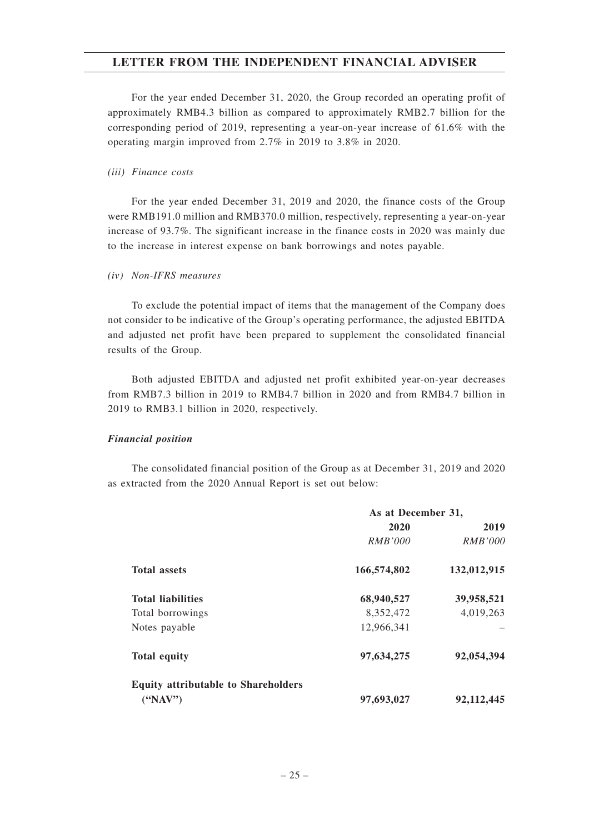For the year ended December 31, 2020, the Group recorded an operating profit of approximately RMB4.3 billion as compared to approximately RMB2.7 billion for the corresponding period of 2019, representing a year-on-year increase of 61.6% with the operating margin improved from 2.7% in 2019 to 3.8% in 2020.

#### *(iii) Finance costs*

For the year ended December 31, 2019 and 2020, the finance costs of the Group were RMB191.0 million and RMB370.0 million, respectively, representing a year-on-year increase of 93.7%. The significant increase in the finance costs in 2020 was mainly due to the increase in interest expense on bank borrowings and notes payable.

#### *(iv) Non-IFRS measures*

To exclude the potential impact of items that the management of the Company does not consider to be indicative of the Group's operating performance, the adjusted EBITDA and adjusted net profit have been prepared to supplement the consolidated financial results of the Group.

Both adjusted EBITDA and adjusted net profit exhibited year-on-year decreases from RMB7.3 billion in 2019 to RMB4.7 billion in 2020 and from RMB4.7 billion in 2019 to RMB3.1 billion in 2020, respectively.

#### *Financial position*

The consolidated financial position of the Group as at December 31, 2019 and 2020 as extracted from the 2020 Annual Report is set out below:

|                                            | As at December 31, |                |  |  |  |  |
|--------------------------------------------|--------------------|----------------|--|--|--|--|
|                                            | 2020               | 2019           |  |  |  |  |
|                                            | <i>RMB'000</i>     | <i>RMB'000</i> |  |  |  |  |
| <b>Total assets</b>                        | 166,574,802        | 132,012,915    |  |  |  |  |
| <b>Total liabilities</b>                   | 68,940,527         | 39,958,521     |  |  |  |  |
| Total borrowings                           | 8,352,472          | 4,019,263      |  |  |  |  |
| Notes payable                              | 12,966,341         |                |  |  |  |  |
| <b>Total equity</b>                        | 97,634,275         | 92,054,394     |  |  |  |  |
| <b>Equity attributable to Shareholders</b> |                    |                |  |  |  |  |
| $(^{'}NAV")$                               | 97,693,027         | 92, 112, 445   |  |  |  |  |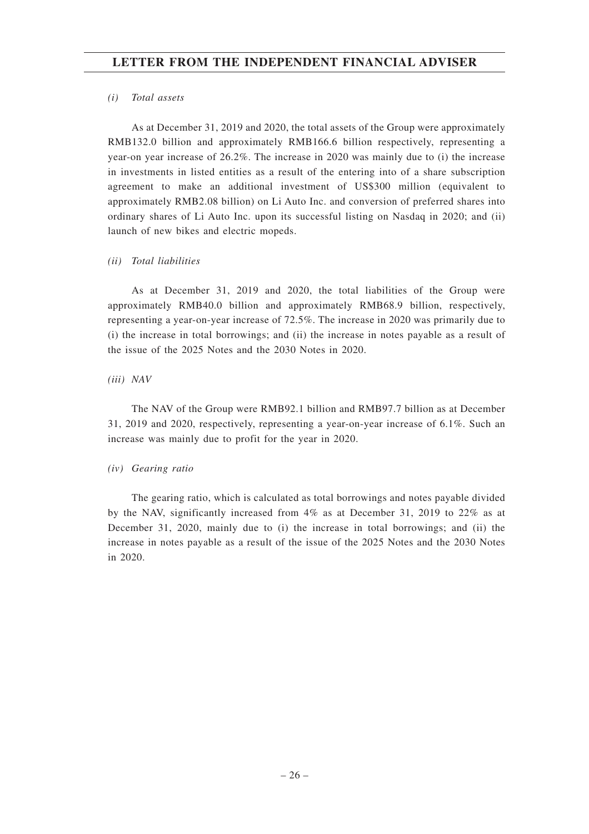#### *(i) Total assets*

As at December 31, 2019 and 2020, the total assets of the Group were approximately RMB132.0 billion and approximately RMB166.6 billion respectively, representing a year-on year increase of 26.2%. The increase in 2020 was mainly due to (i) the increase in investments in listed entities as a result of the entering into of a share subscription agreement to make an additional investment of US\$300 million (equivalent to approximately RMB2.08 billion) on Li Auto Inc. and conversion of preferred shares into ordinary shares of Li Auto Inc. upon its successful listing on Nasdaq in 2020; and (ii) launch of new bikes and electric mopeds.

## *(ii) Total liabilities*

As at December 31, 2019 and 2020, the total liabilities of the Group were approximately RMB40.0 billion and approximately RMB68.9 billion, respectively, representing a year-on-year increase of 72.5%. The increase in 2020 was primarily due to (i) the increase in total borrowings; and (ii) the increase in notes payable as a result of the issue of the 2025 Notes and the 2030 Notes in 2020.

## *(iii) NAV*

The NAV of the Group were RMB92.1 billion and RMB97.7 billion as at December 31, 2019 and 2020, respectively, representing a year-on-year increase of 6.1%. Such an increase was mainly due to profit for the year in 2020.

## *(iv) Gearing ratio*

The gearing ratio, which is calculated as total borrowings and notes payable divided by the NAV, significantly increased from 4% as at December 31, 2019 to 22% as at December 31, 2020, mainly due to (i) the increase in total borrowings; and (ii) the increase in notes payable as a result of the issue of the 2025 Notes and the 2030 Notes in 2020.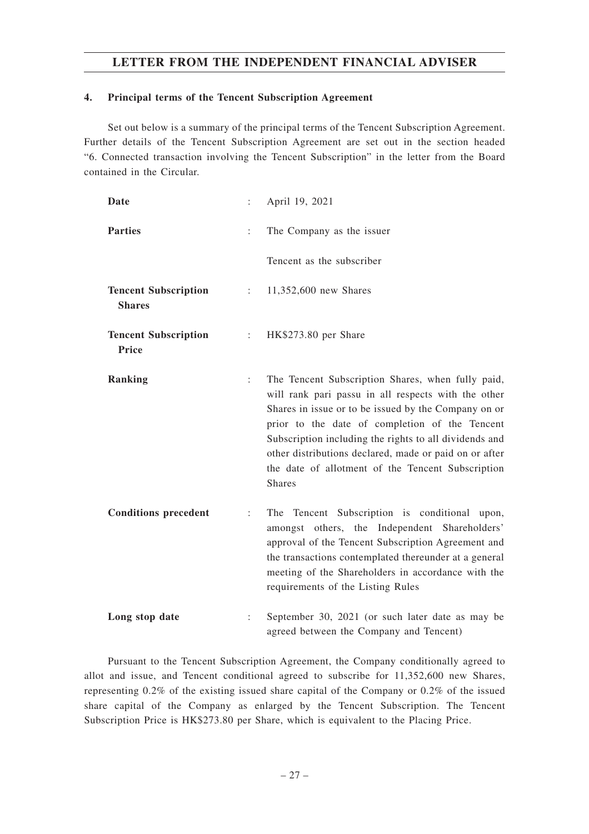## **4. Principal terms of the Tencent Subscription Agreement**

Set out below is a summary of the principal terms of the Tencent Subscription Agreement. Further details of the Tencent Subscription Agreement are set out in the section headed "6. Connected transaction involving the Tencent Subscription" in the letter from the Board contained in the Circular.

| Date                                         |                               | April 19, 2021                                                                                                                                                                                                                                                                                                                                                                                               |
|----------------------------------------------|-------------------------------|--------------------------------------------------------------------------------------------------------------------------------------------------------------------------------------------------------------------------------------------------------------------------------------------------------------------------------------------------------------------------------------------------------------|
| <b>Parties</b>                               | $\ddot{\cdot}$                | The Company as the issuer                                                                                                                                                                                                                                                                                                                                                                                    |
|                                              |                               | Tencent as the subscriber                                                                                                                                                                                                                                                                                                                                                                                    |
| <b>Tencent Subscription</b><br><b>Shares</b> | $\mathbb{Z}^{\mathbb{Z}^n}$ . | 11,352,600 new Shares                                                                                                                                                                                                                                                                                                                                                                                        |
| <b>Tencent Subscription</b><br>Price         | $\mathbb{Z}^{\mathbb{Z}}$     | HK\$273.80 per Share                                                                                                                                                                                                                                                                                                                                                                                         |
| Ranking                                      | $\ddot{\cdot}$                | The Tencent Subscription Shares, when fully paid,<br>will rank pari passu in all respects with the other<br>Shares in issue or to be issued by the Company on or<br>prior to the date of completion of the Tencent<br>Subscription including the rights to all dividends and<br>other distributions declared, made or paid on or after<br>the date of allotment of the Tencent Subscription<br><b>Shares</b> |
| <b>Conditions precedent</b>                  | $\ddot{\cdot}$                | The Tencent Subscription is conditional<br>upon,<br>amongst others, the Independent Shareholders'<br>approval of the Tencent Subscription Agreement and<br>the transactions contemplated thereunder at a general<br>meeting of the Shareholders in accordance with the<br>requirements of the Listing Rules                                                                                                  |
| Long stop date                               | ÷                             | September 30, 2021 (or such later date as may be<br>agreed between the Company and Tencent)                                                                                                                                                                                                                                                                                                                  |

Pursuant to the Tencent Subscription Agreement, the Company conditionally agreed to allot and issue, and Tencent conditional agreed to subscribe for 11,352,600 new Shares, representing 0.2% of the existing issued share capital of the Company or 0.2% of the issued share capital of the Company as enlarged by the Tencent Subscription. The Tencent Subscription Price is HK\$273.80 per Share, which is equivalent to the Placing Price.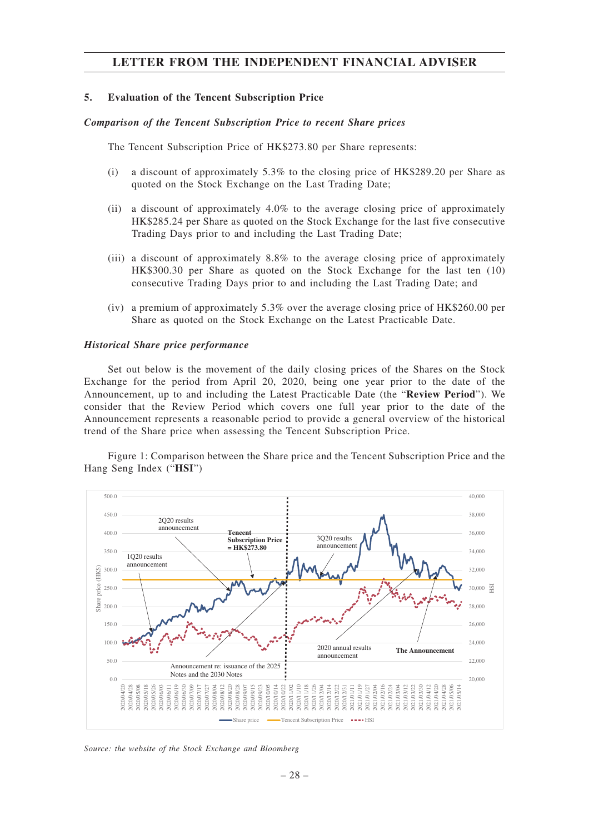#### **5. Evaluation of the Tencent Subscription Price**

#### *Comparison of the Tencent Subscription Price to recent Share prices*

The Tencent Subscription Price of HK\$273.80 per Share represents:

- (i) a discount of approximately 5.3% to the closing price of HK\$289.20 per Share as quoted on the Stock Exchange on the Last Trading Date;
- (ii) a discount of approximately 4.0% to the average closing price of approximately HK\$285.24 per Share as quoted on the Stock Exchange for the last five consecutive Trading Days prior to and including the Last Trading Date;
- (iii) a discount of approximately 8.8% to the average closing price of approximately HK\$300.30 per Share as quoted on the Stock Exchange for the last ten (10) consecutive Trading Days prior to and including the Last Trading Date; and
- (iv) a premium of approximately 5.3% over the average closing price of HK\$260.00 per Share as quoted on the Stock Exchange on the Latest Practicable Date.

#### *Historical Share price performance*

Set out below is the movement of the daily closing prices of the Shares on the Stock Exchange for the period from April 20, 2020, being one year prior to the date of the Announcement, up to and including the Latest Practicable Date (the "**Review Period**"). We consider that the Review Period which covers one full year prior to the date of the Announcement represents a reasonable period to provide a general overview of the historical trend of the Share price when assessing the Tencent Subscription Price.

Figure 1: Comparison between the Share price and the Tencent Subscription Price and the Hang Seng Index ("**HSI**")



*Source: the website of the Stock Exchange and Bloomberg*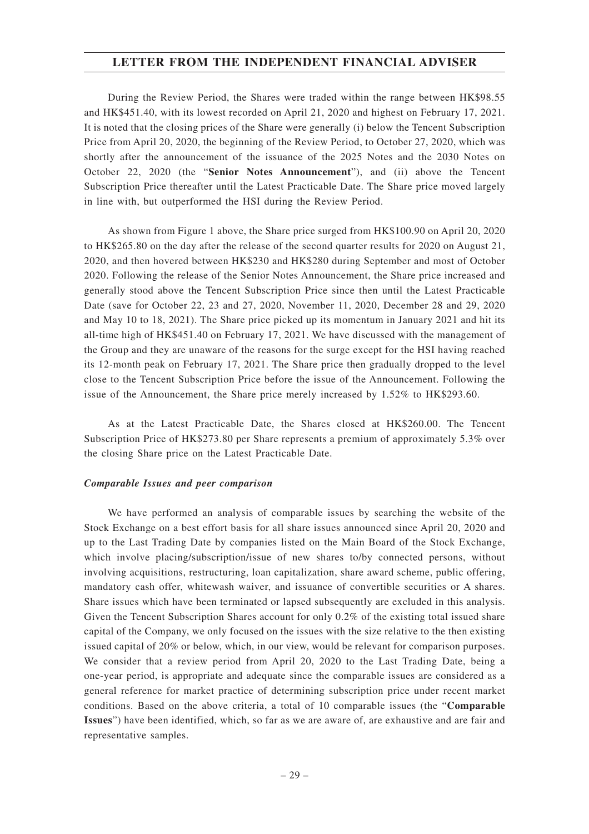During the Review Period, the Shares were traded within the range between HK\$98.55 and HK\$451.40, with its lowest recorded on April 21, 2020 and highest on February 17, 2021. It is noted that the closing prices of the Share were generally (i) below the Tencent Subscription Price from April 20, 2020, the beginning of the Review Period, to October 27, 2020, which was shortly after the announcement of the issuance of the 2025 Notes and the 2030 Notes on October 22, 2020 (the "**Senior Notes Announcement**"), and (ii) above the Tencent Subscription Price thereafter until the Latest Practicable Date. The Share price moved largely in line with, but outperformed the HSI during the Review Period.

As shown from Figure 1 above, the Share price surged from HK\$100.90 on April 20, 2020 to HK\$265.80 on the day after the release of the second quarter results for 2020 on August 21, 2020, and then hovered between HK\$230 and HK\$280 during September and most of October 2020. Following the release of the Senior Notes Announcement, the Share price increased and generally stood above the Tencent Subscription Price since then until the Latest Practicable Date (save for October 22, 23 and 27, 2020, November 11, 2020, December 28 and 29, 2020 and May 10 to 18, 2021). The Share price picked up its momentum in January 2021 and hit its all-time high of HK\$451.40 on February 17, 2021. We have discussed with the management of the Group and they are unaware of the reasons for the surge except for the HSI having reached its 12-month peak on February 17, 2021. The Share price then gradually dropped to the level close to the Tencent Subscription Price before the issue of the Announcement. Following the issue of the Announcement, the Share price merely increased by 1.52% to HK\$293.60.

As at the Latest Practicable Date, the Shares closed at HK\$260.00. The Tencent Subscription Price of HK\$273.80 per Share represents a premium of approximately 5.3% over the closing Share price on the Latest Practicable Date.

#### *Comparable Issues and peer comparison*

We have performed an analysis of comparable issues by searching the website of the Stock Exchange on a best effort basis for all share issues announced since April 20, 2020 and up to the Last Trading Date by companies listed on the Main Board of the Stock Exchange, which involve placing/subscription/issue of new shares to/by connected persons, without involving acquisitions, restructuring, loan capitalization, share award scheme, public offering, mandatory cash offer, whitewash waiver, and issuance of convertible securities or A shares. Share issues which have been terminated or lapsed subsequently are excluded in this analysis. Given the Tencent Subscription Shares account for only 0.2% of the existing total issued share capital of the Company, we only focused on the issues with the size relative to the then existing issued capital of 20% or below, which, in our view, would be relevant for comparison purposes. We consider that a review period from April 20, 2020 to the Last Trading Date, being a one-year period, is appropriate and adequate since the comparable issues are considered as a general reference for market practice of determining subscription price under recent market conditions. Based on the above criteria, a total of 10 comparable issues (the "**Comparable Issues**") have been identified, which, so far as we are aware of, are exhaustive and are fair and representative samples.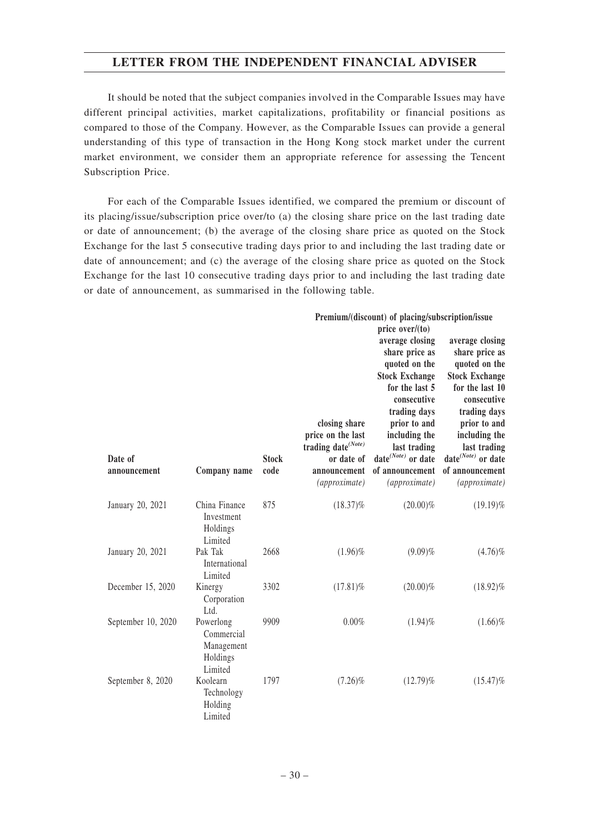It should be noted that the subject companies involved in the Comparable Issues may have different principal activities, market capitalizations, profitability or financial positions as compared to those of the Company. However, as the Comparable Issues can provide a general understanding of this type of transaction in the Hong Kong stock market under the current market environment, we consider them an appropriate reference for assessing the Tencent Subscription Price.

For each of the Comparable Issues identified, we compared the premium or discount of its placing/issue/subscription price over/to (a) the closing share price on the last trading date or date of announcement; (b) the average of the closing share price as quoted on the Stock Exchange for the last 5 consecutive trading days prior to and including the last trading date or date of announcement; and (c) the average of the closing share price as quoted on the Stock Exchange for the last 10 consecutive trading days prior to and including the last trading date or date of announcement, as summarised in the following table.

|                    |                                                              |              |                                                                                    | Premium/(discount) of placing/subscription/issue                                                                                                                                                                               |                                                                                                                                                                                                            |
|--------------------|--------------------------------------------------------------|--------------|------------------------------------------------------------------------------------|--------------------------------------------------------------------------------------------------------------------------------------------------------------------------------------------------------------------------------|------------------------------------------------------------------------------------------------------------------------------------------------------------------------------------------------------------|
| Date of            |                                                              | <b>Stock</b> | closing share<br>price on the last<br>trading date <sup>(Note)</sup><br>or date of | price $over/(to)$<br>average closing<br>share price as<br>quoted on the<br><b>Stock Exchange</b><br>for the last 5<br>consecutive<br>trading days<br>prior to and<br>including the<br>last trading<br>date $^{(Note)}$ or date | average closing<br>share price as<br>quoted on the<br><b>Stock Exchange</b><br>for the last 10<br>consecutive<br>trading days<br>prior to and<br>including the<br>last trading<br>date $^{(Note)}$ or date |
| announcement       | Company name                                                 | code         | announcement<br>(approximate)                                                      | of announcement<br>(approximate)                                                                                                                                                                                               | of announcement<br>(approximate)                                                                                                                                                                           |
| January 20, 2021   | China Finance<br>Investment<br>Holdings<br>Limited           | 875          | $(18.37)\%$                                                                        | $(20.00)\%$                                                                                                                                                                                                                    | $(19.19)\%$                                                                                                                                                                                                |
| January 20, 2021   | Pak Tak<br>International<br>Limited                          | 2668         | $(1.96)\%$                                                                         | $(9.09)\%$                                                                                                                                                                                                                     | $(4.76)\%$                                                                                                                                                                                                 |
| December 15, 2020  | Kinergy<br>Corporation<br>Ltd.                               | 3302         | $(17.81)\%$                                                                        | $(20.00)\%$                                                                                                                                                                                                                    | $(18.92)\%$                                                                                                                                                                                                |
| September 10, 2020 | Powerlong<br>Commercial<br>Management<br>Holdings<br>Limited | 9909         | 0.00%                                                                              | $(1.94)\%$                                                                                                                                                                                                                     | $(1.66)\%$                                                                                                                                                                                                 |
| September 8, 2020  | Koolearn<br>Technology<br>Holding<br>Limited                 | 1797         | $(7.26)\%$                                                                         | $(12.79)\%$                                                                                                                                                                                                                    | $(15.47)\%$                                                                                                                                                                                                |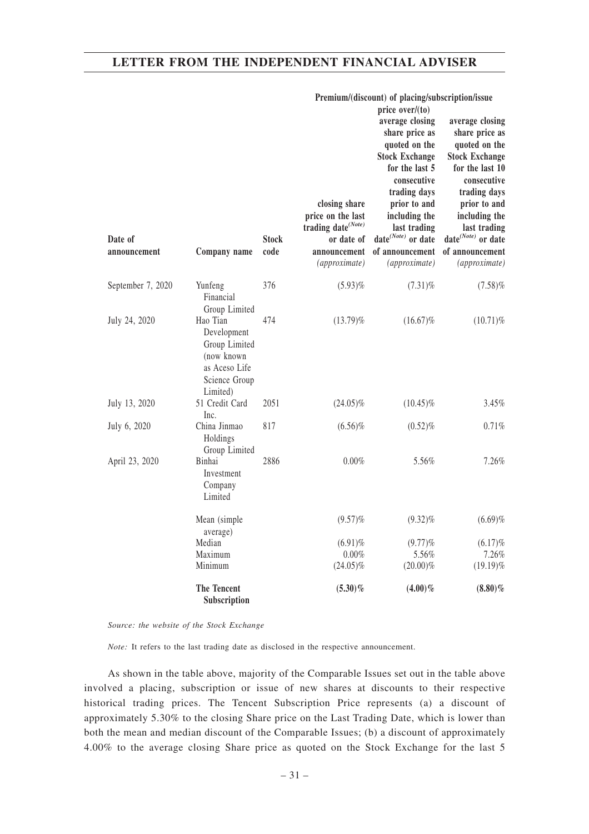|                         |                                                                                                      |                      |                                                                                                                     | Premium/(discount) of placing/subscription/issue<br>price over/(to)                                                                                                                                                                           |                                                                                                                                                                                                                                                |
|-------------------------|------------------------------------------------------------------------------------------------------|----------------------|---------------------------------------------------------------------------------------------------------------------|-----------------------------------------------------------------------------------------------------------------------------------------------------------------------------------------------------------------------------------------------|------------------------------------------------------------------------------------------------------------------------------------------------------------------------------------------------------------------------------------------------|
| Date of<br>announcement | Company name                                                                                         | <b>Stock</b><br>code | closing share<br>price on the last<br>trading date <sup>(Note)</sup><br>or date of<br>announcement<br>(approximate) | average closing<br>share price as<br>quoted on the<br><b>Stock Exchange</b><br>for the last 5<br>consecutive<br>trading days<br>prior to and<br>including the<br>last trading<br>date $^{(Note)}$ or date<br>of announcement<br>(approximate) | average closing<br>share price as<br>quoted on the<br><b>Stock Exchange</b><br>for the last 10<br>consecutive<br>trading days<br>prior to and<br>including the<br>last trading<br>date $^{(Note)}$ or date<br>of announcement<br>(approximate) |
| September 7, 2020       | Yunfeng<br>Financial<br>Group Limited                                                                | 376                  | $(5.93)\%$                                                                                                          | $(7.31)\%$                                                                                                                                                                                                                                    | (7.58)%                                                                                                                                                                                                                                        |
| July 24, 2020           | Hao Tian<br>Development<br>Group Limited<br>(now known<br>as Aceso Life<br>Science Group<br>Limited) | 474                  | $(13.79)\%$                                                                                                         | $(16.67)\%$                                                                                                                                                                                                                                   | $(10.71)\%$                                                                                                                                                                                                                                    |
| July 13, 2020           | 51 Credit Card<br>Inc.                                                                               | 2051                 | $(24.05)\%$                                                                                                         | $(10.45)\%$                                                                                                                                                                                                                                   | 3.45%                                                                                                                                                                                                                                          |
| July 6, 2020            | China Jinmao<br>Holdings<br>Group Limited                                                            | 817                  | $(6.56)\%$                                                                                                          | $(0.52)\%$                                                                                                                                                                                                                                    | 0.71%                                                                                                                                                                                                                                          |
| April 23, 2020          | Binhai<br>Investment<br>Company<br>Limited                                                           | 2886                 | $0.00\%$                                                                                                            | 5.56%                                                                                                                                                                                                                                         | 7.26%                                                                                                                                                                                                                                          |
|                         | Mean (simple)<br>average)                                                                            |                      | $(9.57)$ %                                                                                                          | $(9.32)\%$                                                                                                                                                                                                                                    | (6.69)%                                                                                                                                                                                                                                        |
|                         | Median                                                                                               |                      | $(6.91)\%$                                                                                                          | $(9.77)$ %                                                                                                                                                                                                                                    | $(6.17)\%$                                                                                                                                                                                                                                     |
|                         | Maximum                                                                                              |                      | $0.00\%$                                                                                                            | 5.56%                                                                                                                                                                                                                                         | 7.26%                                                                                                                                                                                                                                          |
|                         | Minimum                                                                                              |                      | $(24.05)\%$                                                                                                         | $(20.00)\%$                                                                                                                                                                                                                                   | $(19.19)\%$                                                                                                                                                                                                                                    |
|                         | The Tencent<br>Subscription                                                                          |                      | $(5.30)\%$                                                                                                          | $(4.00)\%$                                                                                                                                                                                                                                    | $(8.80)\%$                                                                                                                                                                                                                                     |

*Source: the website of the Stock Exchange*

*Note:* It refers to the last trading date as disclosed in the respective announcement.

As shown in the table above, majority of the Comparable Issues set out in the table above involved a placing, subscription or issue of new shares at discounts to their respective historical trading prices. The Tencent Subscription Price represents (a) a discount of approximately 5.30% to the closing Share price on the Last Trading Date, which is lower than both the mean and median discount of the Comparable Issues; (b) a discount of approximately 4.00% to the average closing Share price as quoted on the Stock Exchange for the last 5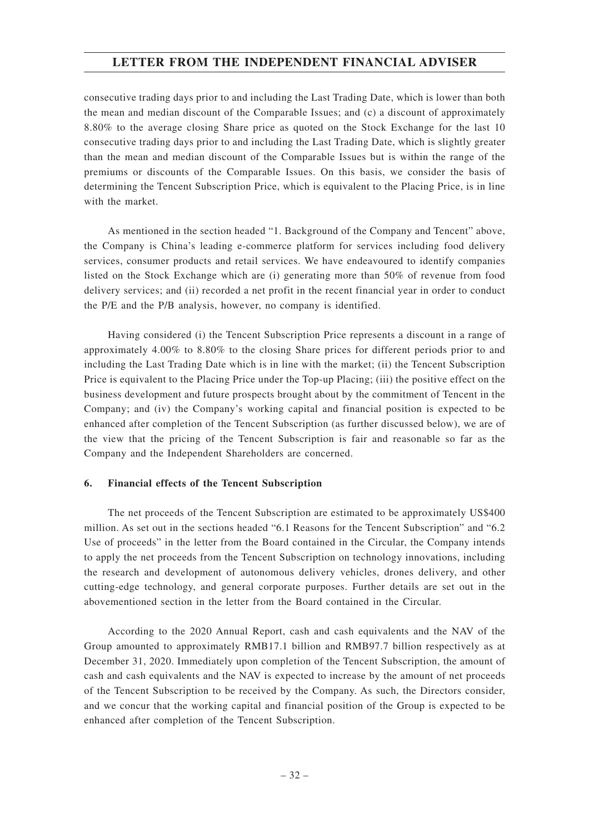consecutive trading days prior to and including the Last Trading Date, which is lower than both the mean and median discount of the Comparable Issues; and (c) a discount of approximately 8.80% to the average closing Share price as quoted on the Stock Exchange for the last 10 consecutive trading days prior to and including the Last Trading Date, which is slightly greater than the mean and median discount of the Comparable Issues but is within the range of the premiums or discounts of the Comparable Issues. On this basis, we consider the basis of determining the Tencent Subscription Price, which is equivalent to the Placing Price, is in line with the market.

As mentioned in the section headed "1. Background of the Company and Tencent" above, the Company is China's leading e-commerce platform for services including food delivery services, consumer products and retail services. We have endeavoured to identify companies listed on the Stock Exchange which are (i) generating more than 50% of revenue from food delivery services; and (ii) recorded a net profit in the recent financial year in order to conduct the P/E and the P/B analysis, however, no company is identified.

Having considered (i) the Tencent Subscription Price represents a discount in a range of approximately 4.00% to 8.80% to the closing Share prices for different periods prior to and including the Last Trading Date which is in line with the market; (ii) the Tencent Subscription Price is equivalent to the Placing Price under the Top-up Placing; (iii) the positive effect on the business development and future prospects brought about by the commitment of Tencent in the Company; and (iv) the Company's working capital and financial position is expected to be enhanced after completion of the Tencent Subscription (as further discussed below), we are of the view that the pricing of the Tencent Subscription is fair and reasonable so far as the Company and the Independent Shareholders are concerned.

## **6. Financial effects of the Tencent Subscription**

The net proceeds of the Tencent Subscription are estimated to be approximately US\$400 million. As set out in the sections headed "6.1 Reasons for the Tencent Subscription" and "6.2 Use of proceeds" in the letter from the Board contained in the Circular, the Company intends to apply the net proceeds from the Tencent Subscription on technology innovations, including the research and development of autonomous delivery vehicles, drones delivery, and other cutting-edge technology, and general corporate purposes. Further details are set out in the abovementioned section in the letter from the Board contained in the Circular.

According to the 2020 Annual Report, cash and cash equivalents and the NAV of the Group amounted to approximately RMB17.1 billion and RMB97.7 billion respectively as at December 31, 2020. Immediately upon completion of the Tencent Subscription, the amount of cash and cash equivalents and the NAV is expected to increase by the amount of net proceeds of the Tencent Subscription to be received by the Company. As such, the Directors consider, and we concur that the working capital and financial position of the Group is expected to be enhanced after completion of the Tencent Subscription.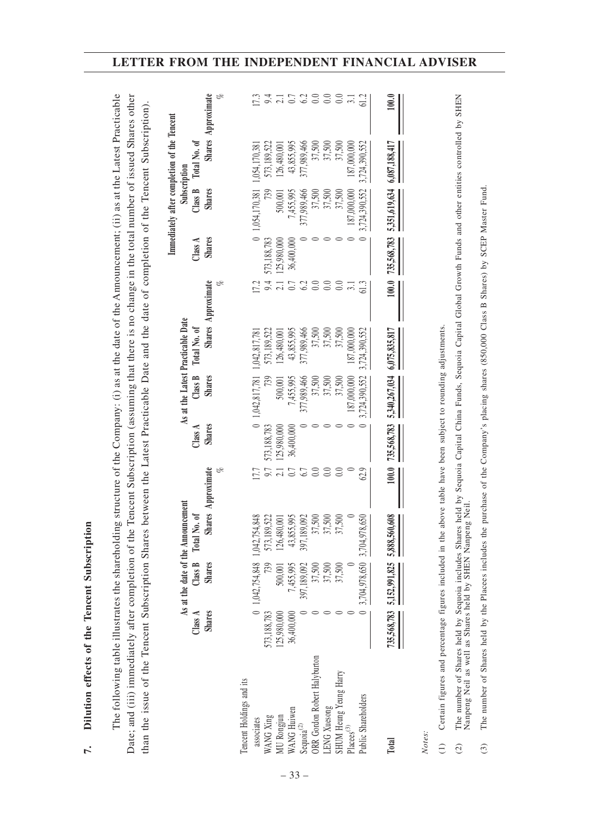|                                        | As at the date of the Announcement<br>Class B<br><b>Shares</b><br>Class A<br><b>Shares</b> | Shares Approximate<br>Total No. of | ez<br>C | <b>Shares</b><br>Class $A$ | Class B<br><b>Shares</b> | As at the Latest Practicable Date<br>Total No. of | Shares Approximate<br>ez<br>C | <b>Shares</b><br>Class A | Subscription<br>Class B<br><b>Shares</b> | Immediately after completion of the Tencent<br>Total No. of | Shares Approximate<br>ez<br>C |
|----------------------------------------|--------------------------------------------------------------------------------------------|------------------------------------|---------|----------------------------|--------------------------|---------------------------------------------------|-------------------------------|--------------------------|------------------------------------------|-------------------------------------------------------------|-------------------------------|
| Tencent Holdings and its               | 0 1,042,754,848 1,042,754,                                                                 | 848                                |         |                            | 0 1,042,817,781          | 1,042,817,781                                     | 17.2                          |                          | 0 1,054,170,381                          | 1,054,170,381                                               |                               |
| 573,188,783<br>WANG Xing<br>associates |                                                                                            | 522<br>573,189,                    | 9.7     | 573,188,783                | 739                      | 573,189,522                                       | 9.4                           | 573, 188, 783            | 739                                      | 573,189,522                                                 | 9.4<br>17.3                   |
| 125.980.000<br>MU Rongjun              | 500,001                                                                                    | $\overline{00}$<br>126,480,        |         | 125,980,000                | 500,001                  | 26,480,001                                        |                               | 125,980,000              | 500,001                                  | 126,480,001                                                 |                               |
| 36,400,000<br>WANG Huiwen              | 7,455,995                                                                                  | ,995<br>43,855,                    | 0.7     | 36,400,000                 | 7,455,995                | 43,855,995                                        | $\rm 0.7$                     | 36,400,000               | 7,455,995                                | 43,855,995                                                  | $\frac{21}{6}$ 3              |
| Sequoia $^{(2)}$                       | 397,189,092                                                                                | 397,189,092                        | 6.7     |                            | 377,989,466              | 377,989,466                                       | $6.2\,$                       |                          | 377,989,466                              | 377,989,466                                                 |                               |
| ORR Gordon Robert Halyburton           | 37,500                                                                                     | 37,500                             | $0.0\,$ |                            | 37,500                   | 37,500                                            | 0.0                           |                          | 37,500                                   | 37,500                                                      | $rac{0.0}{0.0}$               |
| LENG Xuesong                           | 37,500                                                                                     | 500<br>37,                         | 0.0     |                            | 37,500                   | 37,500                                            | 0.0                           |                          | 37,500                                   | 37,500                                                      |                               |
| SHUM Heung Yeung Harry                 | 37,500                                                                                     | 37,500                             | 0.0     |                            | 37,500                   | 37,500                                            | $0.0\,$                       |                          | 37,500                                   | 37,500                                                      | 0.0                           |
| Placees <sup>(3)</sup>                 |                                                                                            |                                    |         |                            | 187.000.000              | 187.000.000                                       | $\overline{3}$ .              |                          | 187.000.000                              | 187.000.000                                                 | $\overline{3}$ .              |
| Public Shareholders                    | 0 3,704,978,650 3,704,978                                                                  | 0.65                               | 62.9    |                            | 3,724,390,552            | 3,724,390,552                                     | 61.3                          |                          | 3,724,390,552                            | 3,724,390,552                                               | 61.2                          |
| <b>Total</b>                           | 735,568,783 5,152,991,825 5,888,560,608                                                    |                                    | 100.0   | 735,568,783                | 5,340,267,034            | 6,075,835,817                                     | 100.0                         | 735,568,783              | 5,351,619,634                            | 6,087,188,417                                               | 100.0                         |

- Nanpeng Neil as well as Shares held by SHEN Nanpeng Neil. Nanpeng Neil as well as Shares held by SHEN Nanpeng Neil.
- The number of Shares held by the Placees includes the purchase of the Company's placing shares (850,000 Class B Shares) by SCEP Master Fund. (3) The number of Shares held by the Placees includes the purchase of the Company's placing shares (850,000 Class B Shares) by SCEP Master Fund.  $\odot$

**7. Dilution effects of the Tencent Subscription**

 $\mathbf{r}$ 

Dilution effects of the Tencent Subscription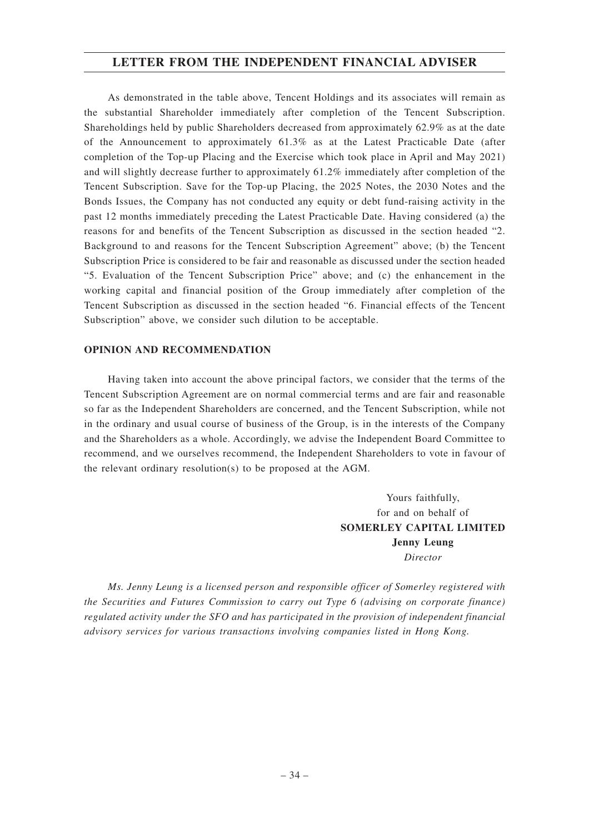As demonstrated in the table above, Tencent Holdings and its associates will remain as the substantial Shareholder immediately after completion of the Tencent Subscription. Shareholdings held by public Shareholders decreased from approximately 62.9% as at the date of the Announcement to approximately 61.3% as at the Latest Practicable Date (after completion of the Top-up Placing and the Exercise which took place in April and May 2021) and will slightly decrease further to approximately 61.2% immediately after completion of the Tencent Subscription. Save for the Top-up Placing, the 2025 Notes, the 2030 Notes and the Bonds Issues, the Company has not conducted any equity or debt fund-raising activity in the past 12 months immediately preceding the Latest Practicable Date. Having considered (a) the reasons for and benefits of the Tencent Subscription as discussed in the section headed "2. Background to and reasons for the Tencent Subscription Agreement" above; (b) the Tencent Subscription Price is considered to be fair and reasonable as discussed under the section headed "5. Evaluation of the Tencent Subscription Price" above; and (c) the enhancement in the working capital and financial position of the Group immediately after completion of the Tencent Subscription as discussed in the section headed "6. Financial effects of the Tencent Subscription" above, we consider such dilution to be acceptable.

#### **OPINION AND RECOMMENDATION**

Having taken into account the above principal factors, we consider that the terms of the Tencent Subscription Agreement are on normal commercial terms and are fair and reasonable so far as the Independent Shareholders are concerned, and the Tencent Subscription, while not in the ordinary and usual course of business of the Group, is in the interests of the Company and the Shareholders as a whole. Accordingly, we advise the Independent Board Committee to recommend, and we ourselves recommend, the Independent Shareholders to vote in favour of the relevant ordinary resolution(s) to be proposed at the AGM.

> Yours faithfully, for and on behalf of **SOMERLEY CAPITAL LIMITED Jenny Leung** *Director*

*Ms. Jenny Leung is a licensed person and responsible officer of Somerley registered with the Securities and Futures Commission to carry out Type 6 (advising on corporate finance) regulated activity under the SFO and has participated in the provision of independent financial advisory services for various transactions involving companies listed in Hong Kong.*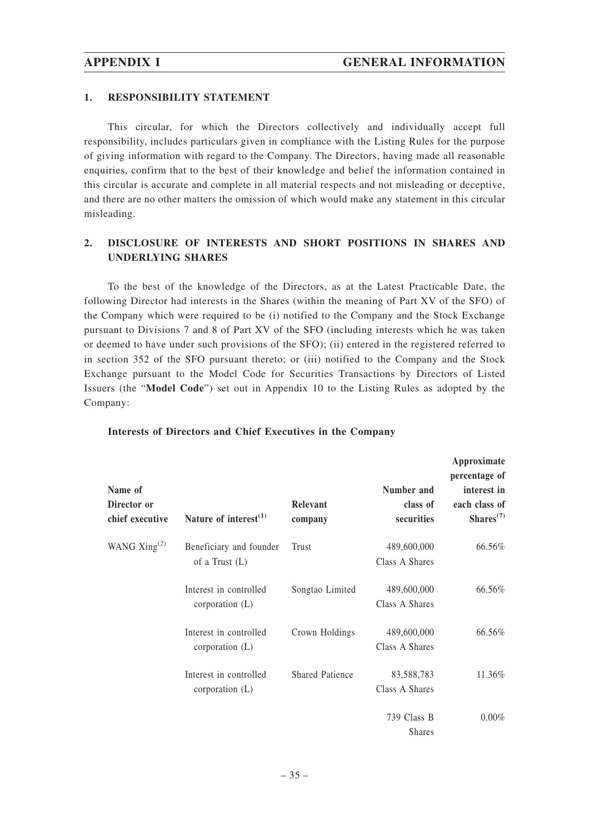### **1. RESPONSIBILITY STATEMENT**

This circular, for which the Directors collectively and individually accept full responsibility, includes particulars given in compliance with the Listing Rules for the purpose of giving information with regard to the Company. The Directors, having made all reasonable enquiries, confirm that to the best of their knowledge and belief the information contained in this circular is accurate and complete in all material respects and not misleading or deceptive, and there are no other matters the omission of which would make any statement in this circular misleading.

## **2. DISCLOSURE OF INTERESTS AND SHORT POSITIONS IN SHARES AND UNDERLYING SHARES**

To the best of the knowledge of the Directors, as at the Latest Practicable Date, the following Director had interests in the Shares (within the meaning of Part XV of the SFO) of the Company which were required to be (i) notified to the Company and the Stock Exchange pursuant to Divisions 7 and 8 of Part XV of the SFO (including interests which he was taken or deemed to have under such provisions of the SFO); (ii) entered in the registered referred to in section 352 of the SFO pursuant thereto; or (iii) notified to the Company and the Stock Exchange pursuant to the Model Code for Securities Transactions by Directors of Listed Issuers (the "**Model Code**") set out in Appendix 10 to the Listing Rules as adopted by the Company:

| Name of<br>Director or<br>chief executive | Nature of interest $^{(1)}$                 | Relevant<br>company    | Number and<br>class of<br>securities | Approximate<br>percentage of<br>interest in<br>each class of<br>Shares <sup>(7)</sup> |
|-------------------------------------------|---------------------------------------------|------------------------|--------------------------------------|---------------------------------------------------------------------------------------|
| WANG $\mathrm{Xing}^{(2)}$                | Beneficiary and founder<br>of a Trust $(L)$ | Trust                  | 489,600,000<br>Class A Shares        | 66.56%                                                                                |
|                                           | Interest in controlled<br>corporation $(L)$ | Songtao Limited        | 489,600,000<br>Class A Shares        | 66.56%                                                                                |
|                                           | Interest in controlled<br>corporation $(L)$ | Crown Holdings         | 489,600,000<br>Class A Shares        | 66.56%                                                                                |
|                                           | Interest in controlled<br>corporation $(L)$ | <b>Shared Patience</b> | 83,588,783<br>Class A Shares         | 11.36%                                                                                |
|                                           |                                             |                        | 739 Class B<br><b>Shares</b>         | $0.00\%$                                                                              |

#### **Interests of Directors and Chief Executives in the Company**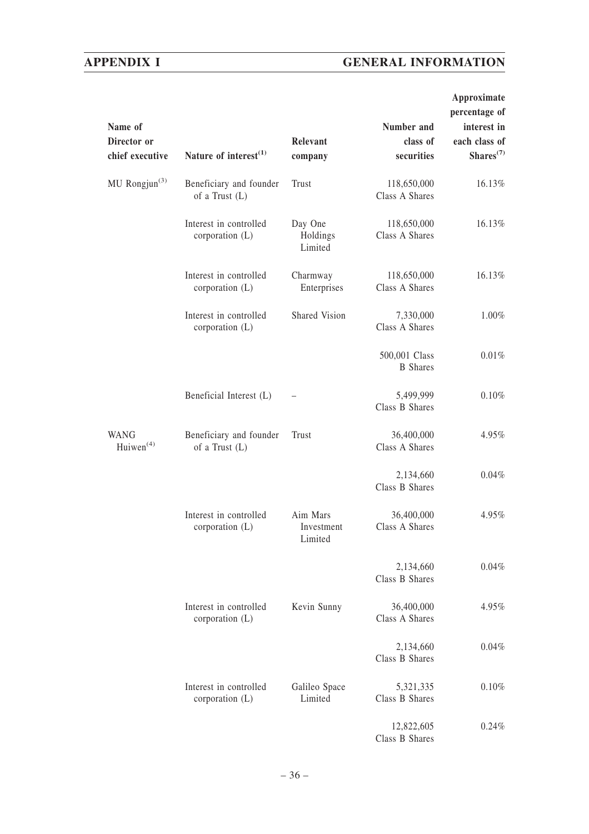# **APPENDIX I GENERAL INFORMATION**

| Name of<br>Director or<br>chief executive | Nature of interest $(1)$                    | Relevant<br>company               | Number and<br>class of<br>securities | Approximate<br>percentage of<br>interest in<br>each class of<br>Shares <sup>(7)</sup> |
|-------------------------------------------|---------------------------------------------|-----------------------------------|--------------------------------------|---------------------------------------------------------------------------------------|
| MU Rongjun $^{(3)}$                       | Beneficiary and founder<br>of a Trust $(L)$ | Trust                             | 118,650,000<br>Class A Shares        | 16.13%                                                                                |
|                                           | Interest in controlled<br>corporation (L)   | Day One<br>Holdings<br>Limited    | 118,650,000<br>Class A Shares        | 16.13%                                                                                |
|                                           | Interest in controlled<br>corporation $(L)$ | Charmway<br>Enterprises           | 118,650,000<br>Class A Shares        | 16.13%                                                                                |
|                                           | Interest in controlled<br>corporation (L)   | Shared Vision                     | 7,330,000<br>Class A Shares          | 1.00%                                                                                 |
|                                           |                                             |                                   | 500,001 Class<br><b>B</b> Shares     | 0.01%                                                                                 |
|                                           | Beneficial Interest (L)                     |                                   | 5,499,999<br>Class B Shares          | 0.10%                                                                                 |
| <b>WANG</b><br>Huiwen <sup>(4)</sup>      | Beneficiary and founder<br>of a Trust $(L)$ | Trust                             | 36,400,000<br>Class A Shares         | 4.95%                                                                                 |
|                                           |                                             |                                   | 2,134,660<br>Class B Shares          | 0.04%                                                                                 |
|                                           | Interest in controlled<br>corporation (L)   | Aim Mars<br>Investment<br>Limited | 36,400,000<br>Class A Shares         | 4.95%                                                                                 |
|                                           |                                             |                                   | 2,134,660<br>Class B Shares          | 0.04%                                                                                 |
|                                           | Interest in controlled<br>corporation (L)   | Kevin Sunny                       | 36,400,000<br>Class A Shares         | 4.95%                                                                                 |
|                                           |                                             |                                   | 2,134,660<br>Class B Shares          | 0.04%                                                                                 |
|                                           | Interest in controlled<br>corporation (L)   | Galileo Space<br>Limited          | 5,321,335<br>Class B Shares          | 0.10%                                                                                 |
|                                           |                                             |                                   | 12,822,605<br>Class B Shares         | 0.24%                                                                                 |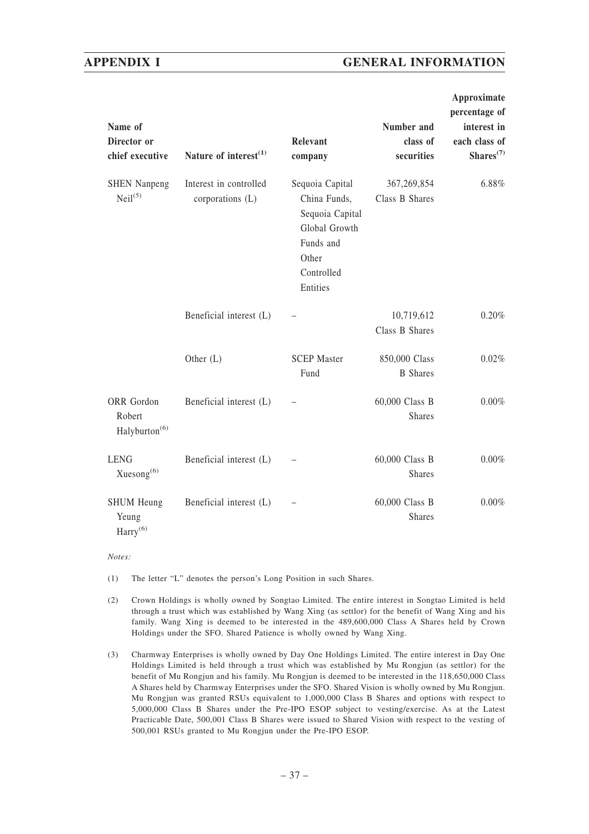## **APPENDIX I GENERAL INFORMATION**

| Name of<br>Director or<br>chief executive          | Nature of interest <sup>(1)</sup>          | Relevant<br>company                                                                                                 | Number and<br>class of<br>securities | Approximate<br>percentage of<br>interest in<br>each class of<br>Shares <sup>(7)</sup> |
|----------------------------------------------------|--------------------------------------------|---------------------------------------------------------------------------------------------------------------------|--------------------------------------|---------------------------------------------------------------------------------------|
| <b>SHEN Nanpeng</b><br>$Neil^{(5)}$                | Interest in controlled<br>corporations (L) | Sequoia Capital<br>China Funds,<br>Sequoia Capital<br>Global Growth<br>Funds and<br>Other<br>Controlled<br>Entities | 367,269,854<br>Class B Shares        | 6.88%                                                                                 |
|                                                    | Beneficial interest (L)                    |                                                                                                                     | 10,719,612<br>Class B Shares         | 0.20%                                                                                 |
|                                                    | Other $(L)$                                | <b>SCEP Master</b><br>Fund                                                                                          | 850,000 Class<br><b>B</b> Shares     | 0.02%                                                                                 |
| ORR Gordon<br>Robert<br>Halyburton <sup>(6)</sup>  | Beneficial interest (L)                    |                                                                                                                     | 60,000 Class B<br><b>Shares</b>      | 0.00%                                                                                 |
| <b>LENG</b><br>Xuesong $^{(6)}$                    | Beneficial interest (L)                    |                                                                                                                     | 60,000 Class B<br><b>Shares</b>      | 0.00%                                                                                 |
| <b>SHUM Heung</b><br>Yeung<br>Harry <sup>(6)</sup> | Beneficial interest (L)                    |                                                                                                                     | 60,000 Class B<br><b>Shares</b>      | 0.00%                                                                                 |

*Notes:*

(1) The letter "L" denotes the person's Long Position in such Shares.

- (2) Crown Holdings is wholly owned by Songtao Limited. The entire interest in Songtao Limited is held through a trust which was established by Wang Xing (as settlor) for the benefit of Wang Xing and his family. Wang Xing is deemed to be interested in the 489,600,000 Class A Shares held by Crown Holdings under the SFO. Shared Patience is wholly owned by Wang Xing.
- (3) Charmway Enterprises is wholly owned by Day One Holdings Limited. The entire interest in Day One Holdings Limited is held through a trust which was established by Mu Rongjun (as settlor) for the benefit of Mu Rongjun and his family. Mu Rongjun is deemed to be interested in the 118,650,000 Class A Shares held by Charmway Enterprises under the SFO. Shared Vision is wholly owned by Mu Rongjun. Mu Rongjun was granted RSUs equivalent to 1,000,000 Class B Shares and options with respect to 5,000,000 Class B Shares under the Pre-IPO ESOP subject to vesting/exercise. As at the Latest Practicable Date, 500,001 Class B Shares were issued to Shared Vision with respect to the vesting of 500,001 RSUs granted to Mu Rongjun under the Pre-IPO ESOP.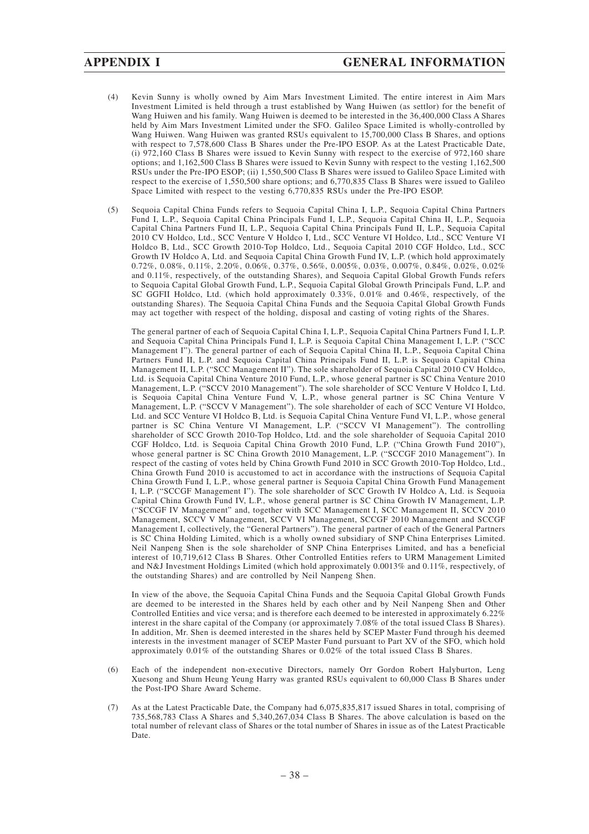- (4) Kevin Sunny is wholly owned by Aim Mars Investment Limited. The entire interest in Aim Mars Investment Limited is held through a trust established by Wang Huiwen (as settlor) for the benefit of Wang Huiwen and his family. Wang Huiwen is deemed to be interested in the 36,400,000 Class A Shares held by Aim Mars Investment Limited under the SFO. Galileo Space Limited is wholly-controlled by Wang Huiwen. Wang Huiwen was granted RSUs equivalent to 15,700,000 Class B Shares, and options with respect to 7,578,600 Class B Shares under the Pre-IPO ESOP. As at the Latest Practicable Date, (i) 972,160 Class B Shares were issued to Kevin Sunny with respect to the exercise of 972,160 share options; and 1,162,500 Class B Shares were issued to Kevin Sunny with respect to the vesting 1,162,500 RSUs under the Pre-IPO ESOP; (ii) 1,550,500 Class B Shares were issued to Galileo Space Limited with respect to the exercise of 1,550,500 share options; and 6,770,835 Class B Shares were issued to Galileo Space Limited with respect to the vesting 6,770,835 RSUs under the Pre-IPO ESOP.
- (5) Sequoia Capital China Funds refers to Sequoia Capital China I, L.P., Sequoia Capital China Partners Fund I, L.P., Sequoia Capital China Principals Fund I, L.P., Sequoia Capital China II, L.P., Sequoia Capital China Partners Fund II, L.P., Sequoia Capital China Principals Fund II, L.P., Sequoia Capital 2010 CV Holdco, Ltd., SCC Venture V Holdco I, Ltd., SCC Venture VI Holdco, Ltd., SCC Venture VI Holdco B, Ltd., SCC Growth 2010-Top Holdco, Ltd., Sequoia Capital 2010 CGF Holdco, Ltd., SCC Growth IV Holdco A, Ltd. and Sequoia Capital China Growth Fund IV, L.P. (which hold approximately 0.72%, 0.08%, 0.11%, 2.20%, 0.06%, 0.37%, 0.56%, 0.005%, 0.03%, 0.007%, 0.84%, 0.02%, 0.02% and 0.11%, respectively, of the outstanding Shares), and Sequoia Capital Global Growth Funds refers to Sequoia Capital Global Growth Fund, L.P., Sequoia Capital Global Growth Principals Fund, L.P. and SC GGFII Holdco, Ltd. (which hold approximately 0.33%, 0.01% and 0.46%, respectively, of the outstanding Shares). The Sequoia Capital China Funds and the Sequoia Capital Global Growth Funds may act together with respect of the holding, disposal and casting of voting rights of the Shares.

The general partner of each of Sequoia Capital China I, L.P., Sequoia Capital China Partners Fund I, L.P. and Sequoia Capital China Principals Fund I, L.P. is Sequoia Capital China Management I, L.P. ("SCC Management I"). The general partner of each of Sequoia Capital China II, L.P., Sequoia Capital China Partners Fund II, L.P. and Sequoia Capital China Principals Fund II, L.P. is Sequoia Capital China Management II, L.P. ("SCC Management II"). The sole shareholder of Sequoia Capital 2010 CV Holdco, Ltd. is Sequoia Capital China Venture 2010 Fund, L.P., whose general partner is SC China Venture 2010 Management, L.P. ("SCCV 2010 Management"). The sole shareholder of SCC Venture V Holdco I, Ltd. is Sequoia Capital China Venture Fund V, L.P., whose general partner is SC China Venture V Management, L.P. ("SCCV V Management"). The sole shareholder of each of SCC Venture VI Holdco, Ltd. and SCC Venture VI Holdco B, Ltd. is Sequoia Capital China Venture Fund VI, L.P., whose general partner is SC China Venture VI Management, L.P. ("SCCV VI Management"). The controlling shareholder of SCC Growth 2010-Top Holdco, Ltd. and the sole shareholder of Sequoia Capital 2010 CGF Holdco, Ltd. is Sequoia Capital China Growth 2010 Fund, L.P. ("China Growth Fund 2010"), whose general partner is SC China Growth 2010 Management, L.P. ("SCCGF 2010 Management"). In respect of the casting of votes held by China Growth Fund 2010 in SCC Growth 2010-Top Holdco, Ltd., China Growth Fund 2010 is accustomed to act in accordance with the instructions of Sequoia Capital China Growth Fund I, L.P., whose general partner is Sequoia Capital China Growth Fund Management I, L.P. ("SCCGF Management I"). The sole shareholder of SCC Growth IV Holdco A, Ltd. is Sequoia Capital China Growth Fund IV, L.P., whose general partner is SC China Growth IV Management, L.P. ("SCCGF IV Management" and, together with SCC Management I, SCC Management II, SCCV 2010 Management, SCCV V Management, SCCV VI Management, SCCGF 2010 Management and SCCGF Management I, collectively, the "General Partners"). The general partner of each of the General Partners is SC China Holding Limited, which is a wholly owned subsidiary of SNP China Enterprises Limited. Neil Nanpeng Shen is the sole shareholder of SNP China Enterprises Limited, and has a beneficial interest of 10,719,612 Class B Shares. Other Controlled Entities refers to URM Management Limited and N&J Investment Holdings Limited (which hold approximately 0.0013% and 0.11%, respectively, of the outstanding Shares) and are controlled by Neil Nanpeng Shen.

In view of the above, the Sequoia Capital China Funds and the Sequoia Capital Global Growth Funds are deemed to be interested in the Shares held by each other and by Neil Nanpeng Shen and Other Controlled Entities and vice versa; and is therefore each deemed to be interested in approximately 6.22% interest in the share capital of the Company (or approximately 7.08% of the total issued Class B Shares). In addition, Mr. Shen is deemed interested in the shares held by SCEP Master Fund through his deemed interests in the investment manager of SCEP Master Fund pursuant to Part XV of the SFO, which hold approximately 0.01% of the outstanding Shares or 0.02% of the total issued Class B Shares.

- (6) Each of the independent non-executive Directors, namely Orr Gordon Robert Halyburton, Leng Xuesong and Shum Heung Yeung Harry was granted RSUs equivalent to 60,000 Class B Shares under the Post-IPO Share Award Scheme.
- (7) As at the Latest Practicable Date, the Company had 6,075,835,817 issued Shares in total, comprising of 735,568,783 Class A Shares and 5,340,267,034 Class B Shares. The above calculation is based on the total number of relevant class of Shares or the total number of Shares in issue as of the Latest Practicable Date.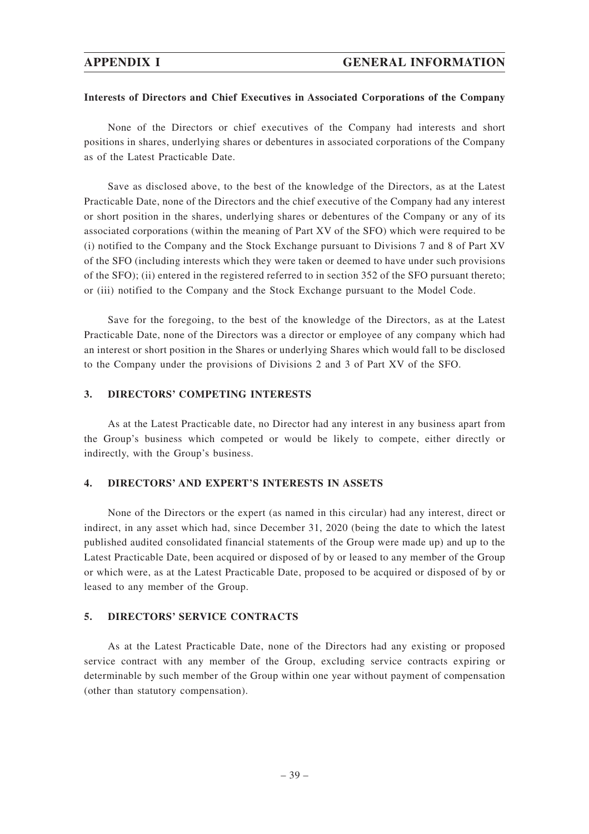## **APPENDIX I GENERAL INFORMATION**

#### **Interests of Directors and Chief Executives in Associated Corporations of the Company**

None of the Directors or chief executives of the Company had interests and short positions in shares, underlying shares or debentures in associated corporations of the Company as of the Latest Practicable Date.

Save as disclosed above, to the best of the knowledge of the Directors, as at the Latest Practicable Date, none of the Directors and the chief executive of the Company had any interest or short position in the shares, underlying shares or debentures of the Company or any of its associated corporations (within the meaning of Part XV of the SFO) which were required to be (i) notified to the Company and the Stock Exchange pursuant to Divisions 7 and 8 of Part XV of the SFO (including interests which they were taken or deemed to have under such provisions of the SFO); (ii) entered in the registered referred to in section 352 of the SFO pursuant thereto; or (iii) notified to the Company and the Stock Exchange pursuant to the Model Code.

Save for the foregoing, to the best of the knowledge of the Directors, as at the Latest Practicable Date, none of the Directors was a director or employee of any company which had an interest or short position in the Shares or underlying Shares which would fall to be disclosed to the Company under the provisions of Divisions 2 and 3 of Part XV of the SFO.

#### **3. DIRECTORS' COMPETING INTERESTS**

As at the Latest Practicable date, no Director had any interest in any business apart from the Group's business which competed or would be likely to compete, either directly or indirectly, with the Group's business.

#### **4. DIRECTORS' AND EXPERT'S INTERESTS IN ASSETS**

None of the Directors or the expert (as named in this circular) had any interest, direct or indirect, in any asset which had, since December 31, 2020 (being the date to which the latest published audited consolidated financial statements of the Group were made up) and up to the Latest Practicable Date, been acquired or disposed of by or leased to any member of the Group or which were, as at the Latest Practicable Date, proposed to be acquired or disposed of by or leased to any member of the Group.

#### **5. DIRECTORS' SERVICE CONTRACTS**

As at the Latest Practicable Date, none of the Directors had any existing or proposed service contract with any member of the Group, excluding service contracts expiring or determinable by such member of the Group within one year without payment of compensation (other than statutory compensation).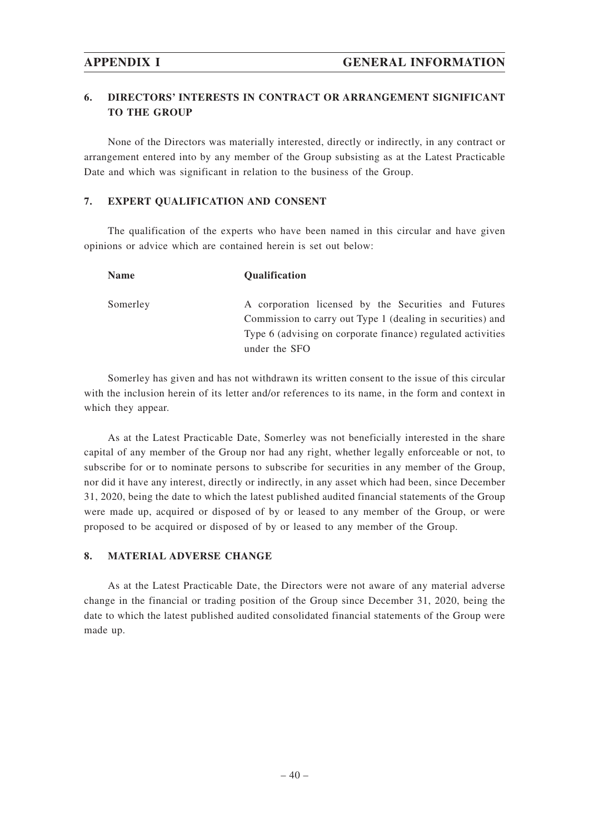## **6. DIRECTORS' INTERESTS IN CONTRACT OR ARRANGEMENT SIGNIFICANT TO THE GROUP**

None of the Directors was materially interested, directly or indirectly, in any contract or arrangement entered into by any member of the Group subsisting as at the Latest Practicable Date and which was significant in relation to the business of the Group.

## **7. EXPERT QUALIFICATION AND CONSENT**

The qualification of the experts who have been named in this circular and have given opinions or advice which are contained herein is set out below:

| <b>Name</b> | <b>Oualification</b>                                                                                                                                                                               |
|-------------|----------------------------------------------------------------------------------------------------------------------------------------------------------------------------------------------------|
| Somerley    | A corporation licensed by the Securities and Futures<br>Commission to carry out Type 1 (dealing in securities) and<br>Type 6 (advising on corporate finance) regulated activities<br>under the SFO |

Somerley has given and has not withdrawn its written consent to the issue of this circular with the inclusion herein of its letter and/or references to its name, in the form and context in which they appear.

As at the Latest Practicable Date, Somerley was not beneficially interested in the share capital of any member of the Group nor had any right, whether legally enforceable or not, to subscribe for or to nominate persons to subscribe for securities in any member of the Group, nor did it have any interest, directly or indirectly, in any asset which had been, since December 31, 2020, being the date to which the latest published audited financial statements of the Group were made up, acquired or disposed of by or leased to any member of the Group, or were proposed to be acquired or disposed of by or leased to any member of the Group.

## **8. MATERIAL ADVERSE CHANGE**

As at the Latest Practicable Date, the Directors were not aware of any material adverse change in the financial or trading position of the Group since December 31, 2020, being the date to which the latest published audited consolidated financial statements of the Group were made up.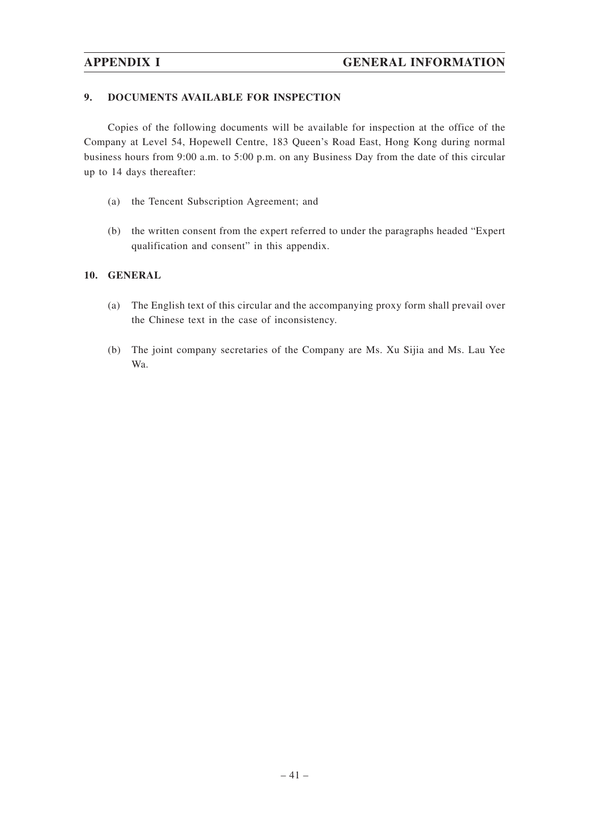## **9. DOCUMENTS AVAILABLE FOR INSPECTION**

Copies of the following documents will be available for inspection at the office of the Company at Level 54, Hopewell Centre, 183 Queen's Road East, Hong Kong during normal business hours from 9:00 a.m. to 5:00 p.m. on any Business Day from the date of this circular up to 14 days thereafter:

- (a) the Tencent Subscription Agreement; and
- (b) the written consent from the expert referred to under the paragraphs headed "Expert qualification and consent" in this appendix.

## **10. GENERAL**

- (a) The English text of this circular and the accompanying proxy form shall prevail over the Chinese text in the case of inconsistency.
- (b) The joint company secretaries of the Company are Ms. Xu Sijia and Ms. Lau Yee Wa.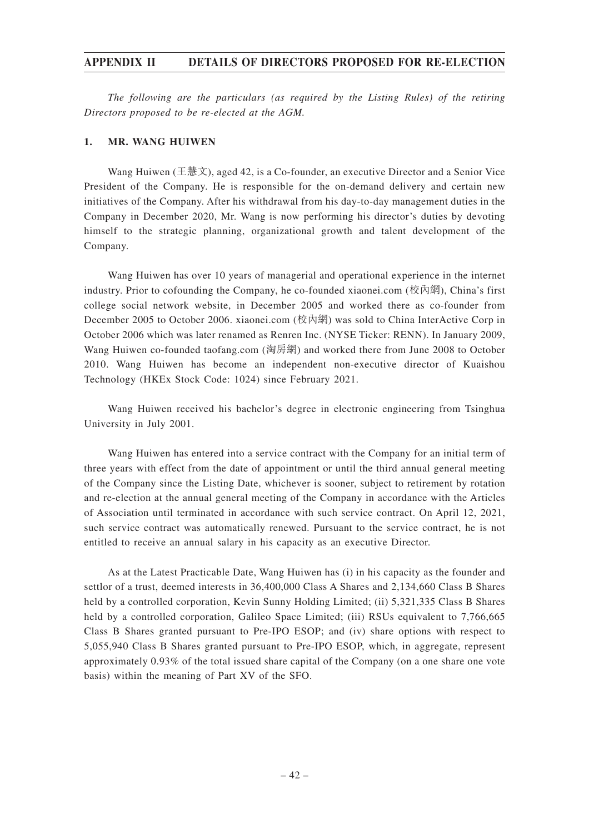*The following are the particulars (as required by the Listing Rules) of the retiring Directors proposed to be re-elected at the AGM.*

## **1. MR. WANG HUIWEN**

Wang Huiwen (王慧文), aged 42, is a Co-founder, an executive Director and a Senior Vice President of the Company. He is responsible for the on-demand delivery and certain new initiatives of the Company. After his withdrawal from his day-to-day management duties in the Company in December 2020, Mr. Wang is now performing his director's duties by devoting himself to the strategic planning, organizational growth and talent development of the Company.

Wang Huiwen has over 10 years of managerial and operational experience in the internet industry. Prior to cofounding the Company, he co-founded xiaonei.com (校內網), China's first college social network website, in December 2005 and worked there as co-founder from December 2005 to October 2006. xiaonei.com (校內網) was sold to China InterActive Corp in October 2006 which was later renamed as Renren Inc. (NYSE Ticker: RENN). In January 2009, Wang Huiwen co-founded taofang.com (淘房網) and worked there from June 2008 to October 2010. Wang Huiwen has become an independent non-executive director of Kuaishou Technology (HKEx Stock Code: 1024) since February 2021.

Wang Huiwen received his bachelor's degree in electronic engineering from Tsinghua University in July 2001.

Wang Huiwen has entered into a service contract with the Company for an initial term of three years with effect from the date of appointment or until the third annual general meeting of the Company since the Listing Date, whichever is sooner, subject to retirement by rotation and re-election at the annual general meeting of the Company in accordance with the Articles of Association until terminated in accordance with such service contract. On April 12, 2021, such service contract was automatically renewed. Pursuant to the service contract, he is not entitled to receive an annual salary in his capacity as an executive Director.

As at the Latest Practicable Date, Wang Huiwen has (i) in his capacity as the founder and settlor of a trust, deemed interests in 36,400,000 Class A Shares and 2,134,660 Class B Shares held by a controlled corporation, Kevin Sunny Holding Limited; (ii) 5,321,335 Class B Shares held by a controlled corporation, Galileo Space Limited; (iii) RSUs equivalent to 7,766,665 Class B Shares granted pursuant to Pre-IPO ESOP; and (iv) share options with respect to 5,055,940 Class B Shares granted pursuant to Pre-IPO ESOP, which, in aggregate, represent approximately 0.93% of the total issued share capital of the Company (on a one share one vote basis) within the meaning of Part XV of the SFO.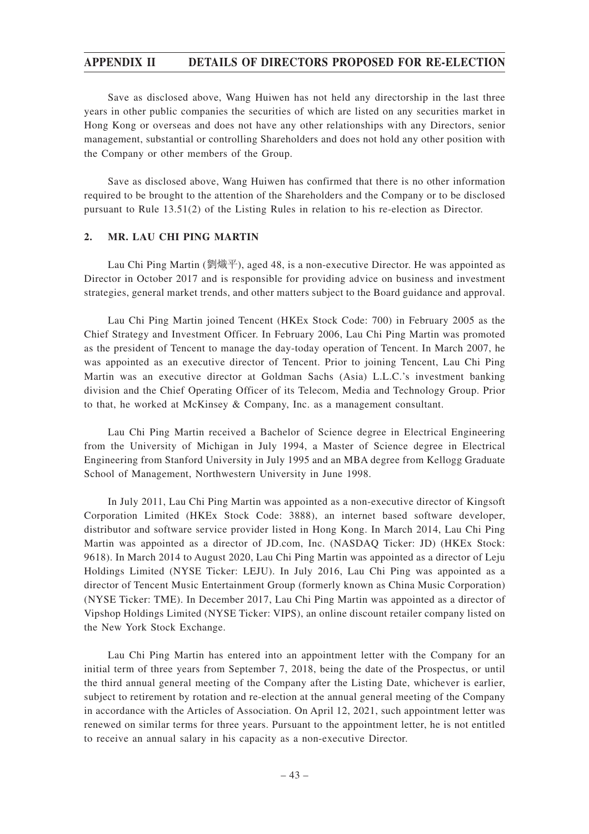Save as disclosed above, Wang Huiwen has not held any directorship in the last three years in other public companies the securities of which are listed on any securities market in Hong Kong or overseas and does not have any other relationships with any Directors, senior management, substantial or controlling Shareholders and does not hold any other position with the Company or other members of the Group.

Save as disclosed above, Wang Huiwen has confirmed that there is no other information required to be brought to the attention of the Shareholders and the Company or to be disclosed pursuant to Rule 13.51(2) of the Listing Rules in relation to his re-election as Director.

## **2. MR. LAU CHI PING MARTIN**

Lau Chi Ping Martin (劉熾平), aged 48, is a non-executive Director. He was appointed as Director in October 2017 and is responsible for providing advice on business and investment strategies, general market trends, and other matters subject to the Board guidance and approval.

Lau Chi Ping Martin joined Tencent (HKEx Stock Code: 700) in February 2005 as the Chief Strategy and Investment Officer. In February 2006, Lau Chi Ping Martin was promoted as the president of Tencent to manage the day-today operation of Tencent. In March 2007, he was appointed as an executive director of Tencent. Prior to joining Tencent, Lau Chi Ping Martin was an executive director at Goldman Sachs (Asia) L.L.C.'s investment banking division and the Chief Operating Officer of its Telecom, Media and Technology Group. Prior to that, he worked at McKinsey & Company, Inc. as a management consultant.

Lau Chi Ping Martin received a Bachelor of Science degree in Electrical Engineering from the University of Michigan in July 1994, a Master of Science degree in Electrical Engineering from Stanford University in July 1995 and an MBA degree from Kellogg Graduate School of Management, Northwestern University in June 1998.

In July 2011, Lau Chi Ping Martin was appointed as a non-executive director of Kingsoft Corporation Limited (HKEx Stock Code: 3888), an internet based software developer, distributor and software service provider listed in Hong Kong. In March 2014, Lau Chi Ping Martin was appointed as a director of JD.com, Inc. (NASDAQ Ticker: JD) (HKEx Stock: 9618). In March 2014 to August 2020, Lau Chi Ping Martin was appointed as a director of Leju Holdings Limited (NYSE Ticker: LEJU). In July 2016, Lau Chi Ping was appointed as a director of Tencent Music Entertainment Group (formerly known as China Music Corporation) (NYSE Ticker: TME). In December 2017, Lau Chi Ping Martin was appointed as a director of Vipshop Holdings Limited (NYSE Ticker: VIPS), an online discount retailer company listed on the New York Stock Exchange.

Lau Chi Ping Martin has entered into an appointment letter with the Company for an initial term of three years from September 7, 2018, being the date of the Prospectus, or until the third annual general meeting of the Company after the Listing Date, whichever is earlier, subject to retirement by rotation and re-election at the annual general meeting of the Company in accordance with the Articles of Association. On April 12, 2021, such appointment letter was renewed on similar terms for three years. Pursuant to the appointment letter, he is not entitled to receive an annual salary in his capacity as a non-executive Director.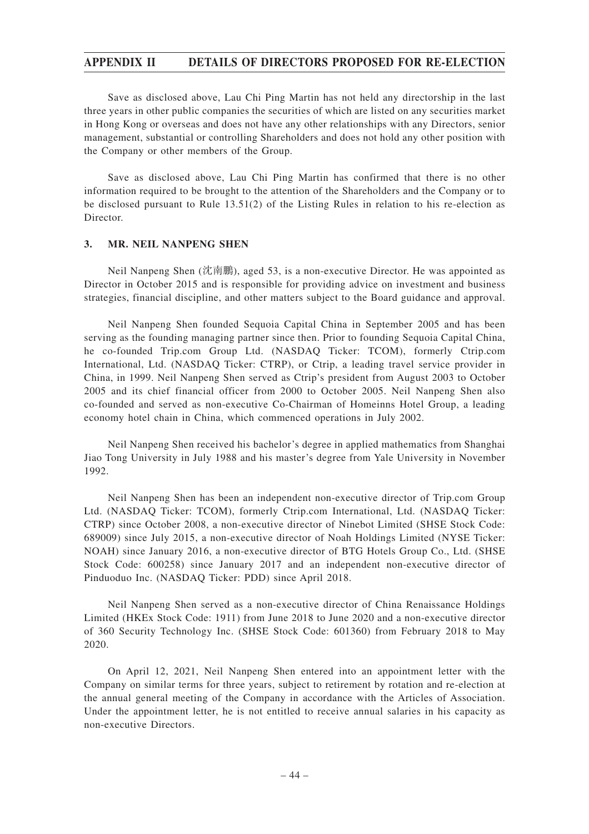Save as disclosed above, Lau Chi Ping Martin has not held any directorship in the last three years in other public companies the securities of which are listed on any securities market in Hong Kong or overseas and does not have any other relationships with any Directors, senior management, substantial or controlling Shareholders and does not hold any other position with the Company or other members of the Group.

Save as disclosed above, Lau Chi Ping Martin has confirmed that there is no other information required to be brought to the attention of the Shareholders and the Company or to be disclosed pursuant to Rule 13.51(2) of the Listing Rules in relation to his re-election as Director.

## **3. MR. NEIL NANPENG SHEN**

Neil Nanpeng Shen (沈南鵬), aged 53, is a non-executive Director. He was appointed as Director in October 2015 and is responsible for providing advice on investment and business strategies, financial discipline, and other matters subject to the Board guidance and approval.

Neil Nanpeng Shen founded Sequoia Capital China in September 2005 and has been serving as the founding managing partner since then. Prior to founding Sequoia Capital China, he co-founded Trip.com Group Ltd. (NASDAQ Ticker: TCOM), formerly Ctrip.com International, Ltd. (NASDAQ Ticker: CTRP), or Ctrip, a leading travel service provider in China, in 1999. Neil Nanpeng Shen served as Ctrip's president from August 2003 to October 2005 and its chief financial officer from 2000 to October 2005. Neil Nanpeng Shen also co-founded and served as non-executive Co-Chairman of Homeinns Hotel Group, a leading economy hotel chain in China, which commenced operations in July 2002.

Neil Nanpeng Shen received his bachelor's degree in applied mathematics from Shanghai Jiao Tong University in July 1988 and his master's degree from Yale University in November 1992.

Neil Nanpeng Shen has been an independent non-executive director of Trip.com Group Ltd. (NASDAQ Ticker: TCOM), formerly Ctrip.com International, Ltd. (NASDAQ Ticker: CTRP) since October 2008, a non-executive director of Ninebot Limited (SHSE Stock Code: 689009) since July 2015, a non-executive director of Noah Holdings Limited (NYSE Ticker: NOAH) since January 2016, a non-executive director of BTG Hotels Group Co., Ltd. (SHSE Stock Code: 600258) since January 2017 and an independent non-executive director of Pinduoduo Inc. (NASDAQ Ticker: PDD) since April 2018.

Neil Nanpeng Shen served as a non-executive director of China Renaissance Holdings Limited (HKEx Stock Code: 1911) from June 2018 to June 2020 and a non-executive director of 360 Security Technology Inc. (SHSE Stock Code: 601360) from February 2018 to May 2020.

On April 12, 2021, Neil Nanpeng Shen entered into an appointment letter with the Company on similar terms for three years, subject to retirement by rotation and re-election at the annual general meeting of the Company in accordance with the Articles of Association. Under the appointment letter, he is not entitled to receive annual salaries in his capacity as non-executive Directors.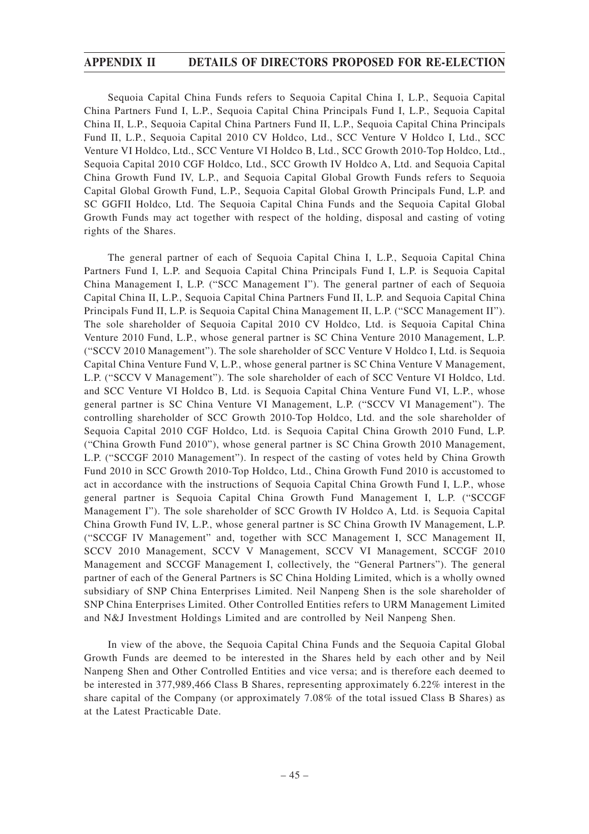Sequoia Capital China Funds refers to Sequoia Capital China I, L.P., Sequoia Capital China Partners Fund I, L.P., Sequoia Capital China Principals Fund I, L.P., Sequoia Capital China II, L.P., Sequoia Capital China Partners Fund II, L.P., Sequoia Capital China Principals Fund II, L.P., Sequoia Capital 2010 CV Holdco, Ltd., SCC Venture V Holdco I, Ltd., SCC Venture VI Holdco, Ltd., SCC Venture VI Holdco B, Ltd., SCC Growth 2010-Top Holdco, Ltd., Sequoia Capital 2010 CGF Holdco, Ltd., SCC Growth IV Holdco A, Ltd. and Sequoia Capital China Growth Fund IV, L.P., and Sequoia Capital Global Growth Funds refers to Sequoia Capital Global Growth Fund, L.P., Sequoia Capital Global Growth Principals Fund, L.P. and SC GGFII Holdco, Ltd. The Sequoia Capital China Funds and the Sequoia Capital Global Growth Funds may act together with respect of the holding, disposal and casting of voting rights of the Shares.

The general partner of each of Sequoia Capital China I, L.P., Sequoia Capital China Partners Fund I, L.P. and Sequoia Capital China Principals Fund I, L.P. is Sequoia Capital China Management I, L.P. ("SCC Management I"). The general partner of each of Sequoia Capital China II, L.P., Sequoia Capital China Partners Fund II, L.P. and Sequoia Capital China Principals Fund II, L.P. is Sequoia Capital China Management II, L.P. ("SCC Management II"). The sole shareholder of Sequoia Capital 2010 CV Holdco, Ltd. is Sequoia Capital China Venture 2010 Fund, L.P., whose general partner is SC China Venture 2010 Management, L.P. ("SCCV 2010 Management"). The sole shareholder of SCC Venture V Holdco I, Ltd. is Sequoia Capital China Venture Fund V, L.P., whose general partner is SC China Venture V Management, L.P. ("SCCV V Management"). The sole shareholder of each of SCC Venture VI Holdco, Ltd. and SCC Venture VI Holdco B, Ltd. is Sequoia Capital China Venture Fund VI, L.P., whose general partner is SC China Venture VI Management, L.P. ("SCCV VI Management"). The controlling shareholder of SCC Growth 2010-Top Holdco, Ltd. and the sole shareholder of Sequoia Capital 2010 CGF Holdco, Ltd. is Sequoia Capital China Growth 2010 Fund, L.P. ("China Growth Fund 2010"), whose general partner is SC China Growth 2010 Management, L.P. ("SCCGF 2010 Management"). In respect of the casting of votes held by China Growth Fund 2010 in SCC Growth 2010-Top Holdco, Ltd., China Growth Fund 2010 is accustomed to act in accordance with the instructions of Sequoia Capital China Growth Fund I, L.P., whose general partner is Sequoia Capital China Growth Fund Management I, L.P. ("SCCGF Management I"). The sole shareholder of SCC Growth IV Holdco A, Ltd. is Sequoia Capital China Growth Fund IV, L.P., whose general partner is SC China Growth IV Management, L.P. ("SCCGF IV Management" and, together with SCC Management I, SCC Management II, SCCV 2010 Management, SCCV V Management, SCCV VI Management, SCCGF 2010 Management and SCCGF Management I, collectively, the "General Partners"). The general partner of each of the General Partners is SC China Holding Limited, which is a wholly owned subsidiary of SNP China Enterprises Limited. Neil Nanpeng Shen is the sole shareholder of SNP China Enterprises Limited. Other Controlled Entities refers to URM Management Limited and N&J Investment Holdings Limited and are controlled by Neil Nanpeng Shen.

In view of the above, the Sequoia Capital China Funds and the Sequoia Capital Global Growth Funds are deemed to be interested in the Shares held by each other and by Neil Nanpeng Shen and Other Controlled Entities and vice versa; and is therefore each deemed to be interested in 377,989,466 Class B Shares, representing approximately 6.22% interest in the share capital of the Company (or approximately 7.08% of the total issued Class B Shares) as at the Latest Practicable Date.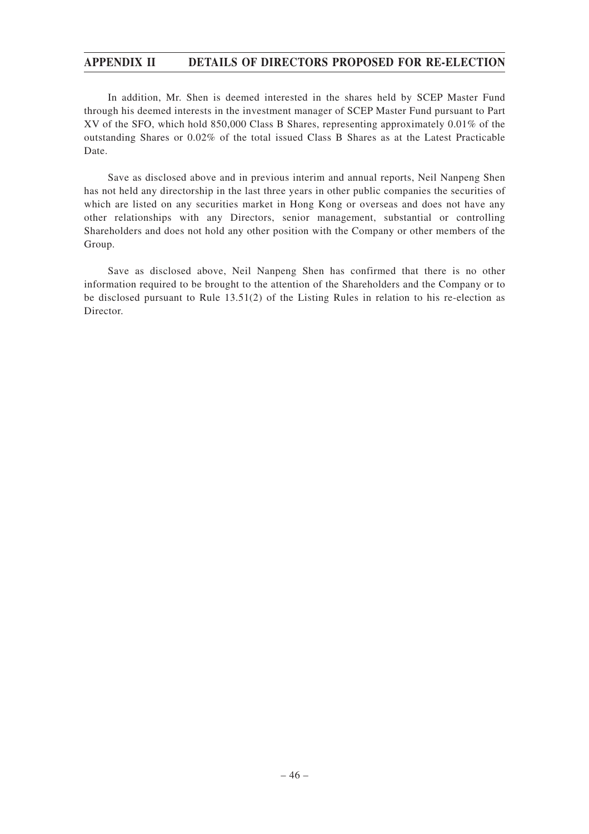In addition, Mr. Shen is deemed interested in the shares held by SCEP Master Fund through his deemed interests in the investment manager of SCEP Master Fund pursuant to Part XV of the SFO, which hold 850,000 Class B Shares, representing approximately 0.01% of the outstanding Shares or 0.02% of the total issued Class B Shares as at the Latest Practicable Date.

Save as disclosed above and in previous interim and annual reports, Neil Nanpeng Shen has not held any directorship in the last three years in other public companies the securities of which are listed on any securities market in Hong Kong or overseas and does not have any other relationships with any Directors, senior management, substantial or controlling Shareholders and does not hold any other position with the Company or other members of the Group.

Save as disclosed above, Neil Nanpeng Shen has confirmed that there is no other information required to be brought to the attention of the Shareholders and the Company or to be disclosed pursuant to Rule 13.51(2) of the Listing Rules in relation to his re-election as Director.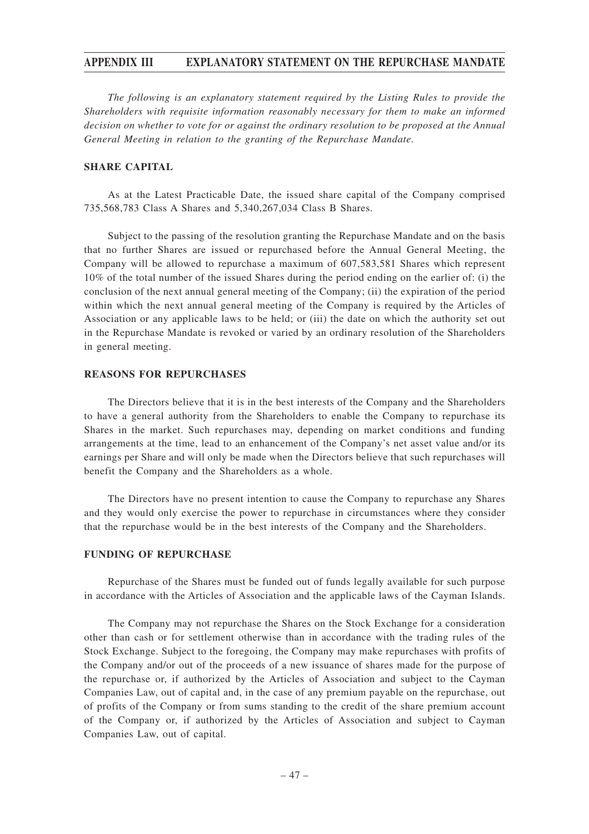## **APPENDIX III EXPLANATORY STATEMENT ON THE REPURCHASE MANDATE**

*The following is an explanatory statement required by the Listing Rules to provide the Shareholders with requisite information reasonably necessary for them to make an informed decision on whether to vote for or against the ordinary resolution to be proposed at the Annual General Meeting in relation to the granting of the Repurchase Mandate.*

### **SHARE CAPITAL**

As at the Latest Practicable Date, the issued share capital of the Company comprised 735,568,783 Class A Shares and 5,340,267,034 Class B Shares.

Subject to the passing of the resolution granting the Repurchase Mandate and on the basis that no further Shares are issued or repurchased before the Annual General Meeting, the Company will be allowed to repurchase a maximum of 607,583,581 Shares which represent 10% of the total number of the issued Shares during the period ending on the earlier of: (i) the conclusion of the next annual general meeting of the Company; (ii) the expiration of the period within which the next annual general meeting of the Company is required by the Articles of Association or any applicable laws to be held; or (iii) the date on which the authority set out in the Repurchase Mandate is revoked or varied by an ordinary resolution of the Shareholders in general meeting.

#### **REASONS FOR REPURCHASES**

The Directors believe that it is in the best interests of the Company and the Shareholders to have a general authority from the Shareholders to enable the Company to repurchase its Shares in the market. Such repurchases may, depending on market conditions and funding arrangements at the time, lead to an enhancement of the Company's net asset value and/or its earnings per Share and will only be made when the Directors believe that such repurchases will benefit the Company and the Shareholders as a whole.

The Directors have no present intention to cause the Company to repurchase any Shares and they would only exercise the power to repurchase in circumstances where they consider that the repurchase would be in the best interests of the Company and the Shareholders.

### **FUNDING OF REPURCHASE**

Repurchase of the Shares must be funded out of funds legally available for such purpose in accordance with the Articles of Association and the applicable laws of the Cayman Islands.

The Company may not repurchase the Shares on the Stock Exchange for a consideration other than cash or for settlement otherwise than in accordance with the trading rules of the Stock Exchange. Subject to the foregoing, the Company may make repurchases with profits of the Company and/or out of the proceeds of a new issuance of shares made for the purpose of the repurchase or, if authorized by the Articles of Association and subject to the Cayman Companies Law, out of capital and, in the case of any premium payable on the repurchase, out of profits of the Company or from sums standing to the credit of the share premium account of the Company or, if authorized by the Articles of Association and subject to Cayman Companies Law, out of capital.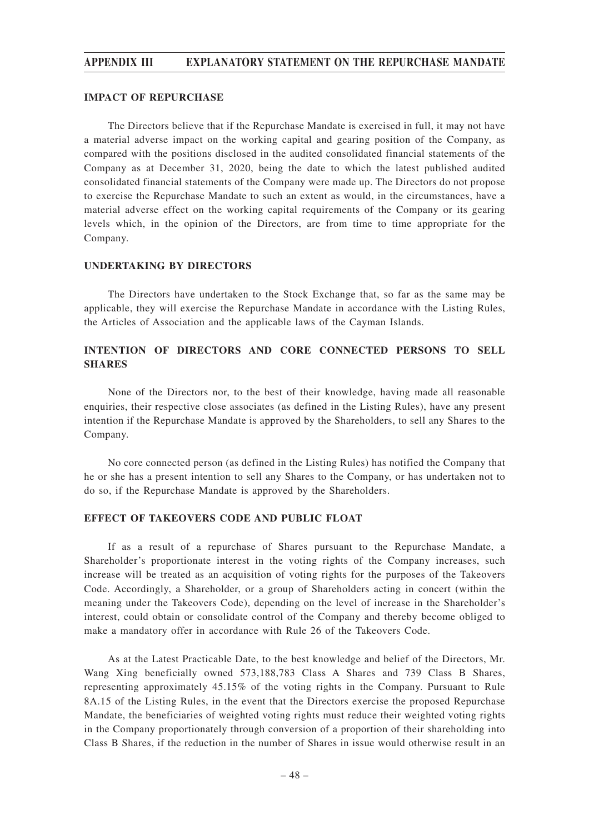## **APPENDIX III EXPLANATORY STATEMENT ON THE REPURCHASE MANDATE**

#### **IMPACT OF REPURCHASE**

The Directors believe that if the Repurchase Mandate is exercised in full, it may not have a material adverse impact on the working capital and gearing position of the Company, as compared with the positions disclosed in the audited consolidated financial statements of the Company as at December 31, 2020, being the date to which the latest published audited consolidated financial statements of the Company were made up. The Directors do not propose to exercise the Repurchase Mandate to such an extent as would, in the circumstances, have a material adverse effect on the working capital requirements of the Company or its gearing levels which, in the opinion of the Directors, are from time to time appropriate for the Company.

## **UNDERTAKING BY DIRECTORS**

The Directors have undertaken to the Stock Exchange that, so far as the same may be applicable, they will exercise the Repurchase Mandate in accordance with the Listing Rules, the Articles of Association and the applicable laws of the Cayman Islands.

## **INTENTION OF DIRECTORS AND CORE CONNECTED PERSONS TO SELL SHARES**

None of the Directors nor, to the best of their knowledge, having made all reasonable enquiries, their respective close associates (as defined in the Listing Rules), have any present intention if the Repurchase Mandate is approved by the Shareholders, to sell any Shares to the Company.

No core connected person (as defined in the Listing Rules) has notified the Company that he or she has a present intention to sell any Shares to the Company, or has undertaken not to do so, if the Repurchase Mandate is approved by the Shareholders.

#### **EFFECT OF TAKEOVERS CODE AND PUBLIC FLOAT**

If as a result of a repurchase of Shares pursuant to the Repurchase Mandate, a Shareholder's proportionate interest in the voting rights of the Company increases, such increase will be treated as an acquisition of voting rights for the purposes of the Takeovers Code. Accordingly, a Shareholder, or a group of Shareholders acting in concert (within the meaning under the Takeovers Code), depending on the level of increase in the Shareholder's interest, could obtain or consolidate control of the Company and thereby become obliged to make a mandatory offer in accordance with Rule 26 of the Takeovers Code.

As at the Latest Practicable Date, to the best knowledge and belief of the Directors, Mr. Wang Xing beneficially owned 573,188,783 Class A Shares and 739 Class B Shares, representing approximately 45.15% of the voting rights in the Company. Pursuant to Rule 8A.15 of the Listing Rules, in the event that the Directors exercise the proposed Repurchase Mandate, the beneficiaries of weighted voting rights must reduce their weighted voting rights in the Company proportionately through conversion of a proportion of their shareholding into Class B Shares, if the reduction in the number of Shares in issue would otherwise result in an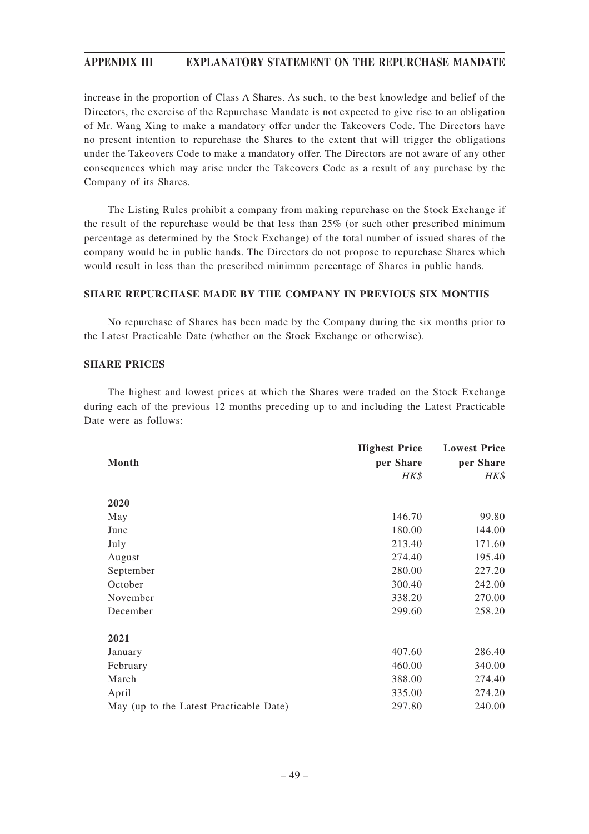## **APPENDIX III EXPLANATORY STATEMENT ON THE REPURCHASE MANDATE**

increase in the proportion of Class A Shares. As such, to the best knowledge and belief of the Directors, the exercise of the Repurchase Mandate is not expected to give rise to an obligation of Mr. Wang Xing to make a mandatory offer under the Takeovers Code. The Directors have no present intention to repurchase the Shares to the extent that will trigger the obligations under the Takeovers Code to make a mandatory offer. The Directors are not aware of any other consequences which may arise under the Takeovers Code as a result of any purchase by the Company of its Shares.

The Listing Rules prohibit a company from making repurchase on the Stock Exchange if the result of the repurchase would be that less than 25% (or such other prescribed minimum percentage as determined by the Stock Exchange) of the total number of issued shares of the company would be in public hands. The Directors do not propose to repurchase Shares which would result in less than the prescribed minimum percentage of Shares in public hands.

## **SHARE REPURCHASE MADE BY THE COMPANY IN PREVIOUS SIX MONTHS**

No repurchase of Shares has been made by the Company during the six months prior to the Latest Practicable Date (whether on the Stock Exchange or otherwise).

## **SHARE PRICES**

The highest and lowest prices at which the Shares were traded on the Stock Exchange during each of the previous 12 months preceding up to and including the Latest Practicable Date were as follows:

|                                         | <b>Highest Price</b> | <b>Lowest Price</b> |
|-----------------------------------------|----------------------|---------------------|
| Month                                   | per Share            | per Share           |
|                                         | $H K$ \$             | HK\$                |
| 2020                                    |                      |                     |
| May                                     | 146.70               | 99.80               |
| June                                    | 180.00               | 144.00              |
| July                                    | 213.40               | 171.60              |
| August                                  | 274.40               | 195.40              |
| September                               | 280.00               | 227.20              |
| October                                 | 300.40               | 242.00              |
| November                                | 338.20               | 270.00              |
| December                                | 299.60               | 258.20              |
| 2021                                    |                      |                     |
| January                                 | 407.60               | 286.40              |
| February                                | 460.00               | 340.00              |
| March                                   | 388.00               | 274.40              |
| April                                   | 335.00               | 274.20              |
| May (up to the Latest Practicable Date) | 297.80               | 240.00              |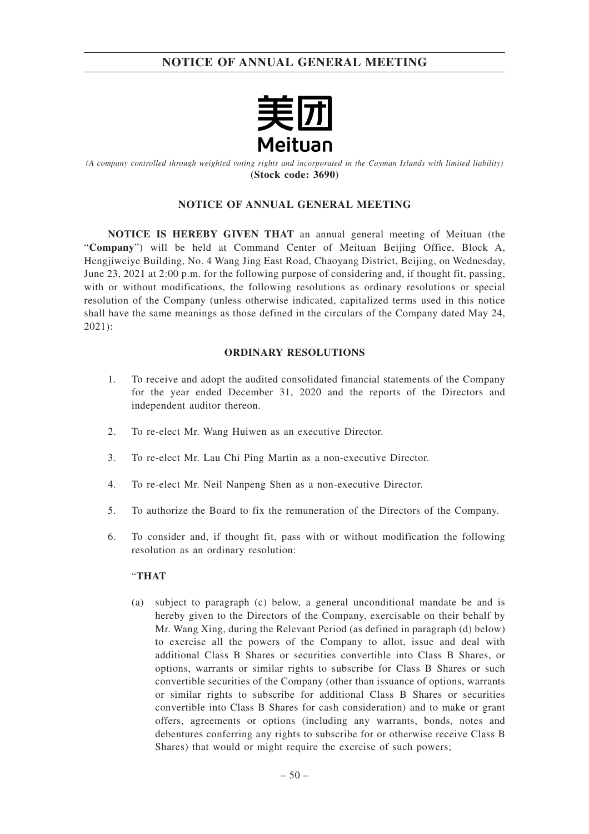

*(A company controlled through weighted voting rights and incorporated in the Cayman Islands with limited liability)* **(Stock code: 3690)**

## **NOTICE OF ANNUAL GENERAL MEETING**

**NOTICE IS HEREBY GIVEN THAT** an annual general meeting of Meituan (the "**Company**") will be held at Command Center of Meituan Beijing Office, Block A, Hengjiweiye Building, No. 4 Wang Jing East Road, Chaoyang District, Beijing, on Wednesday, June 23, 2021 at 2:00 p.m. for the following purpose of considering and, if thought fit, passing, with or without modifications, the following resolutions as ordinary resolutions or special resolution of the Company (unless otherwise indicated, capitalized terms used in this notice shall have the same meanings as those defined in the circulars of the Company dated May 24, 2021):

## **ORDINARY RESOLUTIONS**

- 1. To receive and adopt the audited consolidated financial statements of the Company for the year ended December 31, 2020 and the reports of the Directors and independent auditor thereon.
- 2. To re-elect Mr. Wang Huiwen as an executive Director.
- 3. To re-elect Mr. Lau Chi Ping Martin as a non-executive Director.
- 4. To re-elect Mr. Neil Nanpeng Shen as a non-executive Director.
- 5. To authorize the Board to fix the remuneration of the Directors of the Company.
- 6. To consider and, if thought fit, pass with or without modification the following resolution as an ordinary resolution:

#### "**THAT**

(a) subject to paragraph (c) below, a general unconditional mandate be and is hereby given to the Directors of the Company, exercisable on their behalf by Mr. Wang Xing, during the Relevant Period (as defined in paragraph (d) below) to exercise all the powers of the Company to allot, issue and deal with additional Class B Shares or securities convertible into Class B Shares, or options, warrants or similar rights to subscribe for Class B Shares or such convertible securities of the Company (other than issuance of options, warrants or similar rights to subscribe for additional Class B Shares or securities convertible into Class B Shares for cash consideration) and to make or grant offers, agreements or options (including any warrants, bonds, notes and debentures conferring any rights to subscribe for or otherwise receive Class B Shares) that would or might require the exercise of such powers;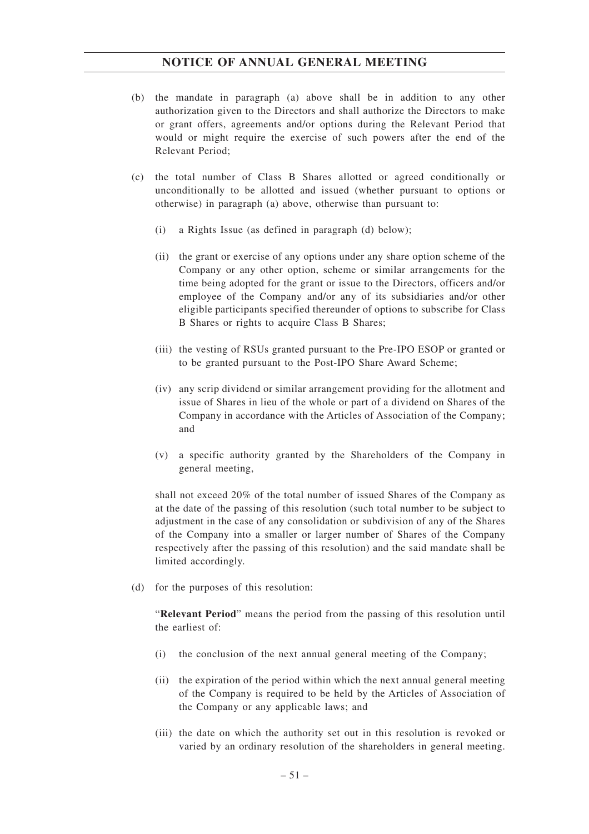- (b) the mandate in paragraph (a) above shall be in addition to any other authorization given to the Directors and shall authorize the Directors to make or grant offers, agreements and/or options during the Relevant Period that would or might require the exercise of such powers after the end of the Relevant Period;
- (c) the total number of Class B Shares allotted or agreed conditionally or unconditionally to be allotted and issued (whether pursuant to options or otherwise) in paragraph (a) above, otherwise than pursuant to:
	- (i) a Rights Issue (as defined in paragraph (d) below);
	- (ii) the grant or exercise of any options under any share option scheme of the Company or any other option, scheme or similar arrangements for the time being adopted for the grant or issue to the Directors, officers and/or employee of the Company and/or any of its subsidiaries and/or other eligible participants specified thereunder of options to subscribe for Class B Shares or rights to acquire Class B Shares;
	- (iii) the vesting of RSUs granted pursuant to the Pre-IPO ESOP or granted or to be granted pursuant to the Post-IPO Share Award Scheme;
	- (iv) any scrip dividend or similar arrangement providing for the allotment and issue of Shares in lieu of the whole or part of a dividend on Shares of the Company in accordance with the Articles of Association of the Company; and
	- (v) a specific authority granted by the Shareholders of the Company in general meeting,

shall not exceed 20% of the total number of issued Shares of the Company as at the date of the passing of this resolution (such total number to be subject to adjustment in the case of any consolidation or subdivision of any of the Shares of the Company into a smaller or larger number of Shares of the Company respectively after the passing of this resolution) and the said mandate shall be limited accordingly.

(d) for the purposes of this resolution:

"**Relevant Period**" means the period from the passing of this resolution until the earliest of:

- (i) the conclusion of the next annual general meeting of the Company;
- (ii) the expiration of the period within which the next annual general meeting of the Company is required to be held by the Articles of Association of the Company or any applicable laws; and
- (iii) the date on which the authority set out in this resolution is revoked or varied by an ordinary resolution of the shareholders in general meeting.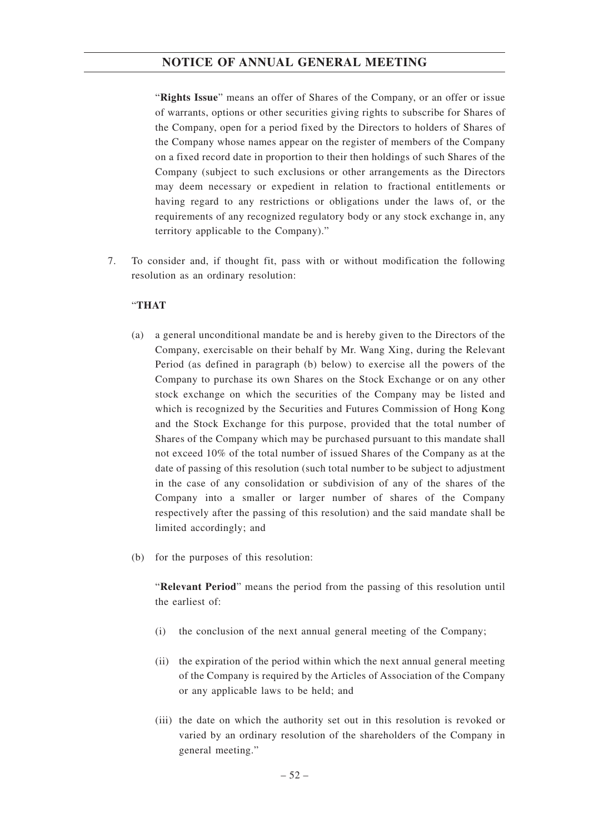"**Rights Issue**" means an offer of Shares of the Company, or an offer or issue of warrants, options or other securities giving rights to subscribe for Shares of the Company, open for a period fixed by the Directors to holders of Shares of the Company whose names appear on the register of members of the Company on a fixed record date in proportion to their then holdings of such Shares of the Company (subject to such exclusions or other arrangements as the Directors may deem necessary or expedient in relation to fractional entitlements or having regard to any restrictions or obligations under the laws of, or the requirements of any recognized regulatory body or any stock exchange in, any territory applicable to the Company)."

7. To consider and, if thought fit, pass with or without modification the following resolution as an ordinary resolution:

## "**THAT**

- (a) a general unconditional mandate be and is hereby given to the Directors of the Company, exercisable on their behalf by Mr. Wang Xing, during the Relevant Period (as defined in paragraph (b) below) to exercise all the powers of the Company to purchase its own Shares on the Stock Exchange or on any other stock exchange on which the securities of the Company may be listed and which is recognized by the Securities and Futures Commission of Hong Kong and the Stock Exchange for this purpose, provided that the total number of Shares of the Company which may be purchased pursuant to this mandate shall not exceed 10% of the total number of issued Shares of the Company as at the date of passing of this resolution (such total number to be subject to adjustment in the case of any consolidation or subdivision of any of the shares of the Company into a smaller or larger number of shares of the Company respectively after the passing of this resolution) and the said mandate shall be limited accordingly; and
- (b) for the purposes of this resolution:

"**Relevant Period**" means the period from the passing of this resolution until the earliest of:

- (i) the conclusion of the next annual general meeting of the Company;
- (ii) the expiration of the period within which the next annual general meeting of the Company is required by the Articles of Association of the Company or any applicable laws to be held; and
- (iii) the date on which the authority set out in this resolution is revoked or varied by an ordinary resolution of the shareholders of the Company in general meeting."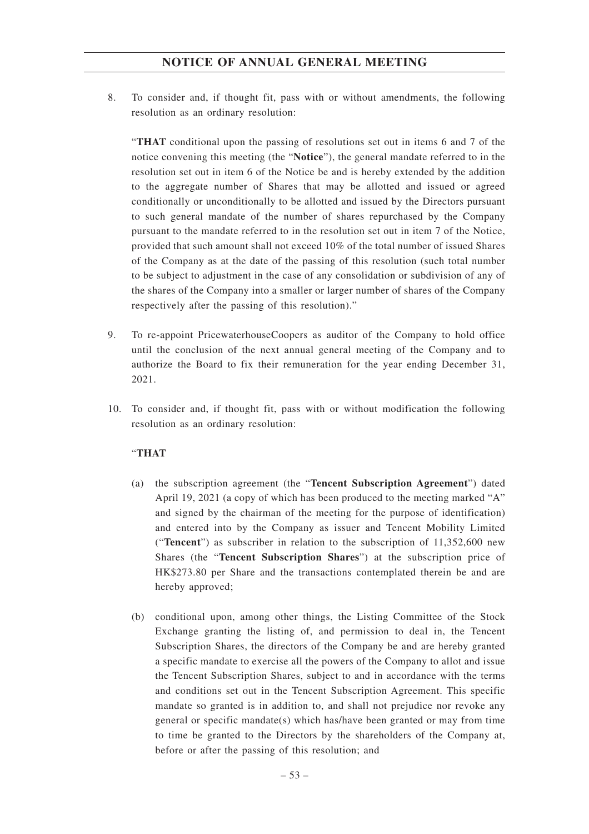8. To consider and, if thought fit, pass with or without amendments, the following resolution as an ordinary resolution:

"**THAT** conditional upon the passing of resolutions set out in items 6 and 7 of the notice convening this meeting (the "**Notice**"), the general mandate referred to in the resolution set out in item 6 of the Notice be and is hereby extended by the addition to the aggregate number of Shares that may be allotted and issued or agreed conditionally or unconditionally to be allotted and issued by the Directors pursuant to such general mandate of the number of shares repurchased by the Company pursuant to the mandate referred to in the resolution set out in item 7 of the Notice, provided that such amount shall not exceed 10% of the total number of issued Shares of the Company as at the date of the passing of this resolution (such total number to be subject to adjustment in the case of any consolidation or subdivision of any of the shares of the Company into a smaller or larger number of shares of the Company respectively after the passing of this resolution)."

- 9. To re-appoint PricewaterhouseCoopers as auditor of the Company to hold office until the conclusion of the next annual general meeting of the Company and to authorize the Board to fix their remuneration for the year ending December 31, 2021.
- 10. To consider and, if thought fit, pass with or without modification the following resolution as an ordinary resolution:

## "**THAT**

- (a) the subscription agreement (the "**Tencent Subscription Agreement**") dated April 19, 2021 (a copy of which has been produced to the meeting marked "A" and signed by the chairman of the meeting for the purpose of identification) and entered into by the Company as issuer and Tencent Mobility Limited ("**Tencent**") as subscriber in relation to the subscription of 11,352,600 new Shares (the "**Tencent Subscription Shares**") at the subscription price of HK\$273.80 per Share and the transactions contemplated therein be and are hereby approved;
- (b) conditional upon, among other things, the Listing Committee of the Stock Exchange granting the listing of, and permission to deal in, the Tencent Subscription Shares, the directors of the Company be and are hereby granted a specific mandate to exercise all the powers of the Company to allot and issue the Tencent Subscription Shares, subject to and in accordance with the terms and conditions set out in the Tencent Subscription Agreement. This specific mandate so granted is in addition to, and shall not prejudice nor revoke any general or specific mandate(s) which has/have been granted or may from time to time be granted to the Directors by the shareholders of the Company at, before or after the passing of this resolution; and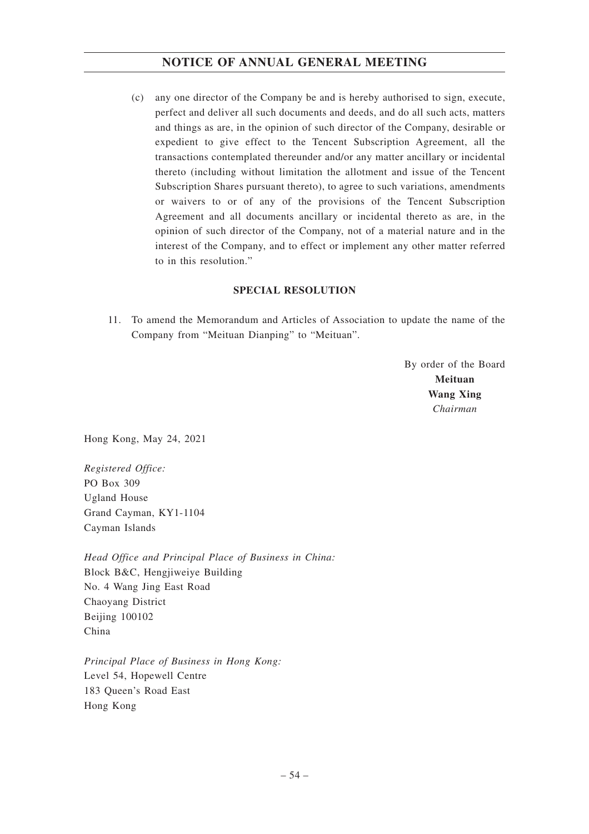(c) any one director of the Company be and is hereby authorised to sign, execute, perfect and deliver all such documents and deeds, and do all such acts, matters and things as are, in the opinion of such director of the Company, desirable or expedient to give effect to the Tencent Subscription Agreement, all the transactions contemplated thereunder and/or any matter ancillary or incidental thereto (including without limitation the allotment and issue of the Tencent Subscription Shares pursuant thereto), to agree to such variations, amendments or waivers to or of any of the provisions of the Tencent Subscription Agreement and all documents ancillary or incidental thereto as are, in the opinion of such director of the Company, not of a material nature and in the interest of the Company, and to effect or implement any other matter referred to in this resolution."

## **SPECIAL RESOLUTION**

11. To amend the Memorandum and Articles of Association to update the name of the Company from "Meituan Dianping" to "Meituan".

> By order of the Board **Meituan Wang Xing** *Chairman*

Hong Kong, May 24, 2021

*Registered Office:* PO Box 309 Ugland House Grand Cayman, KY1-1104 Cayman Islands

*Head Office and Principal Place of Business in China:* Block B&C, Hengjiweiye Building No. 4 Wang Jing East Road Chaoyang District Beijing 100102 China

*Principal Place of Business in Hong Kong:* Level 54, Hopewell Centre 183 Queen's Road East Hong Kong